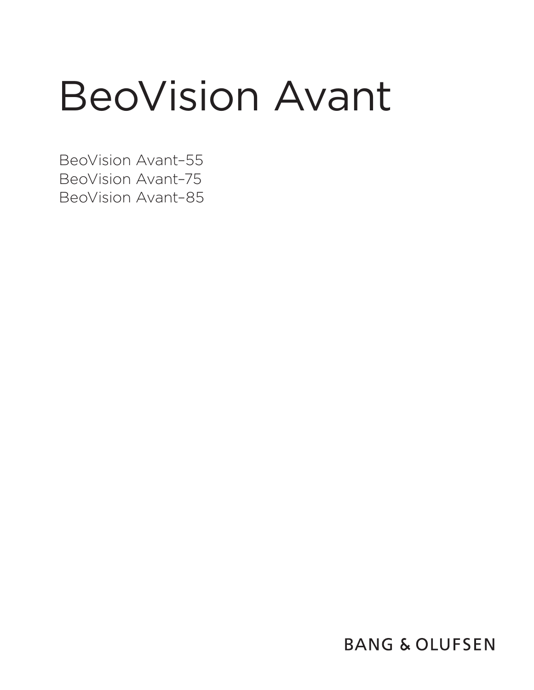# BeoVision Avant

BeoVision Avant–55 BeoVision Avant–75 BeoVision Avant–85

**BANG & OLUFSEN**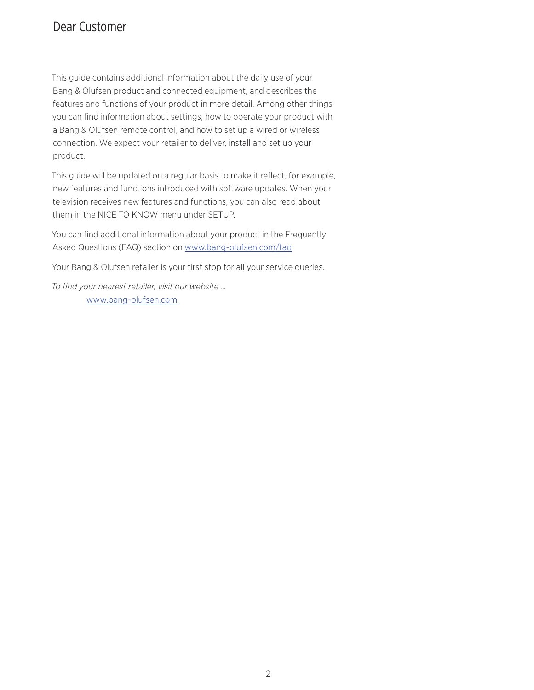## Dear Customer

This guide contains additional information about the daily use of your Bang & Olufsen product and connected equipment, and describes the features and functions of your product in more detail. Among other things you can find information about settings, how to operate your product with a Bang & Olufsen remote control, and how to set up a wired or wireless connection. We expect your retailer to deliver, install and set up your product.

This guide will be updated on a regular basis to make it reflect, for example, new features and functions introduced with software updates. When your television receives new features and functions, you can also read about them in the NICE TO KNOW menu under SETUP.

You can find additional information about your product in the Frequently Asked Questions (FAQ) section on [www.bang-olufsen.com/faq](http://www.bang-olufsen.com/faq).

Your Bang & Olufsen retailer is your first stop for all your service queries.

*To find your nearest retailer, visit our website …* [www.bang-olufsen.com](http://www.bang-olufsen.com)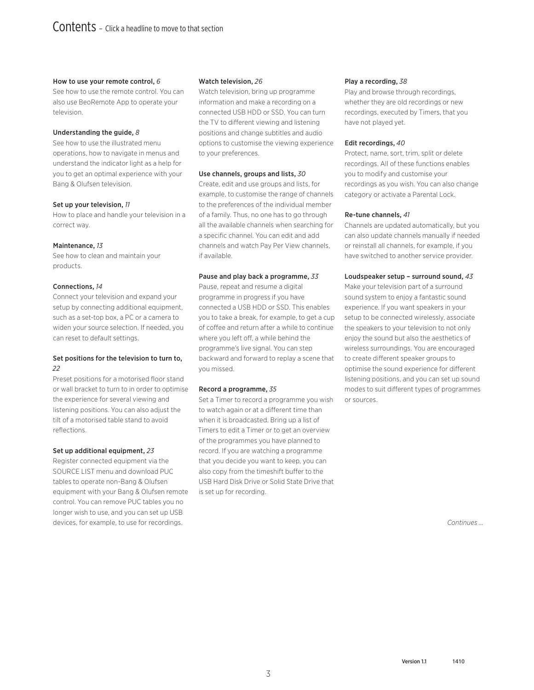#### [How to use your remote control,](#page-5-0) *6*

[See how to use the remote control. You can](#page-5-0)  [also use BeoRemote App to operate your](#page-5-0)  [television.](#page-5-0) 

#### [Understanding the guide,](#page-7-0) *8*

[See how to use the illustrated menu](#page-7-0)  [operations, how to navigate in menus and](#page-7-0)  [understand the indicator light as a help for](#page-7-0)  [you to get an optimal experience with your](#page-7-0)  [Bang & Olufsen television.](#page-7-0) 

#### [Set up your television,](#page-10-0) *11*

[How to place and handle your television in a](#page-10-0)  [correct way.](#page-10-0) 

#### [Maintenance,](#page-12-0) *13*

[See how to clean and maintain your](#page-12-0)  [products.](#page-12-0)

#### [Connections,](#page-13-0) *14*

[Connect your television and expand your](#page-13-0)  [setup by connecting additional equipment,](#page-13-0)  [such as a set-top box, a PC or a camera to](#page-13-0)  [widen your source selection. If needed, you](#page-13-0)  [can reset to default settings.](#page-13-0)

#### [Set positions for the television to turn to,](#page-21-0)  *[22](#page-21-0)*

[Preset positions for a motorised floor stand](#page-21-0)  [or wall bracket to turn to in order to optimise](#page-21-0)  [the experience for several viewing and](#page-21-0)  [listening positions. You can also adjust the](#page-21-0)  [tilt of a motorised table stand to avoid](#page-21-0)  [reflections.](#page-21-0) 

#### [Set up additional equipment,](#page-22-0) *23*

[Register connected equipment via the](#page-22-0)  [SOURCE LIST menu and download PUC](#page-22-0)  [tables to operate non-Bang & Olufsen](#page-22-0)  [equipment with your Bang & Olufsen remote](#page-22-0)  [control. You can remove PUC tables you no](#page-22-0)  [longer wish to use, and you can set up USB](#page-22-0)  [devices, for example, to use for recordings.](#page-22-0) 

#### [Watch television,](#page-25-0) *26*

[Watch television, bring up programme](#page-25-0)  [information and make a recording on a](#page-25-0)  [connected USB HDD or SSD. You can turn](#page-25-0)  [the TV to different viewing and listening](#page-25-0)  [positions and change subtitles and audio](#page-25-0)  [options to customise the viewing experience](#page-25-0)  [to your preferences.](#page-25-0) 

#### [Use channels, groups and lists,](#page-29-0) *30*

[Create, edit and use groups and lists, for](#page-29-0)  [example, to customise the range of channels](#page-29-0)  [to the preferences of the individual member](#page-29-0)  [of a family. Thus, no one has to go through](#page-29-0)  [all the available channels when searching for](#page-29-0)  [a specific channel. You can edit and add](#page-29-0)  [channels and watch Pay Per View channels,](#page-29-0)  [if available.](#page-29-0)

#### [Pause and play back a programme,](#page-32-0) *33*

[Pause, repeat and resume a digital](#page-32-0)  [programme in progress if you have](#page-32-0)  [connected a USB HDD or SSD. This enables](#page-32-0)  [you to take a break, for example, to get a cup](#page-32-0)  [of coffee and return after a while to continue](#page-32-0)  [where you left off, a while behind the](#page-32-0)  [programme's live signal. You can step](#page-32-0)  [backward and forward to replay a scene that](#page-32-0)  [you missed.](#page-32-0)

#### [Record a programme,](#page-34-0) *35*

[Set a Timer to record a programme you wish](#page-34-0)  [to watch again or at a different time than](#page-34-0)  [when it is broadcasted. Bring up a list of](#page-34-0)  [Timers to edit a Timer or to get an overview](#page-34-0)  [of the programmes you have planned to](#page-34-0)  [record. If you are watching a programme](#page-34-0)  [that you decide you want to keep, you can](#page-34-0)  [also copy from the timeshift buffer to the](#page-34-0)  [USB Hard Disk Drive or Solid State Drive that](#page-34-0)  [is set up for recording.](#page-34-0) 

#### [Play a recording,](#page-37-0) *38*

[Play and browse through recordings,](#page-37-0)  [whether they are old recordings or new](#page-37-0)  [recordings, executed by Timers, that you](#page-37-0)  [have not played yet.](#page-37-0) 

#### [Edit recordings,](#page-39-0) *40*

[Protect, name, sort, trim, split or delete](#page-39-0)  [recordings. All of these functions enables](#page-39-0)  [you to modify and customise your](#page-39-0)  [recordings as you wish. You can also change](#page-39-0)  [category or activate a Parental Lock.](#page-39-0) 

#### [Re-tune channels,](#page-40-0) *41*

[Channels are updated automatically, but you](#page-40-0)  [can also update channels manually if needed](#page-40-0)  [or reinstall all channels, for example, if you](#page-40-0)  [have switched to another service provider.](#page-40-0) 

#### [Loudspeaker setup – surround sound,](#page-42-0) *43*

[Make your television part of a surround](#page-42-0)  [sound system to enjoy a fantastic sound](#page-42-0)  [experience. If you want speakers in your](#page-42-0)  [setup to be connected wirelessly, associate](#page-42-0)  [the speakers to your television to not only](#page-42-0)  [enjoy the sound but also the aesthetics of](#page-42-0)  [wireless surroundings. You are encouraged](#page-42-0)  [to create different speaker groups to](#page-42-0)  [optimise the sound experience for different](#page-42-0)  [listening positions, and you can set up sound](#page-42-0)  [modes to suit different types of programmes](#page-42-0)  [or sources.](#page-42-0) 

*Continues …*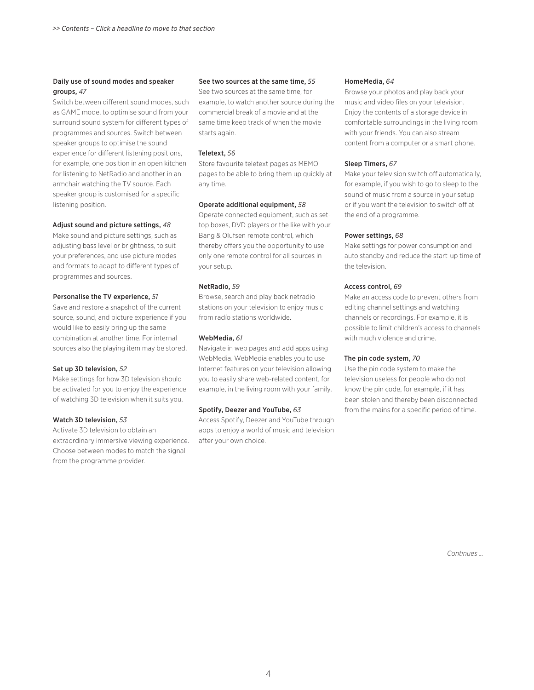#### [Daily use of sound modes and speaker](#page-46-0)  [groups,](#page-46-0) *47*

Switch between different sound modes, such [as GAME mode, to optimise sound from your](#page-46-0)  [surround sound system for different types of](#page-46-0)  [programmes and sources. Switch between](#page-46-0)  [speaker groups to optimise the sound](#page-46-0)  [experience for different listening positions,](#page-46-0)  [for example, one position in an open kitchen](#page-46-0)  [for listening to NetRadio and another in an](#page-46-0)  [armchair watching the TV source. Each](#page-46-0)  [speaker group is customised for a specific](#page-46-0)  [listening position.](#page-46-0) 

#### [Adjust sound and picture settings,](#page-47-0) *48*

[Make sound and picture settings, such as](#page-47-0)  [adjusting bass level or brightness, to suit](#page-47-0)  [your preferences, and use picture modes](#page-47-0)  [and formats to adapt to different types of](#page-47-0)  [programmes and sources.](#page-47-0) 

#### [Personalise the TV experience,](#page-50-0) *51*

[Save and restore a snapshot of the current](#page-50-0)  [source, sound, and picture experience if you](#page-50-0)  [would like to easily bring up the same](#page-50-0)  [combination at another time. For internal](#page-50-0)  [sources also the playing item may be stored.](#page-50-0) 

#### [Set up 3D television,](#page-51-0) *52*

[Make settings for how 3D television should](#page-51-0)  [be activated for you to enjoy the experience](#page-51-0)  [of watching 3D television when it suits you.](#page-51-0)

#### [Watch 3D television,](#page-52-0) *53*

[Activate 3D television to obtain an](#page-52-0)  [extraordinary immersive viewing experience.](#page-52-0)  [Choose between modes to match the signal](#page-52-0)  [from the programme provider.](#page-52-0) 

#### [See two sources at the same time,](#page-54-0) *55*

[See two sources at the same time, for](#page-54-0)  [example, to watch another source during the](#page-54-0)  [commercial break of a movie and at the](#page-54-0)  [same time keep track of when the movie](#page-54-0)  [starts again.](#page-54-0) 

#### [Teletext,](#page-55-0) *56*

[Store favourite teletext pages as MEMO](#page-55-0)  [pages to be able to bring them up quickly at](#page-55-0)  [any time.](#page-55-0) 

#### [Operate additional equipment,](#page-57-0) *58*

[Operate connected equipment, such as set](#page-57-0)[top boxes, DVD players or the like with your](#page-57-0)  [Bang & Olufsen remote control, which](#page-57-0)  [thereby offers you the opportunity to use](#page-57-0)  [only one remote control for all sources in](#page-57-0)  [your setup.](#page-57-0)

#### [NetRadio,](#page-58-0) *59*

[Browse, search and play back netradio](#page-58-0)  [stations on your television to enjoy music](#page-58-0)  [from radío stations worldwide.](#page-58-0) 

#### [WebMedia,](#page-60-0) *61*

[Navigate in web pages and add apps using](#page-60-0)  [WebMedia. WebMedia enables you to use](#page-60-0)  [Internet features on your television allowing](#page-60-0)  [you to easily share web-related content, for](#page-60-0)  [example, in the living room with your family.](#page-60-0) 

#### [Spotify, Deezer and YouTube,](#page-62-0) *63*

[Access Spotify, Deezer and YouTube through](#page-62-0)  [apps to enjoy a world of music and television](#page-62-0)  [after your own choice.](#page-62-0) 

#### [HomeMedia,](#page-63-0) *64*

[Browse your photos and play back your](#page-63-0)  [music and video files on your television.](#page-63-0)  [Enjoy the contents of a storage device in](#page-63-0)  [comfortable surroundings in the living room](#page-63-0)  [with your friends. You can also stream](#page-63-0)  [content from a computer or a smart phone.](#page-63-0) 

#### [Sleep Timers,](#page-66-0) *67*

[Make your television switch off automatically,](#page-66-0) [for example, if you wish to go to sleep to the](#page-66-0)  [sound of music from a source in your setup](#page-66-0)  [or if you want the television to switch off at](#page-66-0)  [the end of a programme.](#page-66-0) 

#### [Power settings,](#page-67-0) *68*

[Make settings for power consumption and](#page-67-0)  [auto standby and reduce the start-up time of](#page-67-0)  [the television.](#page-67-0) 

#### [Access control,](#page-68-0) *69*

[Make an access code to prevent others from](#page-68-0)  [editing channel settings and watching](#page-68-0)  [channels or recordings. For example, it is](#page-68-0)  [possible to limit children's access to channels](#page-68-0)  [with much violence and crime.](#page-68-0) 

#### [The pin code system,](#page-69-0) *70*

[Use the pin code system to make the](#page-69-0)  [television useless for people who do not](#page-69-0)  [know the pin code, for example, if it has](#page-69-0)  [been stolen and thereby been disconnected](#page-69-0)  [from the mains for a specific period of time.](#page-69-0) 

*Continues …*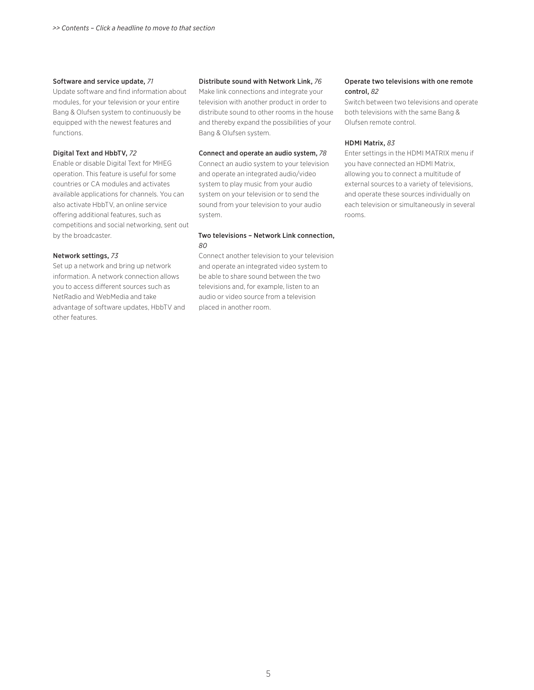#### [Software and service update,](#page-70-0) *71*

[Update software and find information about](#page-70-0)  [modules, for your television or your entire](#page-70-0)  [Bang & Olufsen system to continuously be](#page-70-0)  [equipped with the newest features and](#page-70-0)  [functions.](#page-70-0)

#### [Digital Text and HbbTV,](#page-71-0) *72*

[Enable or disable Digital Text for MHEG](#page-71-0)  [operation. This feature is useful for some](#page-71-0)  [countries or CA modules and activates](#page-71-0)  [available applications for channels. You can](#page-71-0)  [also activate HbbTV, an online service](#page-71-0)  [offering additional features, such as](#page-71-0)  [competitions and social networking, sent out](#page-71-0)  [by the broadcaster.](#page-71-0) 

#### [Network settings,](#page-72-0) *73*

[Set up a network and bring up network](#page-72-0)  [information. A network connection allows](#page-72-0)  [you to access different sources such as](#page-72-0)  [NetRadio and WebMedia and take](#page-72-0)  [advantage of software updates, HbbTV and](#page-72-0)  [other features.](#page-72-0)

#### [Distribute sound with Network Link,](#page-75-0) *76*

[Make link connections and integrate your](#page-75-0)  [television with another product in order to](#page-75-0)  [distribute sound to other rooms in the house](#page-75-0)  [and thereby expand the possibilities of your](#page-75-0)  [Bang & Olufsen system.](#page-75-0)

#### [Connect and operate an audio system,](#page-77-0) *78*

[Connect an audio system to your television](#page-77-0)  [and operate an integrated audio/video](#page-77-0)  [system to play music from your audio](#page-77-0)  [system on your television or to send the](#page-77-0)  [sound from your television to your audio](#page-77-0)  [system.](#page-77-0) 

#### [Two televisions – Network Link connection,](#page-79-0)  *[80](#page-79-0)*

[Connect another television to your television](#page-79-0)  [and operate an integrated video system to](#page-79-0)  [be able to share sound between the two](#page-79-0)  [televisions and, for example, listen to an](#page-79-0)  [audio or video source from a television](#page-79-0)  [placed in another room.](#page-79-0) 

#### [Operate two televisions with one remote](#page-81-0)  [control,](#page-81-0) *82*

[Switch between two televisions and operate](#page-81-0)  [both televisions with the same Bang &](#page-81-0)  [Olufsen remote control.](#page-81-0) 

#### [HDMI Matrix,](#page-82-0) *83*

[Enter settings in the HDMI MATRIX menu if](#page-82-0)  [you have connected an HDMI Matrix,](#page-82-0)  [allowing you to connect a multitude of](#page-82-0)  [external sources to a variety of televisions,](#page-82-0)  [and operate these sources individually on](#page-82-0)  [each television or simultaneously in several](#page-82-0)  [rooms.](#page-82-0)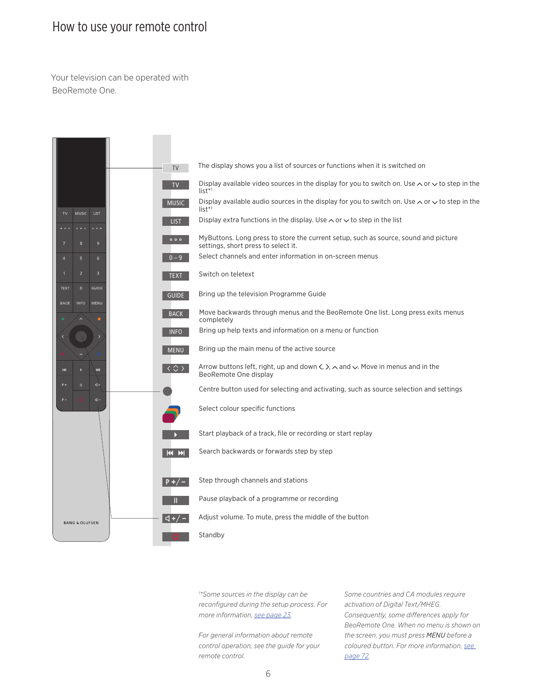## <span id="page-5-0"></span>How to use your remote control

Your television can be operated with BeoRemote One.



*1 \*Some sources in the display can be reconfigured during the setup process. For more information, [see page 23.](#page-22-0)* 

*For general information about remote control operation, see the guide for your remote control.* 

*Some countries and CA modules require activation of Digital Text/MHEG. Consequently, some differences apply for BeoRemote One. When no menu is shown on the screen, you must press MENU before a coloured button. For more information, [see](#page-71-0)  [page 72.](#page-71-0)*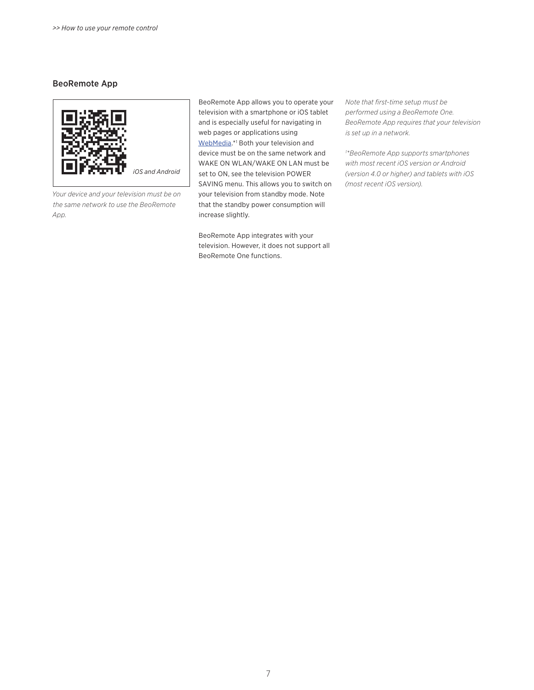#### BeoRemote App



*Your device and your television must be on the same network to use the BeoRemote App.*

BeoRemote App allows you to operate your television with a smartphone or iOS tablet and is especially useful for navigating in web pages or applications using [WebMedia](#page-60-0).\*<sup>1</sup> Both your television and device must be on the same network and WAKE ON WLAN/WAKE ON LAN must be set to ON, see the television POWER SAVING menu. This allows you to switch on your television from standby mode. Note that the standby power consumption will increase slightly.

BeoRemote App integrates with your television. However, it does not support all BeoRemote One functions.

*Note that first-time setup must be performed using a BeoRemote One. BeoRemote App requires that your television is set up in a network.*

*1 \*BeoRemote App supports smartphones with most recent iOS version or Android (version 4.0 or higher) and tablets with iOS (most recent iOS version).*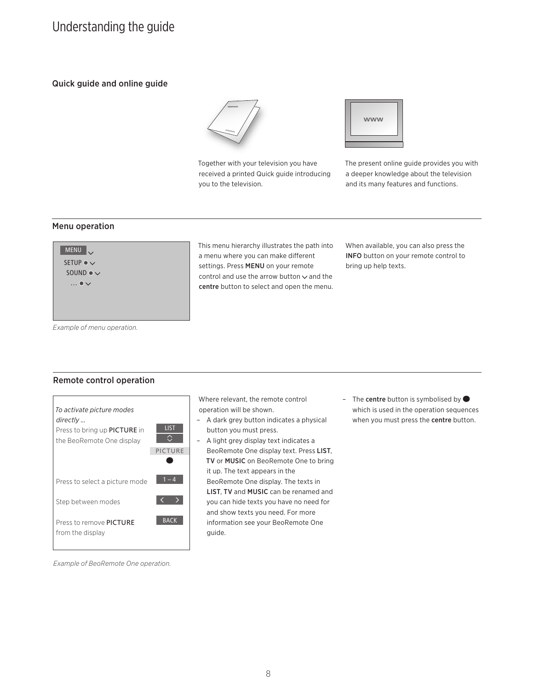## <span id="page-7-0"></span>Understanding the guide

## Quick guide and online guide



Together with your television you have received a printed Quick guide introducing you to the television.



The present online guide provides you with a deeper knowledge about the television and its many features and functions.

#### Menu operation



This menu hierarchy illustrates the path into a menu where you can make different settings. Press MENU on your remote control and use the arrow button  $\sim$  and the centre button to select and open the menu. When available, you can also press the INFO button on your remote control to bring up help texts.

*Example of menu operation.* 

#### Remote control operation



Where relevant, the remote control operation will be shown.

- A dark grey button indicates a physical button you must press.
- A light grey display text indicates a BeoRemote One display text. Press LIST, TV or MUSIC on BeoRemote One to bring it up. The text appears in the BeoRemote One display. The texts in LIST, TV and MUSIC can be renamed and you can hide texts you have no need for and show texts you need. For more information see your BeoRemote One guide.
- The centre button is symbolised by  $\bullet$ which is used in the operation sequences when you must press the centre button.

*Example of BeoRemote One operation.*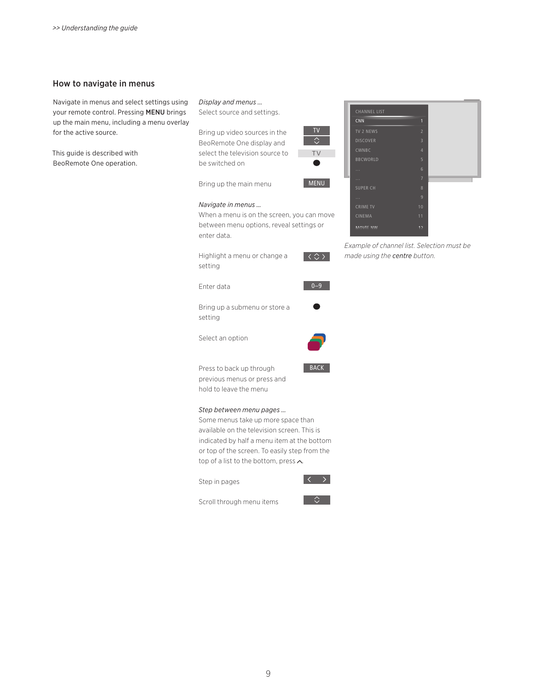#### How to navigate in menus

Navigate in menus and select settings using your remote control. Pressing MENU brings up the main menu, including a menu overlay for the active source.

This guide is described with BeoRemote One operation.

*Display and menus …*  Select source and settings.

Bring up video sources in the BeoRemote One display and select the television source to be switched on

Bring up the main menu

#### *Navigate in menus …*

When a menu is on the screen, you can move between menu options, reveal settings or enter data.

Highlight a menu or change a setting

Enter data



 $\langle \diamondsuit \rangle$ 

TV

TV

MENU

Bring up a submenu or store a setting

Select an option



**BACK** 

Press to back up through previous menus or press and hold to leave the menu

#### *Step between menu pages …*

Some menus take up more space than available on the television screen. This is indicated by half a menu item at the bottom or top of the screen. To easily step from the top of a list to the bottom, press  $\wedge$ .

Step in pages



Scroll through menu items



| <b>CHANNEL LIST</b> |                         |
|---------------------|-------------------------|
| <b>CNN</b>          | 1                       |
| TV 2 NEWS           | $\overline{2}$          |
| <b>DISCOVER</b>     | $\overline{\mathbf{3}}$ |
| CWNBC               | $\overline{4}$          |
| <b>BBCWORLD</b>     | 5                       |
| $\cdots$            | 6                       |
| $\cdots$            | $\overline{7}$          |
| <b>SUPER CH</b>     | $\overline{8}$          |
| $\cdots$            | $\overline{9}$          |
| <b>CRIME TV</b>     | 10                      |
| <b>CINEMA</b>       | 11                      |
| MOVIE NW            | 12                      |

Example of channel list. Selection must be *made using the centre button.*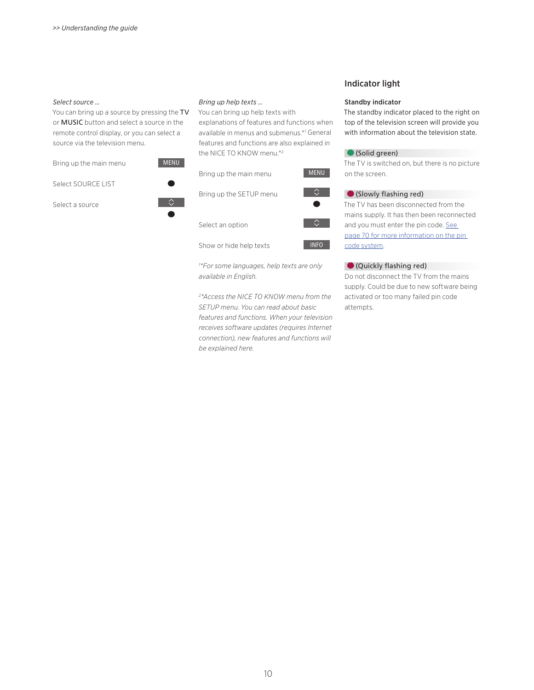#### *Select source …*

You can bring up a source by pressing the TV or MUSIC button and select a source in the remote control display, or you can select a source via the television menu.

Bring up the main menu



Select SOURCE LIST

Select a source



 $\Diamond$ 

*Bring up help texts …* 

You can bring up help texts with explanations of features and functions when available in menus and submenus.\*1 General features and functions are also explained in the NICE TO KNOW menu.\*2

| Bring up the main menu                                | <b>MENU</b> |  |
|-------------------------------------------------------|-------------|--|
| Bring up the SETUP menu                               |             |  |
| Select an option                                      |             |  |
| Show or hide help texts                               | <b>INFO</b> |  |
| <sup>1*</sup> For some languages, help texts are only |             |  |

*1 \*For some languages, help texts are only available in English.* 

*2 \*Access the NICE TO KNOW menu from the SETUP menu. You can read about basic features and functions. When your television receives software updates (requires Internet connection), new features and functions will be explained here.* 

#### Indicator light

#### Standby indicator

The standby indicator placed to the right on top of the television screen will provide you with information about the television state.

#### (Solid green)

The TV is switched on, but there is no picture on the screen.

#### (Slowly flashing red)

The TV has been disconnected from the mains supply. It has then been reconnected and you must enter the pin code. See page 70 for more information on the pin [code system.](#page-69-0)

#### (Quickly flashing red)

Do not disconnect the TV from the mains supply. Could be due to new software being activated or too many failed pin code attempts.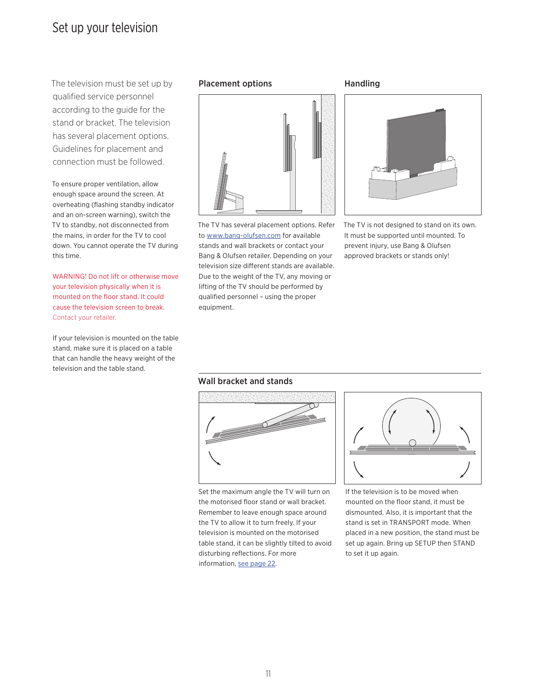## <span id="page-10-0"></span>Set up your television

The television must be set up by Placement options qualified service personnel according to the guide for the stand or bracket. The television has several placement options. Guidelines for placement and connection must be followed.

To ensure proper ventilation, allow enough space around the screen. At overheating (flashing standby indicator and an on-screen warning), switch the TV to standby, not disconnected from the mains, in order for the TV to cool down. You cannot operate the TV during this time.

WARNING! Do not lift or otherwise move your television physically when it is mounted on the floor stand. It could cause the television screen to break. Contact your retailer.

If your television is mounted on the table stand, make sure it is placed on a table that can handle the heavy weight of the television and the table stand.



The TV has several placement options. Refer to [www.bang-olufsen.com](http://www.bang-olufsen.com) for available stands and wall brackets or contact your Bang & Olufsen retailer. Depending on your television size different stands are available. Due to the weight of the TV, any moving or lifting of the TV should be performed by qualified personnel – using the proper equipment.

#### Handling



The TV is not designed to stand on its own. It must be supported until mounted. To prevent injury, use Bang & Olufsen approved brackets or stands only!

#### Wall bracket and stands



Set the maximum angle the TV will turn on the motorised floor stand or wall bracket. Remember to leave enough space around the TV to allow it to turn freely. If your television is mounted on the motorised table stand, it can be slightly tilted to avoid disturbing reflections. For more information, [see page 22](#page-21-0).



If the television is to be moved when mounted on the floor stand, it must be dismounted. Also, it is important that the stand is set in TRANSPORT mode. When placed in a new position, the stand must be set up again. Bring up SETUP then STAND to set it up again.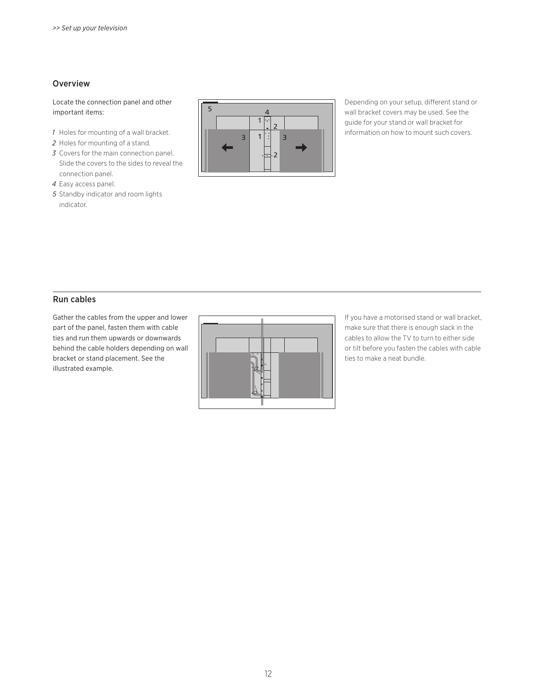#### Overview

Locate the connection panel and other important items:

- *1* Holes for mounting of a wall bracket.
- *2* Holes for mounting of a stand.
- *3* Covers for the main connection panel. Slide the covers to the sides to reveal the connection panel.
- *4* Easy access panel.
- *5* Standby indicator and room lights indicator.



Depending on your setup, different stand or wall bracket covers may be used. See the guide for your stand or wall bracket for information on how to mount such covers.

## Run cables

Gather the cables from the upper and lower part of the panel, fasten them with cable ties and run them upwards or downwards behind the cable holders depending on wall bracket or stand placement. See the illustrated example.



If you have a motorised stand or wall bracket, make sure that there is enough slack in the cables to allow the TV to turn to either side or tilt before you fasten the cables with cable ties to make a neat bundle.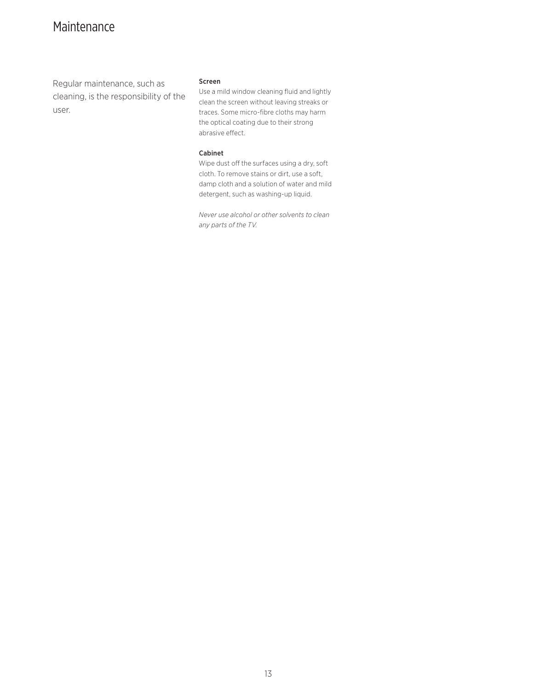## <span id="page-12-0"></span>Maintenance

Regular maintenance, such as cleaning, is the responsibility of the user.

#### Screen

Use a mild window cleaning fluid and lightly clean the screen without leaving streaks or traces. Some micro-fibre cloths may harm the optical coating due to their strong abrasive effect.

#### Cabinet

Wipe dust off the surfaces using a dry, soft cloth. To remove stains or dirt, use a soft, damp cloth and a solution of water and mild detergent, such as washing-up liquid.

*Never use alcohol or other solvents to clean any parts of the TV.*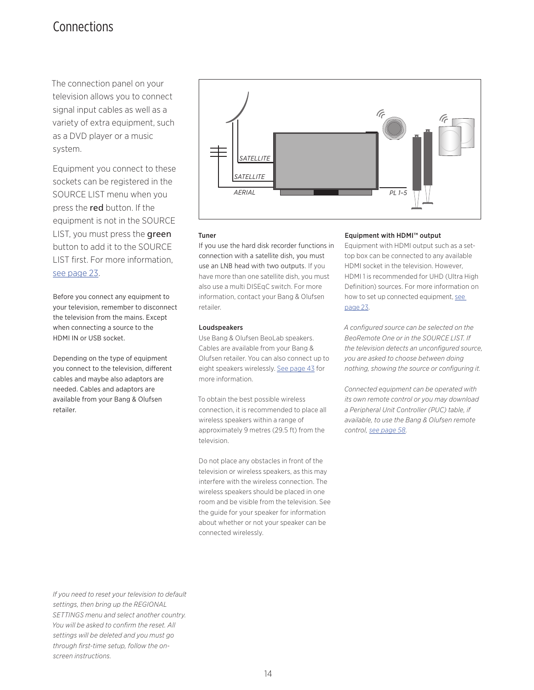## <span id="page-13-0"></span>Connections

The connection panel on your television allows you to connect signal input cables as well as a variety of extra equipment, such as a DVD player or a music system.

Equipment you connect to these sockets can be registered in the SOURCE LIST menu when you press the red button. If the equipment is not in the SOURCE LIST, you must press the green button to add it to the SOURCE LIST first. For more information, [see page 23.](#page-22-0)

Before you connect any equipment to your television, remember to disconnect the television from the mains. Except when connecting a source to the HDMI IN or USB socket.

Depending on the type of equipment you connect to the television, different cables and maybe also adaptors are needed. Cables and adaptors are available from your Bang & Olufsen retailer.



#### Tuner

If you use the hard disk recorder functions in connection with a satellite dish, you must use an LNB head with two outputs. If you have more than one satellite dish, you must also use a multi DISEqC switch. For more information, contact your Bang & Olufsen retailer.

#### Loudspeakers

Use Bang & Olufsen BeoLab speakers. Cables are available from your Bang & Olufsen retailer. You can also connect up to eight speakers wirelessly. [See page 43 for](#page-42-0)  [more information.](#page-42-0)

To obtain the best possible wireless connection, it is recommended to place all wireless speakers within a range of approximately 9 metres (29.5 ft) from the television.

Do not place any obstacles in front of the television or wireless speakers, as this may interfere with the wireless connection. The wireless speakers should be placed in one room and be visible from the television. See the guide for your speaker for information about whether or not your speaker can be connected wirelessly.

#### Equipment with HDMI™ output

Equipment with HDMI output such as a settop box can be connected to any available HDMI socket in the television. However, HDMI 1 is recommended for UHD (Ultra High Definition) sources. For more information on how to set up connected equipment, [see](#page-22-0)  [page 23](#page-22-0).

*A configured source can be selected on the BeoRemote One or in the SOURCE LIST. If the television detects an unconfigured source, you are asked to choose between doing nothing, showing the source or configuring it.* 

*Connected equipment can be operated with its own remote control or you may download a Peripheral Unit Controller (PUC) table, if available, to use the Bang & Olufsen remote control, [see page 58](#page-57-0).* 

*If you need to reset your television to default settings, then bring up the REGIONAL SETTINGS menu and select another country. You will be asked to confirm the reset. All settings will be deleted and you must go through first-time setup, follow the onscreen instructions.*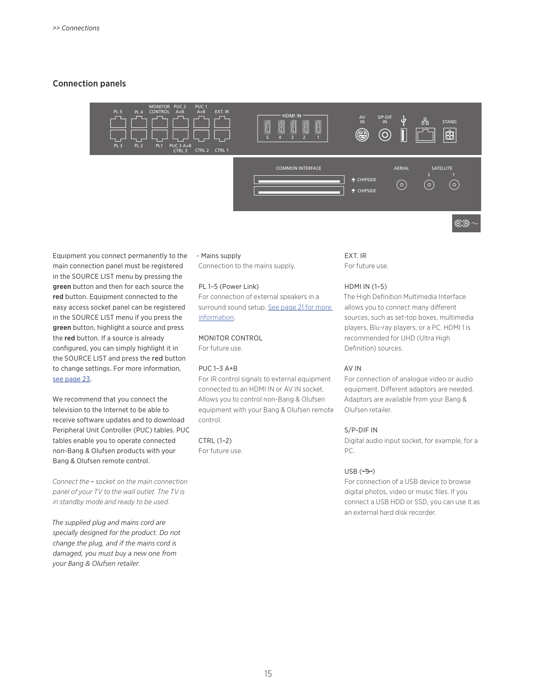#### Connection panels



Equipment you connect permanently to the main connection panel must be registered in the SOURCE LIST menu by pressing the green button and then for each source the red button. Equipment connected to the easy access socket panel can be registered in the SOURCE LIST menu if you press the green button, highlight a source and press the red button. If a source is already configured, you can simply highlight it in the SOURCE LIST and press the red button to change settings. For more information, [see page 23.](#page-22-0)

We recommend that you connect the television to the Internet to be able to receive software updates and to download Peripheral Unit Controller (PUC) tables. PUC tables enable you to operate connected non-Bang & Olufsen products with your Bang & Olufsen remote control.

*Connect the* ~ *socket on the main connection panel of your TV to the wall outlet. The TV is in standby mode and ready to be used.* 

*The supplied plug and mains cord are specially designed for the product. Do not change the plug, and if the mains cord is damaged, you must buy a new one from your Bang & Olufsen retailer.*

#### ~ Mains supply

Connection to the mains supply.

#### PL 1–5 (Power Link)

For connection of external speakers in a surround sound setup. [See page 21 for more](#page-20-0)  [information.](#page-20-0)

#### MONITOR CONTROL

For future use.

#### PUC 1–3 A+B

For IR control signals to external equipment connected to an HDMI IN or AV IN socket. Allows you to control non-Bang & Olufsen equipment with your Bang & Olufsen remote control.

CTRL (1–2) For future use.

#### EXT. IR For future use.

#### HDMI IN (1–5)

The High Definition Multimedia Interface allows you to connect many different sources, such as set-top boxes, multimedia players, Blu-ray players, or a PC. HDMI 1 is recommended for UHD (Ultra High Definition) sources.

#### AV IN

For connection of analogue video or audio equipment. Different adaptors are needed. Adaptors are available from your Bang & Olufsen retailer.

#### S/P-DIF IN

Digital audio input socket, for example, for a PC.

#### $USB$   $(\rightarrow)$

For connection of a USB device to browse digital photos, video or music files. If you connect a USB HDD or SSD, you can use it as an external hard disk recorder.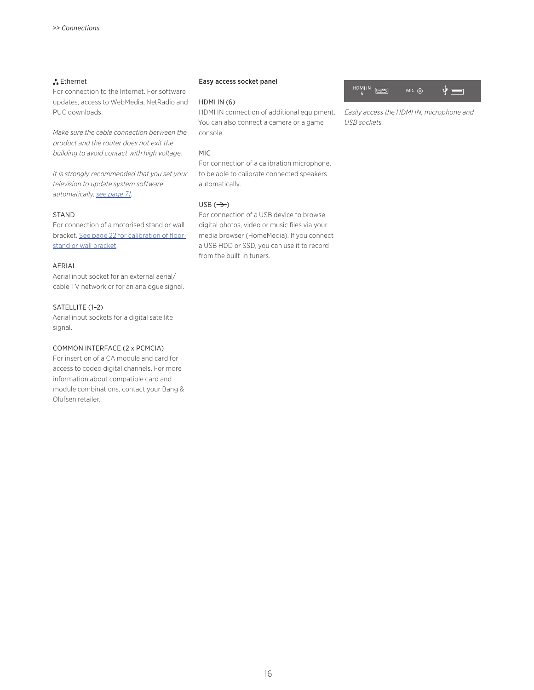#### Ethernet

For connection to the Internet. For software updates, access to WebMedia, NetRadio and PUC downloads.

*Make sure the cable connection between the product and the router does not exit the building to avoid contact with high voltage.* 

*It is strongly recommended that you set your television to update system software automatically, [see page 71](#page-70-0).* 

#### STAND

For connection of a motorised stand or wall bracket. [See page 22 for calibration of floor](#page-21-0)  [stand or wall bracket.](#page-21-0)

#### AERIAL

Aerial input socket for an external aerial/ cable TV network or for an analogue signal.

#### SATELLITE (1–2)

Aerial input sockets for a digital satellite signal.

#### COMMON INTERFACE (2 x PCMCIA)

For insertion of a CA module and card for access to coded digital channels. For more information about compatible card and module combinations, contact your Bang & Olufsen retailer.

#### <span id="page-15-0"></span>Easy access socket panel

#### HDMI IN (6)

HDMI IN connection of additional equipment. You can also connect a camera or a game console.

#### MIC

For connection of a calibration microphone, to be able to calibrate connected speakers automatically.

#### $USB$   $(\rightarrow)$

For connection of a USB device to browse digital photos, video or music files via your media browser (HomeMedia). If you connect a USB HDD or SSD, you can use it to record from the built-in tuners.



*Easily access the HDMI IN, microphone and USB sockets.*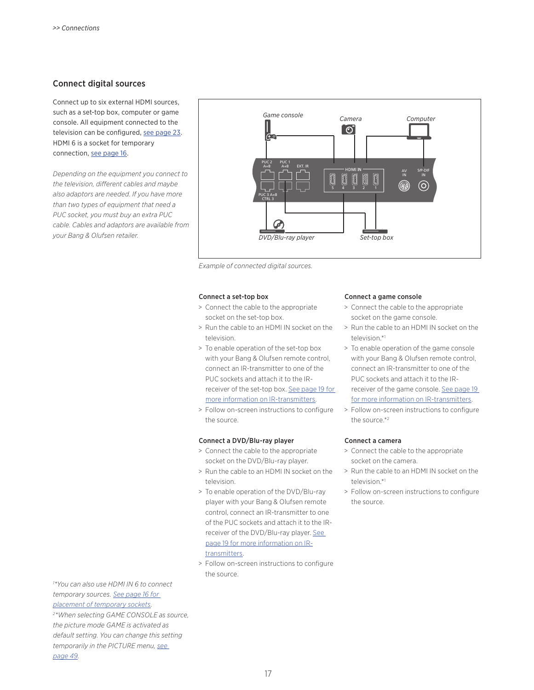#### Connect digital sources

Connect up to six external HDMI sources, such as a set-top box, computer or game console. All equipment connected to the television can be configured, [see page 23.](#page-22-0) HDMI 6 is a socket for temporary connection, [see page 16](#page-15-0).

*Depending on the equipment you connect to the television, different cables and maybe also adaptors are needed. If you have more than two types of equipment that need a PUC socket, you must buy an extra PUC cable. Cables and adaptors are available from your Bang & Olufsen retailer.* 



*Example of connected digital sources.* 

#### Connect a set-top box

- > Connect the cable to the appropriate socket on the set-top box.
- > Run the cable to an HDMI IN socket on the television.
- > To enable operation of the set-top box with your Bang & Olufsen remote control, connect an IR-transmitter to one of the PUC sockets and attach it to the IRreceiver of the set-top box. [See page 19 for](#page-18-0)  [more information on IR-transmitters](#page-18-0).
- > Follow on-screen instructions to configure the source.

#### Connect a DVD/Blu-ray player

- > Connect the cable to the appropriate socket on the DVD/Blu-ray player.
- > Run the cable to an HDMI IN socket on the television.
- > To enable operation of the DVD/Blu-ray player with your Bang & Olufsen remote control, connect an IR-transmitter to one of the PUC sockets and attach it to the IRreceiver of the DVD/Blu-ray player. See [page 19 for more information on IR](#page-18-0)[transmitters](#page-18-0).
- > Follow on-screen instructions to configure the source.

#### Connect a game console

- > Connect the cable to the appropriate socket on the game console.
- > Run the cable to an HDMI IN socket on the television.\*1
- > To enable operation of the game console with your Bang & Olufsen remote control, connect an IR-transmitter to one of the PUC sockets and attach it to the IRreceiver of the game console. [See page 19](#page-18-0)  [for more information on IR-transmitters](#page-18-0).
- > Follow on-screen instructions to configure the source.\*2

#### Connect a camera

- > Connect the cable to the appropriate socket on the camera.
- > Run the cable to an HDMI IN socket on the television.\*1
- > Follow on-screen instructions to configure the source.

*1 \*You can also use HDMI IN 6 to connect temporary sources. [See page 16 for](#page-15-0)  [placement of temporary sockets.](#page-15-0) 2 \*When selecting GAME CONSOLE as source, the picture mode GAME is activated as default setting. You can change this setting temporarily in the PICTURE menu, [see](#page-48-0)* 

*[page 49.](#page-48-0)*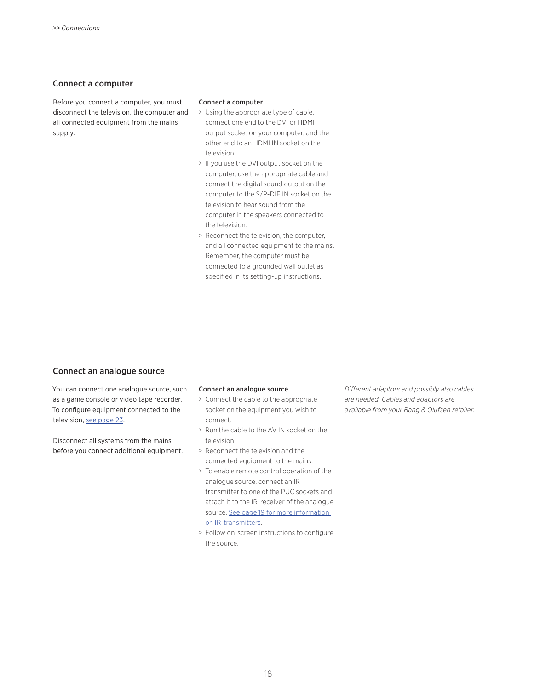#### Connect a computer

Before you connect a computer, you must disconnect the television, the computer and all connected equipment from the mains supply.

#### Connect a computer

- > Using the appropriate type of cable, connect one end to the DVI or HDMI output socket on your computer, and the other end to an HDMI IN socket on the television.
- > If you use the DVI output socket on the computer, use the appropriate cable and connect the digital sound output on the computer to the S/P-DIF IN socket on the television to hear sound from the computer in the speakers connected to the television.
- > Reconnect the television, the computer, and all connected equipment to the mains. Remember, the computer must be connected to a grounded wall outlet as specified in its setting-up instructions.

#### Connect an analogue source

You can connect one analogue source, such as a game console or video tape recorder. To configure equipment connected to the television, [see page 23](#page-22-0).

Disconnect all systems from the mains before you connect additional equipment.

#### Connect an analogue source

- > Connect the cable to the appropriate socket on the equipment you wish to connect.
- > Run the cable to the AV IN socket on the television.
- > Reconnect the television and the connected equipment to the mains.
- > To enable remote control operation of the analogue source, connect an IRtransmitter to one of the PUC sockets and attach it to the IR-receiver of the analogue source. [See page 19 for more information](#page-18-0)  [on IR-transmitters.](#page-18-0)
- > Follow on-screen instructions to configure the source.

*Different adaptors and possibly also cables are needed. Cables and adaptors are available from your Bang & Olufsen retailer.*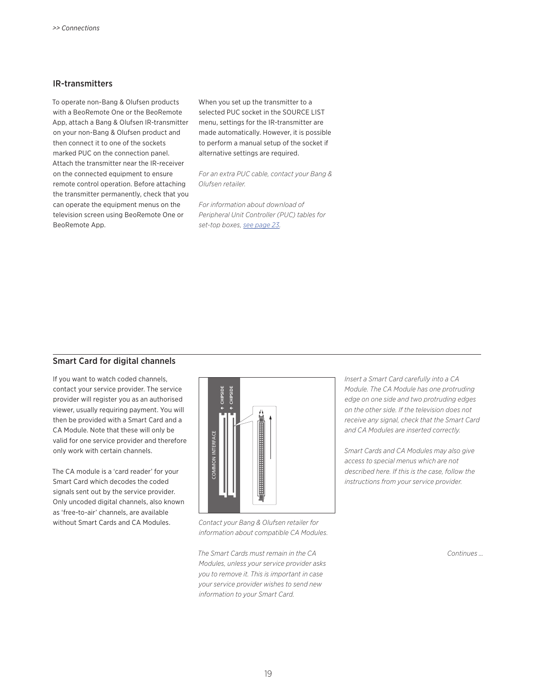#### <span id="page-18-0"></span>IR-transmitters

To operate non-Bang & Olufsen products with a BeoRemote One or the BeoRemote App, attach a Bang & Olufsen IR-transmitter on your non-Bang & Olufsen product and then connect it to one of the sockets marked PUC on the connection panel. Attach the transmitter near the IR-receiver on the connected equipment to ensure remote control operation. Before attaching the transmitter permanently, check that you can operate the equipment menus on the television screen using BeoRemote One or BeoRemote App.

When you set up the transmitter to a selected PUC socket in the SOURCE LIST menu, settings for the IR-transmitter are made automatically. However, it is possible to perform a manual setup of the socket if alternative settings are required.

*For an extra PUC cable, contact your Bang & Olufsen retailer.* 

*For information about download of Peripheral Unit Controller (PUC) tables for set-top boxes, [see page 23.](#page-22-0)* 

#### Smart Card for digital channels

If you want to watch coded channels, contact your service provider. The service provider will register you as an authorised viewer, usually requiring payment. You will then be provided with a Smart Card and a CA Module. Note that these will only be valid for one service provider and therefore only work with certain channels.

The CA module is a 'card reader' for your Smart Card which decodes the coded signals sent out by the service provider. Only uncoded digital channels, also known as 'free-to-air' channels, are available without Smart Cards and CA Modules. *Contact your Bang & Olufsen retailer for* 



*information about compatible CA Modules.* 

*The Smart Cards must remain in the CA Modules, unless your service provider asks you to remove it. This is important in case your service provider wishes to send new information to your Smart Card.*

*Insert a Smart Card carefully into a CA Module. The CA Module has one protruding edge on one side and two protruding edges on the other side. If the television does not receive any signal, check that the Smart Card and CA Modules are inserted correctly.*

*Smart Cards and CA Modules may also give access to special menus which are not described here. If this is the case, follow the instructions from your service provider.* 

*Continues …*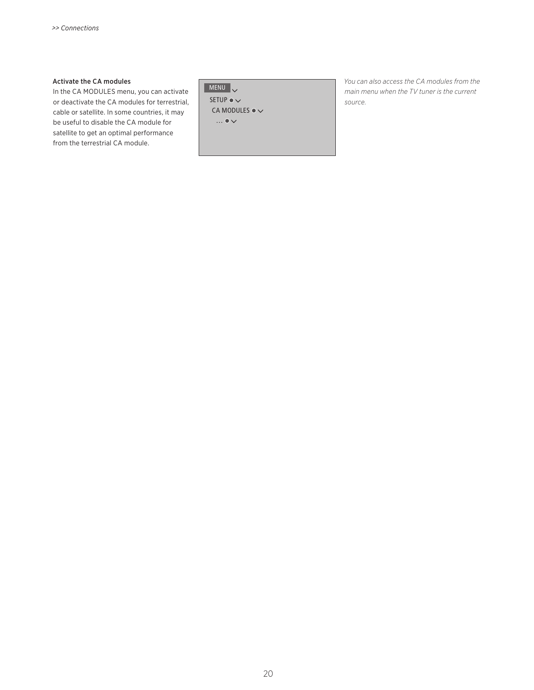#### Activate the CA modules

In the CA MODULES menu, you can activate or deactivate the CA modules for terrestrial, cable or satellite. In some countries, it may be useful to disable the CA module for satellite to get an optimal performance from the terrestrial CA module.

 $MENU$ 

SETUP ●  $\checkmark$ CA MODULES  $\bullet \checkmark$  $\ldots \bullet \vee$ 

*You can also access the CA modules from the main menu when the TV tuner is the current source.*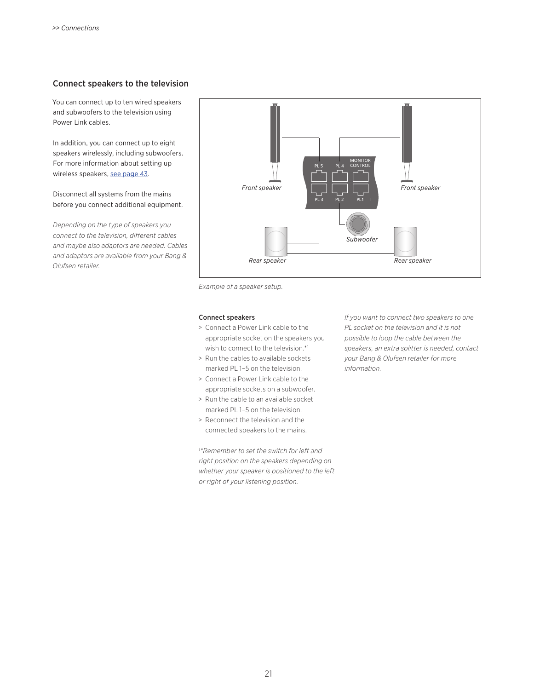#### <span id="page-20-0"></span>Connect speakers to the television

You can connect up to ten wired speakers and subwoofers to the television using Power Link cables.

In addition, you can connect up to eight speakers wirelessly, including subwoofers. For more information about setting up wireless speakers, [see page 43.](#page-42-0)

Disconnect all systems from the mains before you connect additional equipment.

*Depending on the type of speakers you connect to the television, different cables and maybe also adaptors are needed. Cables and adaptors are available from your Bang & Olufsen retailer.* 



*Example of a speaker setup.* 

#### Connect speakers

- > Connect a Power Link cable to the appropriate socket on the speakers you wish to connect to the television.\*1
- > Run the cables to available sockets marked PL 1–5 on the television.
- > Connect a Power Link cable to the appropriate sockets on a subwoofer.
- > Run the cable to an available socket marked PL 1–5 on the television.
- > Reconnect the television and the connected speakers to the mains.

*1 \*Remember to set the switch for left and right position on the speakers depending on whether your speaker is positioned to the left or right of your listening position.* 

*If you want to connect two speakers to one PL socket on the television and it is not possible to loop the cable between the speakers, an extra splitter is needed, contact your Bang & Olufsen retailer for more information.*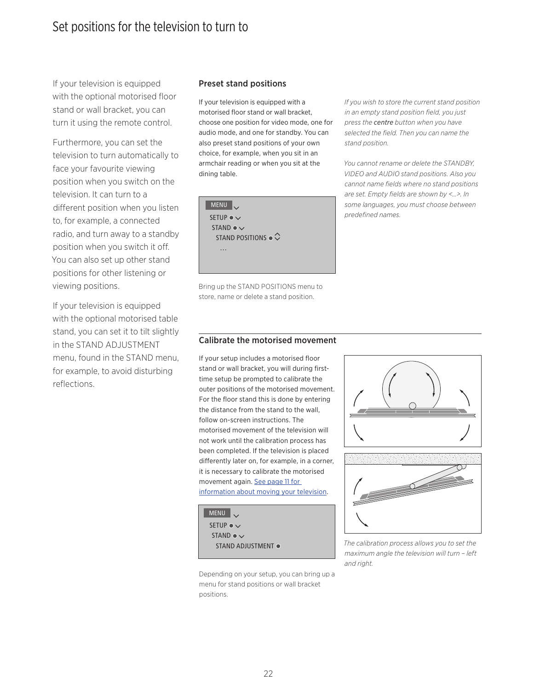<span id="page-21-0"></span>If your television is equipped with the optional motorised floor stand or wall bracket, you can turn it using the remote control.

Furthermore, you can set the television to turn automatically to face your favourite viewing position when you switch on the television. It can turn to a different position when you listen to, for example, a connected radio, and turn away to a standby position when you switch it off. You can also set up other stand positions for other listening or viewing positions.

If your television is equipped with the optional motorised table stand, you can set it to tilt slightly in the STAND ADJUSTMENT menu, found in the STAND menu, for example, to avoid disturbing reflections.

#### Preset stand positions

If your television is equipped with a motorised floor stand or wall bracket, choose one position for video mode, one for audio mode, and one for standby. You can also preset stand positions of your own choice, for example, when you sit in an armchair reading or when you sit at the dining table.



Bring up the STAND POSITIONS menu to store, name or delete a stand position.

*If you wish to store the current stand position in an empty stand position field, you just press the centre button when you have selected the field. Then you can name the stand position.*

*You cannot rename or delete the STANDBY, VIDEO and AUDIO stand positions. Also you cannot name fields where no stand positions are set. Empty fields are shown by <…>. In some languages, you must choose between predefined names.* 

#### Calibrate the motorised movement

If your setup includes a motorised floor stand or wall bracket, you will during firsttime setup be prompted to calibrate the outer positions of the motorised movement. For the floor stand this is done by entering the distance from the stand to the wall, follow on-screen instructions. The motorised movement of the television will not work until the calibration process has been completed. If the television is placed differently later on, for example, in a corner, it is necessary to calibrate the motorised movement again. [See page 11 for](#page-10-0)  [information about moving your television](#page-10-0).



Depending on your setup, you can bring up a menu for stand positions or wall bracket positions.





 STAND ADJUSTMENT *The calibration process allows you to set the maximum angle the television will turn – left and right.*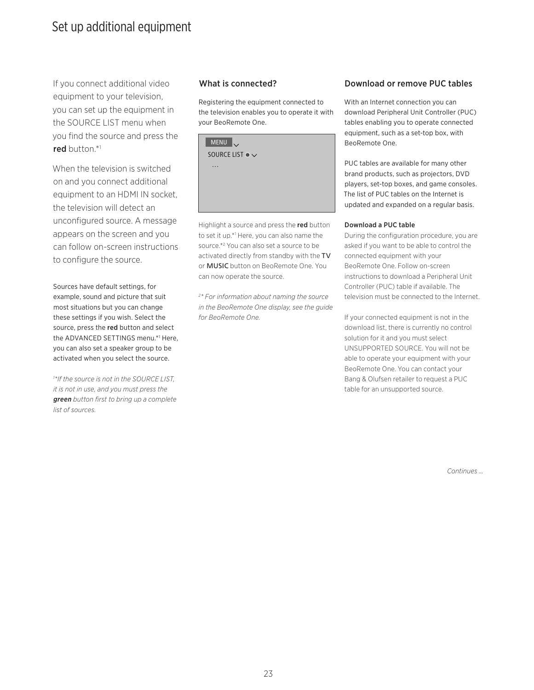## <span id="page-22-0"></span>Set up additional equipment

If you connect additional video equipment to your television, you can set up the equipment in the SOURCE LIST menu when you find the source and press the red button.\*1

When the television is switched on and you connect additional equipment to an HDMI IN socket, the television will detect an unconfigured source. A message appears on the screen and you can follow on-screen instructions to configure the source.

Sources have default settings, for example, sound and picture that suit most situations but you can change these settings if you wish. Select the source, press the red button and select the ADVANCED SETTINGS menu.\*1 Here, you can also set a speaker group to be activated when you select the source.

*1 \*If the source is not in the SOURCE LIST, it is not in use, and you must press the green button first to bring up a complete list of sources.* 

Registering the equipment connected to the television enables you to operate it with your BeoRemote One.



Highlight a source and press the red button to set it up.\*1 Here, you can also name the source.\*2 You can also set a source to be activated directly from standby with the TV or MUSIC button on BeoRemote One. You can now operate the source.

*2 \* For information about naming the source in the BeoRemote One display, see the guide for BeoRemote One.*

#### What is connected? Download or remove PUC tables

With an Internet connection you can download Peripheral Unit Controller (PUC) tables enabling you to operate connected equipment, such as a set-top box, with BeoRemote One.

PUC tables are available for many other brand products, such as projectors, DVD players, set-top boxes, and game consoles. The list of PUC tables on the Internet is updated and expanded on a regular basis.

#### Download a PUC table

During the configuration procedure, you are asked if you want to be able to control the connected equipment with your BeoRemote One. Follow on-screen instructions to download a Peripheral Unit Controller (PUC) table if available. The television must be connected to the Internet.

If your connected equipment is not in the download list, there is currently no control solution for it and you must select UNSUPPORTED SOURCE. You will not be able to operate your equipment with your BeoRemote One. You can contact your Bang & Olufsen retailer to request a PUC table for an unsupported source.

*Continues …*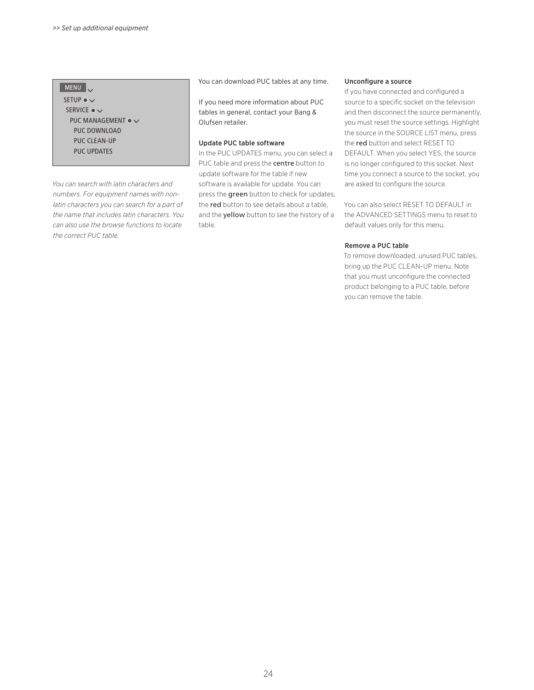#### MENU

SETUP  $\bullet \vee$ SERVICE ●  $\checkmark$ PUC MANAGEMENT  $\bullet \checkmark$  PUC DOWNLOAD PUC CLEAN-UP PUC UPDATES

*You can search with latin characters and numbers. For equipment names with nonlatin characters you can search for a part of the name that includes latin characters. You can also use the browse functions to locate the correct PUC table.* 

You can download PUC tables at any time.

If you need more information about PUC tables in general, contact your Bang & Olufsen retailer.

#### Update PUC table software

In the PUC UPDATES menu, you can select a PUC table and press the centre button to update software for the table if new software is available for update. You can press the **green** button to check for updates, the red button to see details about a table, and the yellow button to see the history of a table.

#### Unconfigure a source

If you have connected and configured a source to a specific socket on the television and then disconnect the source permanently, you must reset the source settings. Highlight the source in the SOURCE LIST menu, press the red button and select RESET TO DEFAULT. When you select YES, the source is no longer configured to this socket. Next time you connect a source to the socket, you are asked to configure the source.

You can also select RESET TO DEFAULT in the ADVANCED SETTINGS menu to reset to default values only for this menu.

#### Remove a PUC table

To remove downloaded, unused PUC tables, bring up the PUC CLEAN-UP menu. Note that you must unconfigure the connected product belonging to a PUC table, before you can remove the table.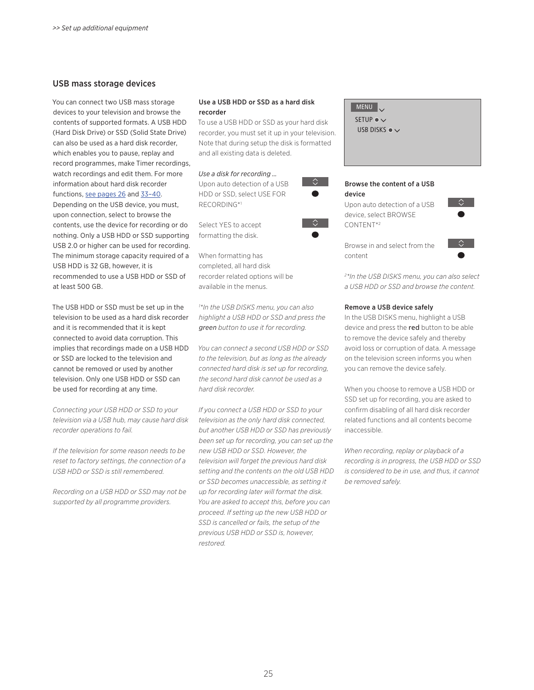#### <span id="page-24-0"></span>USB mass storage devices

You can connect two USB mass storage devices to your television and browse the contents of supported formats. A USB HDD (Hard Disk Drive) or SSD (Solid State Drive) can also be used as a hard disk recorder, which enables you to pause, replay and record programmes, make Timer recordings, watch recordings and edit them. For more information about hard disk recorder functions, [see pages 26](#page-25-0) and 33-40. Depending on the USB device, you must, upon connection, select to browse the contents, use the device for recording or do nothing. Only a USB HDD or SSD supporting USB 2.0 or higher can be used for recording. The minimum storage capacity required of a USB HDD is 32 GB, however, it is recommended to use a USB HDD or SSD of at least 500 GB.

The USB HDD or SSD must be set up in the television to be used as a hard disk recorder and it is recommended that it is kept connected to avoid data corruption. This implies that recordings made on a USB HDD or SSD are locked to the television and cannot be removed or used by another television. Only one USB HDD or SSD can be used for recording at any time.

*Connecting your USB HDD or SSD to your television via a USB hub, may cause hard disk recorder operations to fail.* 

*If the television for some reason needs to be reset to factory settings, the connection of a USB HDD or SSD is still remembered.*

*Recording on a USB HDD or SSD may not be supported by all programme providers.* 

#### Use a USB HDD or SSD as a hard disk recorder

To use a USB HDD or SSD as your hard disk recorder, you must set it up in your television. Note that during setup the disk is formatted and all existing data is deleted.

 $\Diamond$ 

#### *Use a disk for recording …*

Upon auto detection of a USB HDD or SSD, select USE FOR RECORDING\*1

Select YES to accept formatting the disk.

When formatting has completed, all hard disk recorder related options will be available in the menus.

*1 \*In the USB DISKS menu, you can also highlight a USB HDD or SSD and press the green button to use it for recording.* 

*You can connect a second USB HDD or SSD to the television, but as long as the already connected hard disk is set up for recording, the second hard disk cannot be used as a hard disk recorder.* 

*If you connect a USB HDD or SSD to your television as the only hard disk connected, but another USB HDD or SSD has previously been set up for recording, you can set up the new USB HDD or SSD. However, the television will forget the previous hard disk setting and the contents on the old USB HDD or SSD becomes unaccessible, as setting it up for recording later will format the disk. You are asked to accept this, before you can proceed. If setting up the new USB HDD or SSD is cancelled or fails, the setup of the previous USB HDD or SSD is, however, restored.* 

| MENU | J SETUP  $\bullet \checkmark$ USB DISKS  $\bullet \checkmark$ 

#### Browse the content of a USB device

Upon auto detection of a USB device, select BROWSE CONTENT\*2



Browse in and select from the content



*2 \*In the USB DISKS menu, you can also select a USB HDD or SSD and browse the content.* 

#### Remove a USB device safely

In the USB DISKS menu, highlight a USB device and press the red button to be able to remove the device safely and thereby avoid loss or corruption of data. A message on the television screen informs you when you can remove the device safely.

When you choose to remove a USB HDD or SSD set up for recording, you are asked to confirm disabling of all hard disk recorder related functions and all contents become inaccessible.

*When recording, replay or playback of a recording is in progress, the USB HDD or SSD is considered to be in use, and thus, it cannot be removed safely.*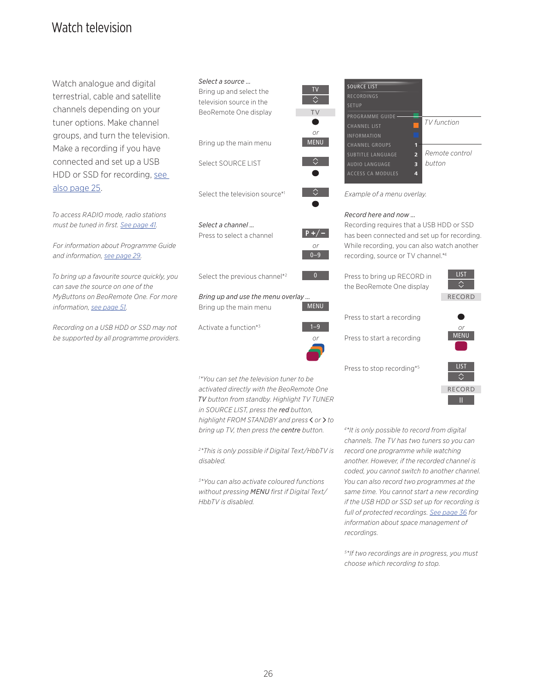## <span id="page-25-0"></span>Watch television

Watch analogue and digital terrestrial, cable and satellite channels depending on your tuner options. Make channel groups, and turn the television. Make a recording if you have connected and set up a USB HDD or SSD for recording, [see](#page-24-0)  [also page 25.](#page-24-0)

*To access RADIO mode, radio stations must be tuned in first. [See page 41](#page-40-0).* 

*For information about Programme Guide and information, [see page 29](#page-28-0).* 

*To bring up a favourite source quickly, you can save the source on one of the MyButtons on BeoRemote One. For more information, [see page 51](#page-50-0).*

*Recording on a USB HDD or SSD may not be supported by all programme providers.* 





#### *Bring up and use the menu overlay …*

Bring up the main menu

Activate a function\*3



*or* 0–9

TV

 $\Diamond$ 

TV

*or*

⇔

 $\Diamond$ 

*1 \*You can set the television tuner to be activated directly with the BeoRemote One TV button from standby. Highlight TV TUNER in SOURCE LIST, press the red button, highlight FROM STANDBY and press or to bring up TV, then press the centre button.* 

*2 \*This is only possible if Digital Text/HbbTV is disabled.* 

*3 \*You can also activate coloured functions without pressing MENU first if Digital Text/ HbbTV is disabled.* 



*Example of a menu overlay.* 

#### *Record here and now …*

Recording requires that a USB HDD or SSD has been connected and set up for recording. While recording, you can also watch another recording, source or TV channel.\*4

| Press to bring up RECORD in |  |
|-----------------------------|--|
| the BeoRemote One display   |  |

Press to start a recording

Press to stop recording\*5



Press to start a recording





*4 \*It is only possible to record from digital channels. The TV has two tuners so you can record one programme while watching another. However, if the recorded channel is coded, you cannot switch to another channel. You can also record two programmes at the same time. You cannot start a new recording if the USB HDD or SSD set up for recording is full of protected recordings. [See page 36](#page-35-0) for information about space management of recordings.* 

*5 \*If two recordings are in progress, you must choose which recording to stop.*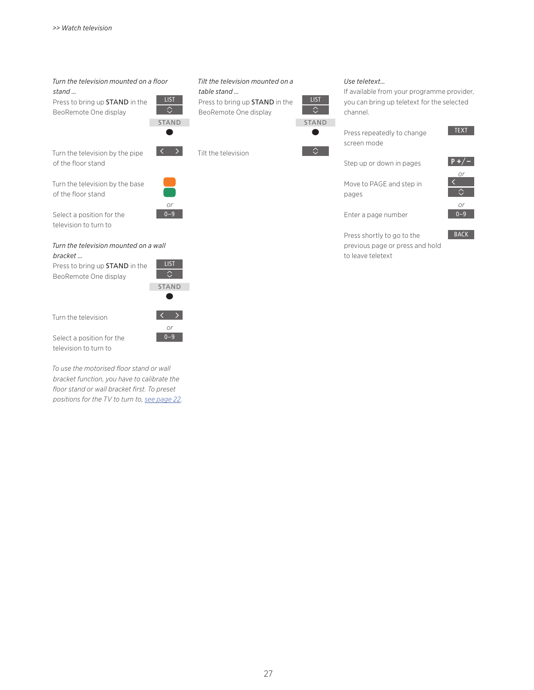#### *Turn the television mounted on a floor stand …*  **LIST**

Press to bring up STAND in the BeoRemote One display

Turn the television by the pipe of the floor stand

*or*  $0 - 9$ 

STAND

 $\Diamond$ 

Turn the television by the base of the floor stand

Select a position for the television to turn to

#### *Turn the television mounted on a wall bracket …*

Press to bring up STAND in the BeoRemote One display



*or*  $0-9$ 



Select a position for the television to turn to

*To use the motorised floor stand or wall bracket function, you have to calibrate the floor stand or wall bracket first. To preset positions for the TV to turn to, [see page 22.](#page-21-0)* 

#### *Tilt the television mounted on a table stand …*  Press to bring up STAND in the

BeoRemote One display

Tilt the television



**LIST** 

 $\overline{\Diamond}$ 

#### *Use teletext…*

If available from your programme provider, you can bring up teletext for the selected channel.

Press repeatedly to change screen mode

Step up or down in pages

Move to PAGE and step in



TEXT

Enter a page number

pages

Press shortly to go to the previous page or press and hold to leave teletext



BACK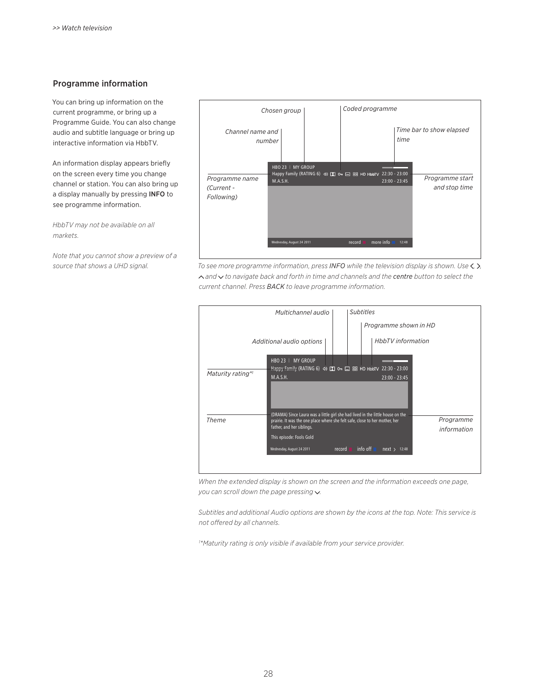#### Programme information

You can bring up information on the current programme, or bring up a Programme Guide. You can also change audio and subtitle language or bring up interactive information via HbbTV.

An information display appears briefly on the screen every time you change channel or station. You can also bring up a display manually by pressing INFO to see programme information.

*HbbTV may not be available on all markets.* 

*Note that you cannot show a preview of a* 



*source that shows a UHD signal. To see more programme information, press INFO while the television display is shown. Use , , and to navigate back and forth in time and channels and the centre button to select the current channel. Press BACK to leave programme information.* 



*When the extended display is shown on the screen and the information exceeds one page, you can scroll down the page pressing*  $\vee$ .

*Subtitles and additional Audio options are shown by the icons at the top. Note: This service is not offered by all channels.* 

*1 \*Maturity rating is only visible if available from your service provider.*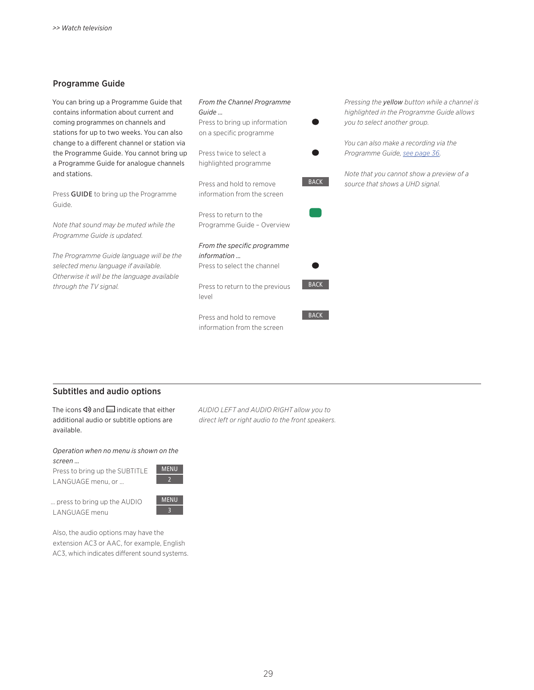#### <span id="page-28-0"></span>Programme Guide

You can bring up a Programme Guide that contains information about current and coming programmes on channels and stations for up to two weeks. You can also change to a different channel or station via the Programme Guide. You cannot bring up a Programme Guide for analogue channels and stations.

Press GUIDE to bring up the Programme Guide.

*Note that sound may be muted while the Programme Guide is updated.* 

*The Programme Guide language will be the selected menu language if available. Otherwise it will be the language available through the TV signal.* 



*Pressing the yellow button while a channel is highlighted in the Programme Guide allows you to select another group.* 

*You can also make a recording via the Programme Guide, [see page 36.](#page-35-0)* 

*Note that you cannot show a preview of a source that shows a UHD signal.*

#### Subtitles and audio options

The icons  $\Phi$  and  $\Box$  indicate that either additional audio or subtitle options are available.

*Operation when no menu is shown on the screen …*

Press to bring up the SUBTITLE LANGUAGE menu, or …

MENU 2

… press to bring up the AUDIO LANGUAGE menu



Also, the audio options may have the extension AC3 or AAC, for example, English AC3, which indicates different sound systems. *AUDIO LEFT and AUDIO RIGHT allow you to direct left or right audio to the front speakers.*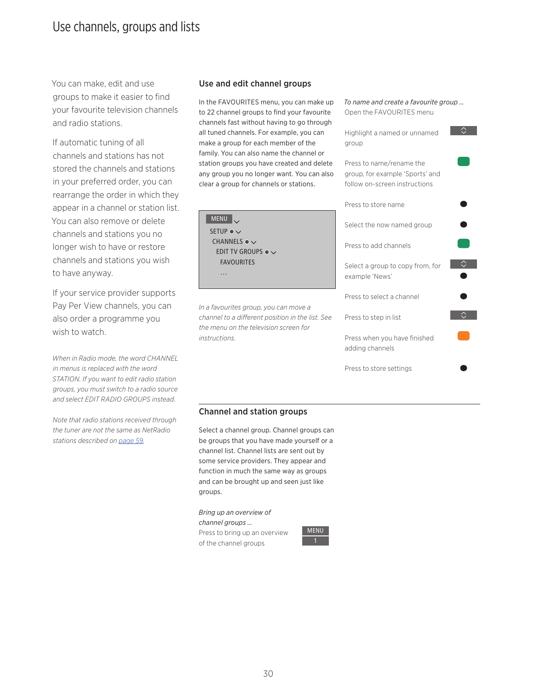## <span id="page-29-0"></span>Use channels, groups and lists

You can make, edit and use groups to make it easier to find your favourite television channels and radio stations.

If automatic tuning of all channels and stations has not stored the channels and stations in your preferred order, you can rearrange the order in which they appear in a channel or station list. You can also remove or delete channels and stations you no longer wish to have or restore channels and stations you wish to have anyway.

If your service provider supports Pay Per View channels, you can also order a programme you wish to watch.

*When in Radio mode, the word CHANNEL in menus is replaced with the word STATION. If you want to edit radio station groups, you must switch to a radio source and select EDIT RADIO GROUPS instead.* 

*Note that radio stations received through the tuner are not the same as NetRadio stations described on [page 59.](#page-58-0)*

#### Use and edit channel groups

In the FAVOURITES menu, you can make up to 22 channel groups to find your favourite channels fast without having to go through all tuned channels. For example, you can make a group for each member of the family. You can also name the channel or station groups you have created and delete any group you no longer want. You can also clear a group for channels or stations.

MENU SETUP  $\bullet \checkmark$ CHANNELS ●  $\checkmark$ EDIT TV GROUPS ●  $\smallsmile$  FAVOURITES …

*In a favourites group, you can move a channel to a different position in the list. See the menu on the television screen for instructions.*

*To name and create a favourite group …*  Open the FAVOURITES menu  $\Diamond$ Highlight a named or unnamed group Press to name/rename the group, for example 'Sports' and follow on-screen instructions Press to store name Select the now named group Press to add channels  $\sim$   $\sim$ Select a group to copy from, for example 'News' Press to select a channel Press to step in list Press when you have finished adding channels Press to store settings

#### Channel and station groups

Select a channel group. Channel groups can be groups that you have made yourself or a channel list. Channel lists are sent out by some service providers. They appear and function in much the same way as groups and can be brought up and seen just like groups.

*Bring up an overview of* 

*channel groups …*  Press to bring up an overview of the channel groups

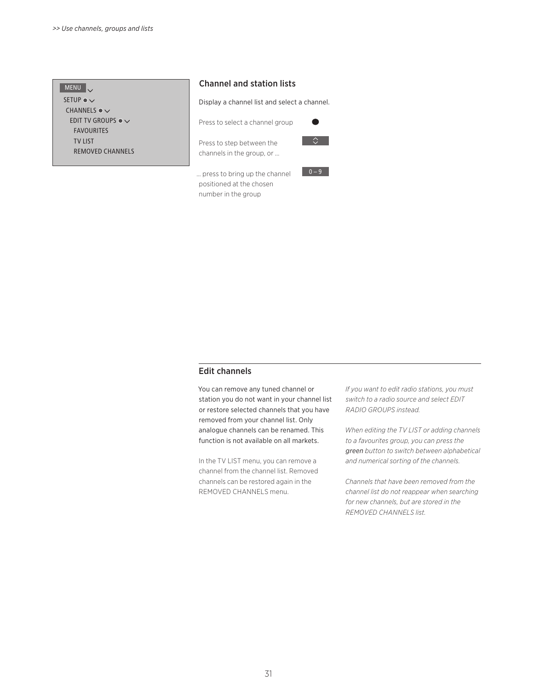| <b>MENU</b>                            |  |
|----------------------------------------|--|
| SETUP $\bullet \vee$                   |  |
| CHANNELS $\bullet \vee$                |  |
| FDIT TV GROUPS $\bullet$ $\smallsmile$ |  |
| <b>FAVOURITES</b>                      |  |
| <b>TV LIST</b>                         |  |
| <b>REMOVED CHANNELS</b>                |  |

#### Channel and station lists

Display a channel list and select a channel.

Press to select a channel group

Press to step between the channels in the group, or …



 $0 - 9$ 

… press to bring up the channel positioned at the chosen number in the group

#### Edit channels

You can remove any tuned channel or station you do not want in your channel list or restore selected channels that you have removed from your channel list. Only analogue channels can be renamed. This function is not available on all markets.

In the TV LIST menu, you can remove a channel from the channel list. Removed channels can be restored again in the REMOVED CHANNELS menu.

*If you want to edit radio stations, you must switch to a radio source and select EDIT RADIO GROUPS instead.* 

*When editing the TV LIST or adding channels to a favourites group, you can press the green button to switch between alphabetical and numerical sorting of the channels.* 

*Channels that have been removed from the channel list do not reappear when searching for new channels, but are stored in the REMOVED CHANNELS list.*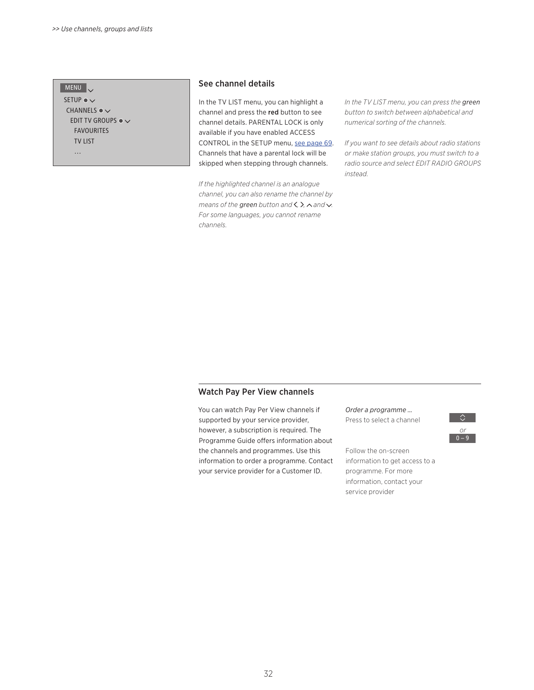#### MENU

SETUP  $\bullet \checkmark$ CHANNELS  $\bullet \checkmark$ EDIT TV GROUPS  $\bullet \checkmark$  FAVOURITES TV LIST …

#### See channel details

In the TV LIST menu, you can highlight a channel and press the red button to see channel details. PARENTAL LOCK is only available if you have enabled ACCESS CONTROL in the SETUP menu, [see page 69](#page-68-0). Channels that have a parental lock will be skipped when stepping through channels.

*If the highlighted channel is an analogue channel, you can also rename the channel by means of the green button and*  $\langle$ ,  $\rangle$ ,  $\land$  and  $\lor$ . *For some languages, you cannot rename channels.* 

*In the TV LIST menu, you can press the green button to switch between alphabetical and numerical sorting of the channels.* 

*If you want to see details about radio stations or make station groups, you must switch to a radio source and select EDIT RADIO GROUPS instead.* 

#### Watch Pay Per View channels

You can watch Pay Per View channels if supported by your service provider, however, a subscription is required. The Programme Guide offers information about the channels and programmes. Use this information to order a programme. Contact your service provider for a Customer ID.

*Order a programme …* 

Press to select a channel



Follow the on-screen information to get access to a programme. For more information, contact your service provider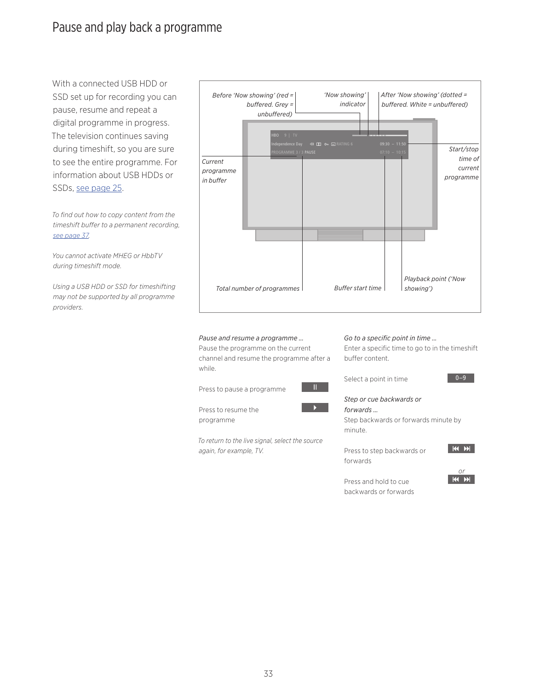## <span id="page-32-0"></span>Pause and play back a programme

With a connected USB HDD or SSD set up for recording you can pause, resume and repeat a digital programme in progress. The television continues saving during timeshift, so you are sure to see the entire programme. For information about USB HDDs or SSDs, [see page 25.](#page-24-0)

*To find out how to copy content from the timeshift buffer to a permanent recording, [see page 37](#page-36-0).*

*You cannot activate MHEG or HbbTV during timeshift mode.* 

*Using a USB HDD or SSD for timeshifting may not be supported by all programme providers.* 



#### *Pause and resume a programme …*

Pause the programme on the current channel and resume the programme after a while.

*To return to the live signal, select the source* 

Press to pause a programme

Press to resume the programme

*again, for example, TV.* 



Ш

*Go to a specific point in time …* 

Enter a specific time to go to in the timeshift buffer content.

Select a point in time



*Step or cue backwards or forwards …* 

Step backwards or forwards minute by minute.

Press to step backwards or forwards



 $0 - 9$ 

Press and hold to cue



backwards or forwards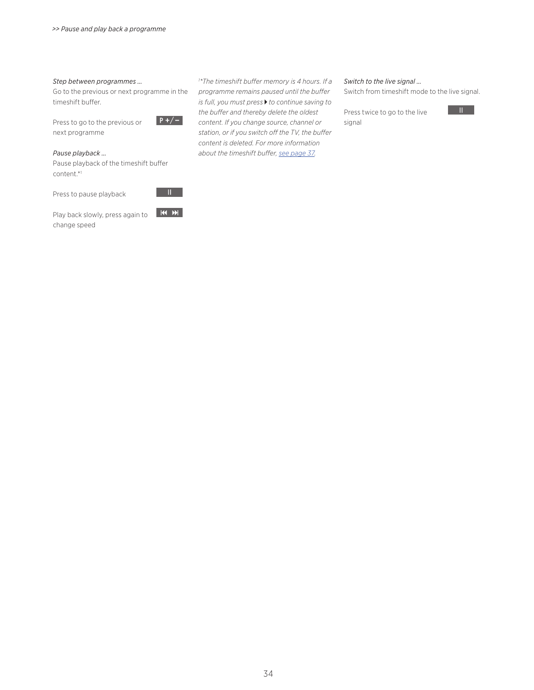#### *Step between programmes …*

Go to the previous or next programme in the timeshift buffer.

Press to go to the previous or next programme



#### *Pause playback …*

Pause playback of the timeshift buffer content.\*1

Press to pause playback



Play back slowly, press again to change speed

*1 \*The timeshift buffer memory is 4 hours. If a programme remains paused until the buffer is full, you must press* ▶ to continue saving to *the buffer and thereby delete the oldest content. If you change source, channel or station, or if you switch off the TV, the buffer content is deleted. For more information about the timeshift buffer, [see page 37](#page-36-0).* 

#### *Switch to the live signal …*

Switch from timeshift mode to the live signal.

Press twice to go to the live signal

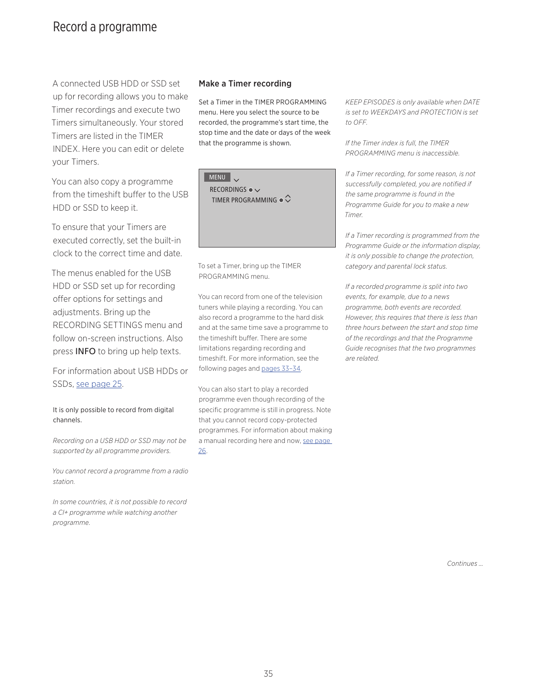## <span id="page-34-0"></span>Record a programme

A connected USB HDD or SSD set up for recording allows you to make Timer recordings and execute two Timers simultaneously. Your stored Timers are listed in the TIMER INDEX. Here you can edit or delete your Timers.

You can also copy a programme from the timeshift buffer to the USB HDD or SSD to keep it.

To ensure that your Timers are executed correctly, set the built-in clock to the correct time and date.

The menus enabled for the USB HDD or SSD set up for recording offer options for settings and adjustments. Bring up the RECORDING SETTINGS menu and follow on-screen instructions. Also press INFO to bring up help texts.

For information about USB HDDs or SSDs, [see page 25.](#page-24-0)

#### It is only possible to record from digital channels.

*Recording on a USB HDD or SSD may not be supported by all programme providers.* 

*You cannot record a programme from a radio station.* 

*In some countries, it is not possible to record a CI+ programme while watching another programme.*

#### Make a Timer recording

Set a Timer in the TIMER PROGRAMMING menu. Here you select the source to be recorded, the programme's start time, the stop time and the date or days of the week that the programme is shown.

MENU V RECORDINGS ●  $\checkmark$ TIMER PROGRAMMING  $\bullet$   $\heartsuit$ 

To set a Timer, bring up the TIMER PROGRAMMING menu.

You can record from one of the television tuners while playing a recording. You can also record a programme to the hard disk and at the same time save a programme to the timeshift buffer. There are some limitations regarding recording and timeshift. For more information, see the following pages and [pages 33–34](#page-32-0).

You can also start to play a recorded programme even though recording of the specific programme is still in progress. Note that you cannot record copy-protected programmes. For information about making a manual recording here and now, [see page](#page-25-0)  [26](#page-25-0).

*KEEP EPISODES is only available when DATE is set to WEEKDAYS and PROTECTION is set to OFF.* 

*If the Timer index is full, the TIMER PROGRAMMING menu is inaccessible.* 

*If a Timer recording, for some reason, is not successfully completed, you are notified if the same programme is found in the Programme Guide for you to make a new Timer.* 

*If a Timer recording is programmed from the Programme Guide or the information display, it is only possible to change the protection, category and parental lock status.* 

*If a recorded programme is split into two events, for example, due to a news programme, both events are recorded. However, this requires that there is less than three hours between the start and stop time of the recordings and that the Programme Guide recognises that the two programmes are related.*

*Continues …*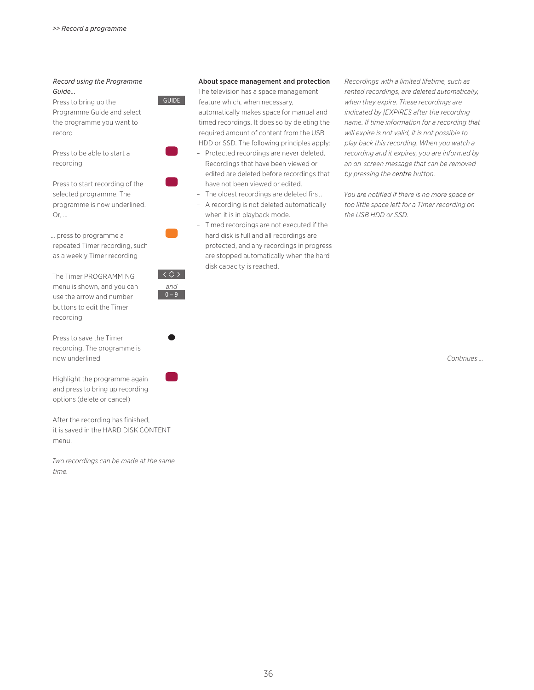#### *Record using the Programme Guide…*

Press to bring up the Programme Guide and select the programme you want to record

Press to be able to start a recording

Press to start recording of the selected programme. The programme is now underlined. Or, …

… press to programme a repeated Timer recording, such as a weekly Timer recording

The Timer PROGRAMMING menu is shown, and you can use the arrow and number buttons to edit the Timer recording

Press to save the Timer recording. The programme is now underlined

Highlight the programme again and press to bring up recording options (delete or cancel)

After the recording has finished, it is saved in the HARD DISK CONTENT menu.

*Two recordings can be made at the same time.*

# GUIDE

*and*  $0 - 9$ 

 $\langle \Diamond \rangle$ 

#### <span id="page-35-0"></span>About space management and protection

The television has a space management feature which, when necessary, automatically makes space for manual and timed recordings. It does so by deleting the required amount of content from the USB HDD or SSD. The following principles apply:

- Protected recordings are never deleted.
- Recordings that have been viewed or edited are deleted before recordings that have not been viewed or edited.
- The oldest recordings are deleted first.
- A recording is not deleted automatically when it is in playback mode.
- Timed recordings are not executed if the hard disk is full and all recordings are protected, and any recordings in progress are stopped automatically when the hard disk capacity is reached.

*Recordings with a limited lifetime, such as rented recordings, are deleted automatically, when they expire. These recordings are indicated by |EXPIRES after the recording name. If time information for a recording that will expire is not valid, it is not possible to play back this recording. When you watch a recording and it expires, you are informed by an on-screen message that can be removed by pressing the centre button.* 

*You are notified if there is no more space or too little space left for a Timer recording on the USB HDD or SSD.* 

*Continues …*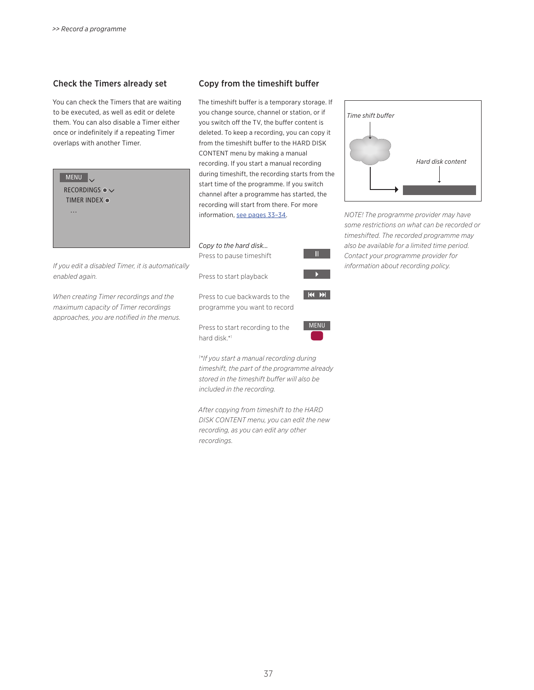### Check the Timers already set

You can check the Timers that are waiting to be executed, as well as edit or delete them. You can also disable a Timer either once or indefinitely if a repeating Timer overlaps with another Timer.

| <b>MENU</b><br>RECORDINGS $\bullet \checkmark$<br>TIMER INDEX $\bullet$<br>$\cdots$ | Tecorumy. Il you start a manuar<br>during timeshift, the recording s<br>start time of the programme. If<br>channel after a programme has<br>recording will start from there. F<br>information, see pages 33-34. |
|-------------------------------------------------------------------------------------|-----------------------------------------------------------------------------------------------------------------------------------------------------------------------------------------------------------------|
|                                                                                     | Copy to the hard disk<br>Press to pause timeshift                                                                                                                                                               |
| If you edit a disabled Timer, it is automatically<br>enabled again.                 | Press to start playback                                                                                                                                                                                         |
|                                                                                     |                                                                                                                                                                                                                 |

*When creating Timer recordings and the maximum capacity of Timer recordings approaches, you are notified in the menus.* 

### Copy from the timeshift buffer

The timeshift buffer is a temporary storage. If you change source, channel or station, or if you switch off the TV, the buffer content is deleted. To keep a recording, you can copy it from the timeshift buffer to the HARD DISK CONTENT menu by making a manual recording. If you start a manual recording starts from the you switch started, the For more

| Copy to the hard disk<br>Press to pause timeshift |
|---------------------------------------------------|
| Press to start playback                           |
| Press to cue backwards to the                     |

programme you want to record

Press to start recording to the hard disk.\*1

*1 \*If you start a manual recording during timeshift, the part of the programme already stored in the timeshift buffer will also be included in the recording.* 

MENU

KIN

H.

*After copying from timeshift to the HARD DISK CONTENT menu, you can edit the new recording, as you can edit any other recordings.* 



*NOTE! The programme provider may have some restrictions on what can be recorded or timeshifted. The recorded programme may also be available for a limited time period. Contact your programme provider for information about recording policy.*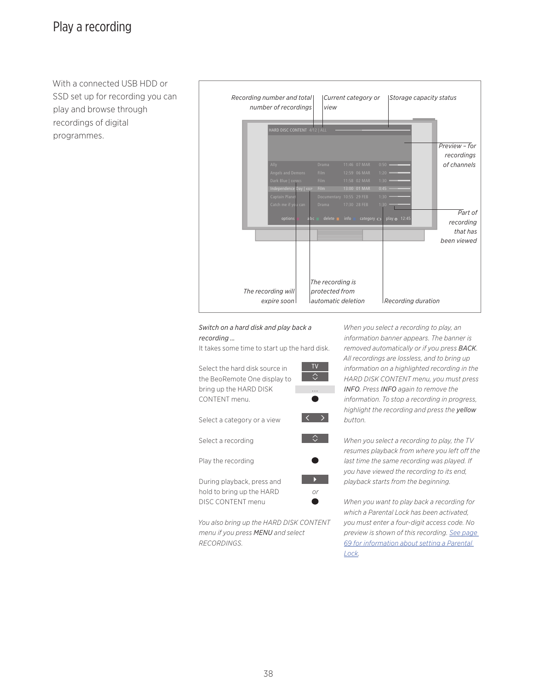With a connected USB HDD or SSD set up for recording you can play and browse through recordings of digital programmes.



### *Switch on a hard disk and play back a recording …*

It takes some time to start up the hard disk.



*You also bring up the HARD DISK CONTENT menu if you press MENU and select RECORDINGS.* 

*When you select a recording to play, an information banner appears. The banner is removed automatically or if you press BACK. All recordings are lossless, and to bring up information on a highlighted recording in the HARD DISK CONTENT menu, you must press INFO. Press INFO again to remove the information. To stop a recording in progress, highlight the recording and press the yellow button.* 

*When you select a recording to play, the TV resumes playback from where you left off the last time the same recording was played. If you have viewed the recording to its end, playback starts from the beginning.* 

*When you want to play back a recording for which a Parental Lock has been activated, you must enter a four-digit access code. No preview is shown of this recording. [See page](#page-68-0)  [69 for information about setting a Parental](#page-68-0)  [Lock](#page-68-0).*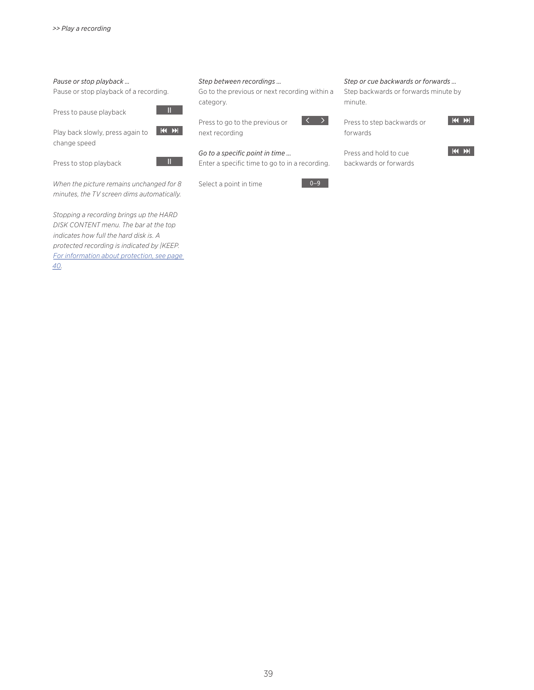### *Pause or stop playback …*

Pause or stop playback of a recording.

Press to pause playback

Play back slowly, press again to KI DH change speed

Press to stop playback



 $\mathbf{H}$ 

*When the picture remains unchanged for 8 minutes, the TV screen dims automatically.* 

*Stopping a recording brings up the HARD DISK CONTENT menu. The bar at the top indicates how full the hard disk is. A protected recording is indicated by |KEEP. [For information about protection, see page](#page-39-0)  [40](#page-39-0).* 

#### *Step between recordings …*

Go to the previous or next recording within a category.

Press to go to the previous or next recording

*Go to a specific point in time …* 

Enter a specific time to go to in a recording.

Select a point in time



 $\langle \quad \rangle$ 

*Step or cue backwards or forwards …*  Step backwards or forwards minute by minute.

Press to step backwards or forwards



Press and hold to cue backwards or forwards

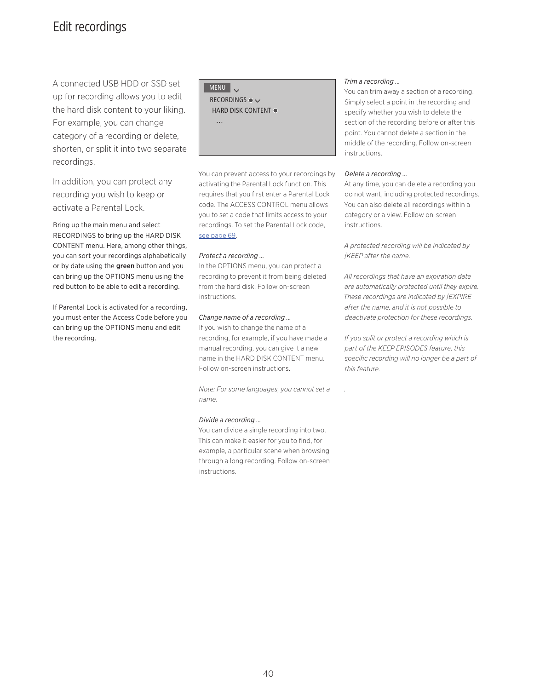### <span id="page-39-0"></span>Edit recordings

A connected USB HDD or SSD set up for recording allows you to edit the hard disk content to your liking. For example, you can change category of a recording or delete, shorten, or split it into two separate recordings.

In addition, you can protect any recording you wish to keep or activate a Parental Lock.

Bring up the main menu and select RECORDINGS to bring up the HARD DISK CONTENT menu. Here, among other things, you can sort your recordings alphabetically or by date using the green button and you can bring up the OPTIONS menu using the red button to be able to edit a recording.

If Parental Lock is activated for a recording, you must enter the Access Code before you can bring up the OPTIONS menu and edit the recording.

MENU V

…

RECORDINGS  $\bullet$ HARD DISK CONTENT .

You can prevent access to your recordings by activating the Parental Lock function. This requires that you first enter a Parental Lock code. The ACCESS CONTROL menu allows you to set a code that limits access to your recordings. To set the Parental Lock code, [see page 69.](#page-68-0)

### *Protect a recording …*

In the OPTIONS menu, you can protect a recording to prevent it from being deleted from the hard disk. Follow on-screen instructions.

### *Change name of a recording …*

If you wish to change the name of a recording, for example, if you have made a manual recording, you can give it a new name in the HARD DISK CONTENT menu. Follow on-screen instructions.

*Note: For some languages, you cannot set a name.*

### *Divide a recording …*

You can divide a single recording into two. This can make it easier for you to find, for example, a particular scene when browsing through a long recording. Follow on-screen instructions.

#### *Trim a recording …*

You can trim away a section of a recording. Simply select a point in the recording and specify whether you wish to delete the section of the recording before or after this point. You cannot delete a section in the middle of the recording. Follow on-screen instructions.

#### *Delete a recording …*

At any time, you can delete a recording you do not want, including protected recordings. You can also delete all recordings within a category or a view. Follow on-screen instructions.

*A protected recording will be indicated by |KEEP after the name.* 

*All recordings that have an expiration date are automatically protected until they expire. These recordings are indicated by |EXPIRE after the name, and it is not possible to deactivate protection for these recordings.* 

*If you split or protect a recording which is part of the KEEP EPISODES feature, this specific recording will no longer be a part of this feature.* 

*.*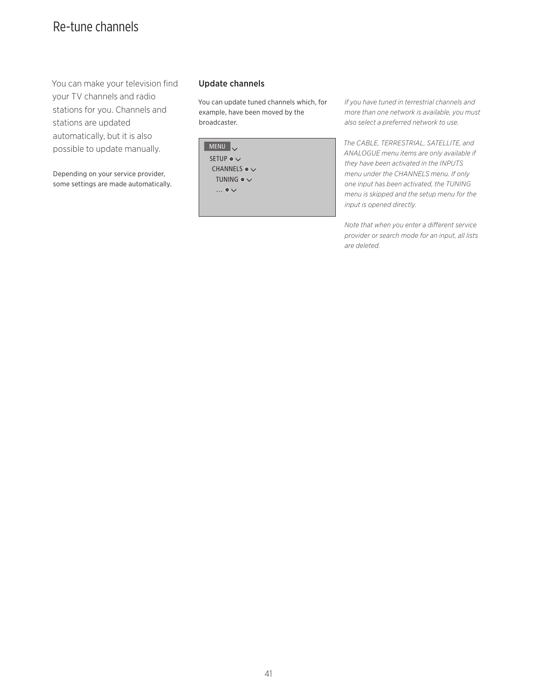# Re-tune channels

You can make your television find your TV channels and radio stations for you. Channels and stations are updated automatically, but it is also possible to update manually.

Depending on your service provider, some settings are made automatically.

### Update channels

You can update tuned channels which, for example, have been moved by the broadcaster.

| <b>MENU</b>             |  |
|-------------------------|--|
| SETUP $\bullet \vee$    |  |
| CHANNELS $\bullet \vee$ |  |
| TUNING $\bullet \vee$   |  |
| $\ldots \bullet \vee$   |  |
|                         |  |

*If you have tuned in terrestrial channels and more than one network is available, you must also select a preferred network to use.* 

*The CABLE, TERRESTRIAL, SATELLITE, and ANALOGUE menu items are only available if they have been activated in the INPUTS menu under the CHANNELS menu. If only one input has been activated, the TUNING menu is skipped and the setup menu for the input is opened directly.* 

*Note that when you enter a different service provider or search mode for an input, all lists are deleted.*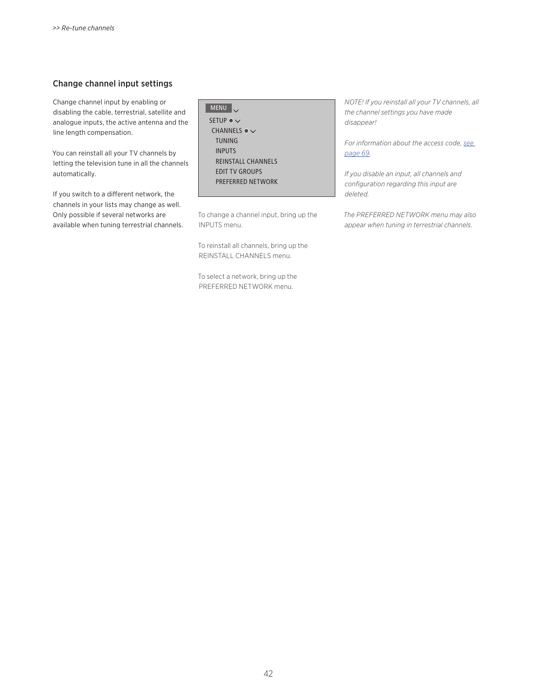### Change channel input settings

Change channel input by enabling or disabling the cable, terrestrial, satellite and analogue inputs, the active antenna and the line length compensation.

You can reinstall all your TV channels by letting the television tune in all the channels automatically.

If you switch to a different network, the channels in your lists may change as well. Only possible if several networks are available when tuning terrestrial channels.

### MENU SETUP  $\bullet \checkmark$ CHANNELS ●  $\checkmark$  TUNING INPUTS REINSTALL CHANNELS EDIT TV GROUPS PREFERRED NETWORK

To change a channel input, bring up the INPUTS menu.

To reinstall all channels, bring up the REINSTALL CHANNELS menu.

To select a network, bring up the PREFERRED NETWORK menu.

*NOTE! If you reinstall all your TV channels, all the channel settings you have made disappear!* 

*For information about the access code, [see](#page-68-0)  [page 69](#page-68-0).*

*If you disable an input, all channels and configuration regarding this input are deleted.* 

*The PREFERRED NETWORK menu may also appear when tuning in terrestrial channels.*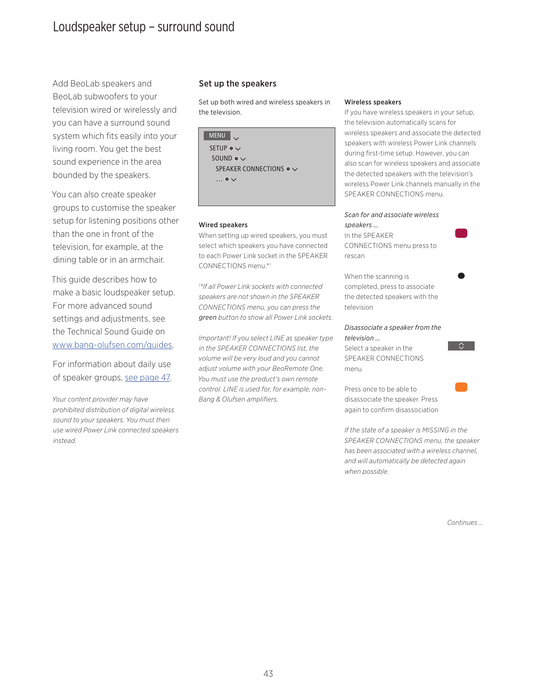### Loudspeaker setup – surround sound

Add BeoLab speakers and BeoLab subwoofers to your television wired or wirelessly and you can have a surround sound system which fits easily into your living room. You get the best sound experience in the area bounded by the speakers.

You can also create speaker groups to customise the speaker setup for listening positions other than the one in front of the television, for example, at the dining table or in an armchair.

This guide describes how to make a basic loudspeaker setup. For more advanced sound settings and adjustments, see the Technical Sound Guide on [www.bang-olufsen.com/guides.](http://www.bang-olufsen.com/guides)

For information about daily use of speaker groups, [see page 47](#page-46-0).

*Your content provider may have prohibited distribution of digital wireless sound to your speakers. You must then use wired Power Link connected speakers instead.*

### Set up the speakers

Set up both wired and wireless speakers in the television.

| <b>MENU</b><br>$\overline{\phantom{0}}$  |
|------------------------------------------|
| SFTUP $\bullet \vee$                     |
| SOLUTION                                 |
| SPEAKER CONNECTIONS $\bullet \checkmark$ |
| $\ldots \bullet \vee$                    |
|                                          |

#### Wired speakers

When setting up wired speakers, you must select which speakers you have connected to each Power Link socket in the SPEAKER CONNECTIONS menu.\*1

*1 \*If all Power Link sockets with connected speakers are not shown in the SPEAKER CONNECTIONS menu, you can press the green button to show all Power Link sockets.* 

*Important! If you select LINE as speaker type in the SPEAKER CONNECTIONS list, the volume will be very loud and you cannot adjust volume with your BeoRemote One. You must use the product's own remote control. LINE is used for, for example, non-Bang & Olufsen amplifiers.*

#### Wireless speakers

If you have wireless speakers in your setup, the television automatically scans for wireless speakers and associate the detected speakers with wireless Power Link channels during first-time setup. However, you can also scan for wireless speakers and associate the detected speakers with the television's wireless Power Link channels manually in the SPEAKER CONNECTIONS menu.

### *Scan for and associate wireless speakers …*

In the SPEAKER CONNECTIONS menu press to rescan

When the scanning is completed, press to associate the detected speakers with the television

### *Disassociate a speaker from the television …*

Select a speaker in the SPEAKER CONNECTIONS menu



Press once to be able to disassociate the speaker. Press again to confirm disassociation

*If the state of a speaker is MISSING in the SPEAKER CONNECTIONS menu, the speaker has been associated with a wireless channel, and will automatically be detected again when possible.* 

*Continues …*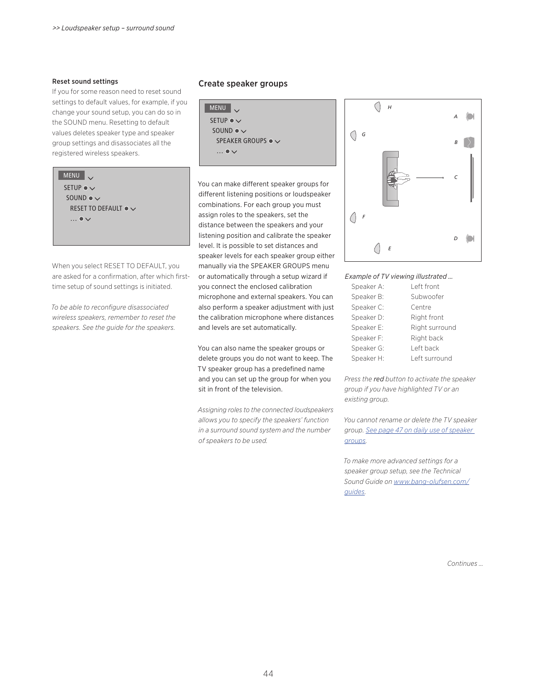#### Reset sound settings

If you for some reason need to reset sound settings to default values, for example, if you change your sound setup, you can do so in the SOUND menu. Resetting to default values deletes speaker type and speaker group settings and disassociates all the registered wireless speakers.

### MENU V

SETUP  $\bullet \checkmark$ SOUND  $\bullet \checkmark$ RESET TO DEFAULT ●  $\smallsmile$  $\ldots \bullet \vee$ 

When you select RESET TO DEFAULT, you are asked for a confirmation, after which firsttime setup of sound settings is initiated.

*To be able to reconfigure disassociated wireless speakers, remember to reset the speakers. See the guide for the speakers.*

### <span id="page-43-0"></span>Create speaker groups

```
MENU .
SETUP \bullet \checkmarkSOUND \bullet \checkmarkSPEAKER GROUPS \bullet \checkmark… ● \vee
```
You can make different speaker groups for different listening positions or loudspeaker combinations. For each group you must assign roles to the speakers, set the distance between the speakers and your listening position and calibrate the speaker level. It is possible to set distances and speaker levels for each speaker group either manually via the SPEAKER GROUPS menu or automatically through a setup wizard if you connect the enclosed calibration microphone and external speakers. You can also perform a speaker adjustment with just the calibration microphone where distances and levels are set automatically.

You can also name the speaker groups or delete groups you do not want to keep. The TV speaker group has a predefined name and you can set up the group for when you sit in front of the television.

*Assigning roles to the connected loudspeakers allows you to specify the speakers' function in a surround sound system and the number of speakers to be used.* 



### *Example of TV viewing illustrated …*

| Speaker A: | Left front     |
|------------|----------------|
| Speaker B: | Subwoofer      |
| Speaker C: | Centre         |
| Speaker D: | Right front    |
| Speaker E: | Right surround |
| Speaker F: | Right back     |
| Speaker G: | Left back      |
| Speaker H: | Left surround  |

*Press the red button to activate the speaker group if you have highlighted TV or an existing group.* 

*You cannot rename or delete the TV speaker group. [See page 47 on daily use of speaker](#page-46-0)  [groups](#page-46-0).*

*To make more advanced settings for a speaker group setup, see the Technical Sound Guide on [www.bang-olufsen.com/](http://www.bang-olufsen.com/guides) [guides](http://www.bang-olufsen.com/guides).* 

*Continues …*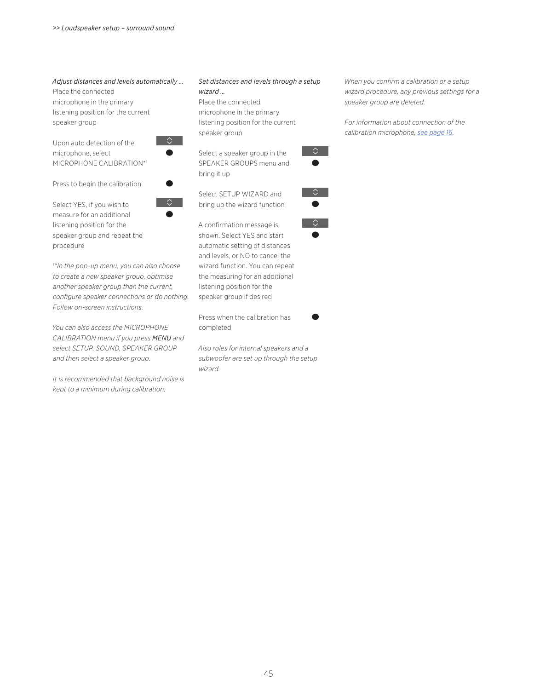*Adjust distances and levels automatically …*  Place the connected microphone in the primary listening position for the current speaker group

Upon auto detection of the microphone, select MICROPHONE CALIBRATION\*1

Press to begin the calibration

Select YES, if you wish to

 $\Diamond$ 

 $\bullet$ 

measure for an additional listening position for the speaker group and repeat the procedure

*1 \*In the pop-up menu, you can also choose to create a new speaker group, optimise another speaker group than the current, configure speaker connections or do nothing. Follow on-screen instructions.* 

*You can also access the MICROPHONE CALIBRATION menu if you press MENU and select SETUP, SOUND, SPEAKER GROUP and then select a speaker group.* 

*It is recommended that background noise is kept to a minimum during calibration.*

### *Set distances and levels through a setup wizard …*

Place the connected microphone in the primary listening position for the current speaker group

Select a speaker group in the SPEAKER GROUPS menu and bring it up

Select SETUP WIZARD and bring up the wizard function

A confirmation message is shown. Select YES and start automatic setting of distances and levels, or NO to cancel the wizard function. You can repeat the measuring for an additional listening position for the speaker group if desired

Press when the calibration has completed

*Also roles for internal speakers and a subwoofer are set up through the setup wizard.* 

45

*When you confirm a calibration or a setup wizard procedure, any previous settings for a speaker group are deleted.* 

*For information about connection of the calibration microphone, [see page 16](#page-15-0).* 



 $\Diamond$ 



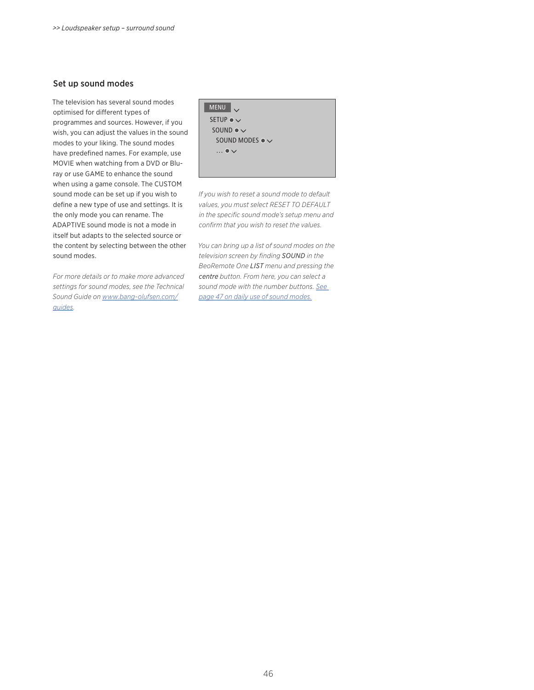### Set up sound modes

The television has several sound modes optimised for different types of programmes and sources. However, if you wish, you can adjust the values in the sound modes to your liking. The sound modes have predefined names. For example, use MOVIE when watching from a DVD or Bluray or use GAME to enhance the sound when using a game console. The CUSTOM sound mode can be set up if you wish to define a new type of use and settings. It is the only mode you can rename. The ADAPTIVE sound mode is not a mode in itself but adapts to the selected source or the content by selecting between the other sound modes.

*For more details or to make more advanced settings for sound modes, see the Technical Sound Guide on [www.bang-olufsen.com/](http://www.bang-olufsen.com/guides) [guides.](http://www.bang-olufsen.com/guides)* 

```
MENUSETUP \bullet \checkmarkSOUND \bullet \checkmarkSOUND MODES ● \checkmark\ldots \bullet \smile
```
*If you wish to reset a sound mode to default values, you must select RESET TO DEFAULT in the specific sound mode's setup menu and confirm that you wish to reset the values.* 

*You can bring up a list of sound modes on the television screen by finding SOUND in the BeoRemote One LIST menu and pressing the centre button. From here, you can select a sound mode with the number buttons. [See](#page-46-0)  [page 47 on daily use of sound modes.](#page-46-0)*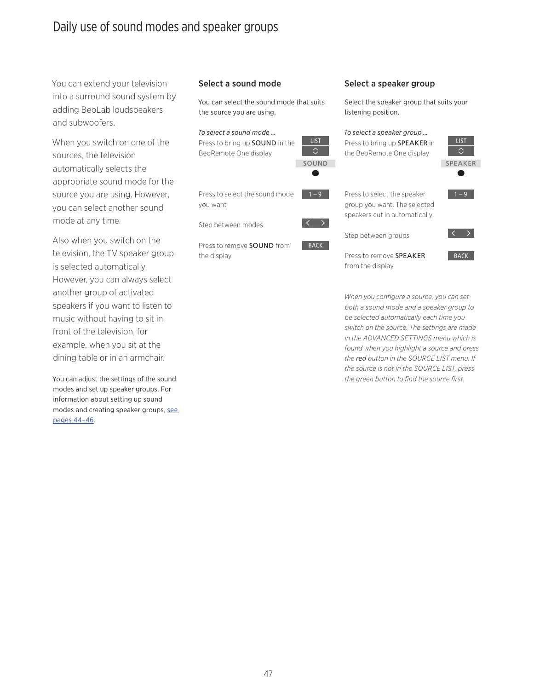### <span id="page-46-0"></span>Daily use of sound modes and speaker groups

You can extend your television into a surround sound system by adding BeoLab loudspeakers and subwoofers.

When you switch on one of the sources, the television automatically selects the appropriate sound mode for the source you are using. However, you can select another sound mode at any time.

Also when you switch on the television, the TV speaker group is selected automatically. However, you can always select another group of activated speakers if you want to listen to music without having to sit in front of the television, for example, when you sit at the dining table or in an armchair.

You can adjust the settings of the sound modes and set up speaker groups. For information about setting up sound modes and creating speaker groups, [see](#page-43-0)  [pages 44–46.](#page-43-0)

### Select a sound mode Select a speaker group

You can select the sound mode that suits the source you are using.

LIST

**BACK** 

### *To select a sound mode …* Press to bring up SOUND in the BeoRemote One display SOUND

Press to select the sound mode you want

Step between modes

Press to remove SOUND from the display

Select the speaker group that suits your listening position.

| To select a speaker group<br>Press to bring up <b>SPEAKER</b> in<br>the BeoRemote One display | <b>LIST</b>    |
|-----------------------------------------------------------------------------------------------|----------------|
|                                                                                               | <b>SPEAKER</b> |
| Press to select the speaker<br>group you want. The selected<br>speakers cut in automatically  | – 9            |
| Step between groups                                                                           |                |
| Press to remove <b>SPFAKFR</b><br>from the display                                            | <b>BACK</b>    |

*When you configure a source, you can set both a sound mode and a speaker group to be selected automatically each time you switch on the source. The settings are made in the ADVANCED SETTINGS menu which is found when you highlight a source and press the red button in the SOURCE LIST menu. If the source is not in the SOURCE LIST, press the green button to find the source first.*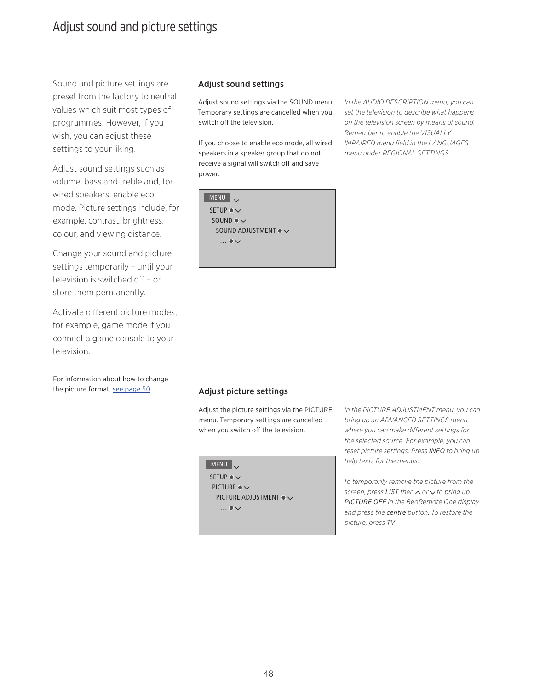### Adjust sound and picture settings

Sound and picture settings are preset from the factory to neutral values which suit most types of programmes. However, if you wish, you can adjust these settings to your liking.

Adjust sound settings such as volume, bass and treble and, for wired speakers, enable eco mode. Picture settings include, for example, contrast, brightness, colour, and viewing distance.

Change your sound and picture settings temporarily – until your television is switched off – or store them permanently.

Activate different picture modes, for example, game mode if you connect a game console to your television.

For information about how to change the picture format, [see page 50](#page-49-0).

### Adjust sound settings

Adjust sound settings via the SOUND menu. Temporary settings are cancelled when you switch off the television.

If you choose to enable eco mode, all wired speakers in a speaker group that do not receive a signal will switch off and save power.



*In the AUDIO DESCRIPTION menu, you can set the television to describe what happens on the television screen by means of sound. Remember to enable the VISUALLY IMPAIRED menu field in the LANGUAGES menu under REGIONAL SETTINGS.* 

### Adjust picture settings

Adjust the picture settings via the PICTURE menu. Temporary settings are cancelled when you switch off the television.

| <b>MENU</b>                       |
|-----------------------------------|
| SETUP $\bullet \vee$              |
| PICTURE $\bullet \vee$            |
| PICTURE ADJUSTMENT $\bullet \vee$ |
| $\ldots \bullet \vee$             |
|                                   |

*In the PICTURE ADJUSTMENT menu, you can bring up an ADVANCED SETTINGS menu where you can make different settings for the selected source. For example, you can reset picture settings. Press INFO to bring up help texts for the menus.* 

*To temporarily remove the picture from the screen, press LIST then ∧ or*  $∨$  *to bring up PICTURE OFF in the BeoRemote One display and press the centre button. To restore the picture, press TV.*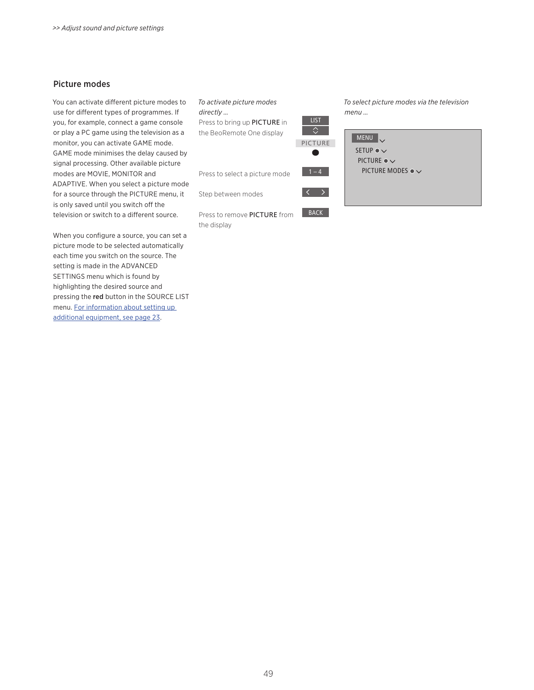### Picture modes

You can activate different picture modes to use for different types of programmes. If you, for example, connect a game console or play a PC game using the television as a monitor, you can activate GAME mode. GAME mode minimises the delay caused by signal processing. Other available picture modes are MOVIE, MONITOR and ADAPTIVE. When you select a picture mode for a source through the PICTURE menu, it is only saved until you switch off the television or switch to a different source.

When you configure a source, you can set a picture mode to be selected automatically each time you switch on the source. The setting is made in the ADVANCED SETTINGS menu which is found by highlighting the desired source and pressing the red button in the SOURCE LIST menu. [For information about setting up](#page-22-0)  [additional equipment, see page 23.](#page-22-0)

### *To activate picture modes*

*directly …*  Press to bring up PICTURE in

the BeoRemote One display

Press to select a picture mode

Step between modes

Press to remove PICTURE from the display

**BACK** 

 $\langle \rangle$ 

 $\Diamond$ 

 $\bullet$ 

*To select picture modes via the television menu …* 

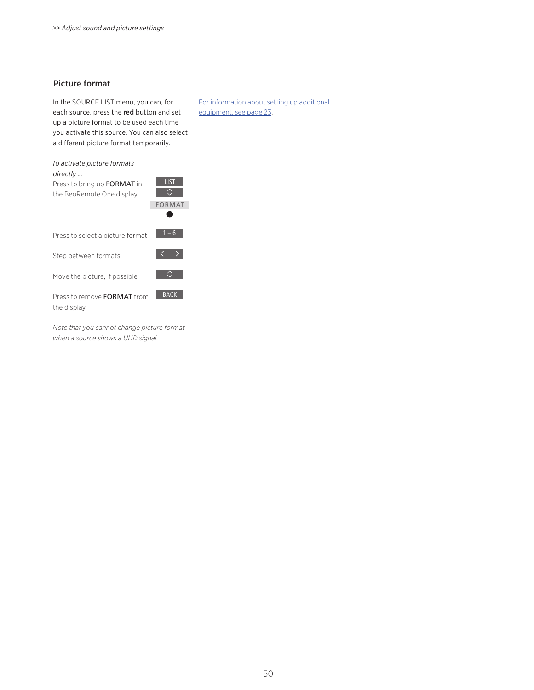### <span id="page-49-0"></span>Picture format

In the SOURCE LIST menu, you can, for each source, press the red button and set up a picture format to be used each time you activate this source. You can also select a different picture format temporarily.

[For information about setting up additional](#page-22-0)  [equipment, see page 23](#page-22-0).

*To activate picture formats directly …* 

Press to bring up FORMAT in the BeoRemote One display

|          | <b>FORMAT</b> |
|----------|---------------|
|          |               |
| e format | $1 - 6$       |

**LIST** 

 $\overline{\Omega}$ 

**BACK** 

 $\vert \langle \ \rangle$ 

 $\sim$   $\sim$ 

Press to select a picture format

Step between formats

Move the picture, if possible

Press to remove FORMAT from the display

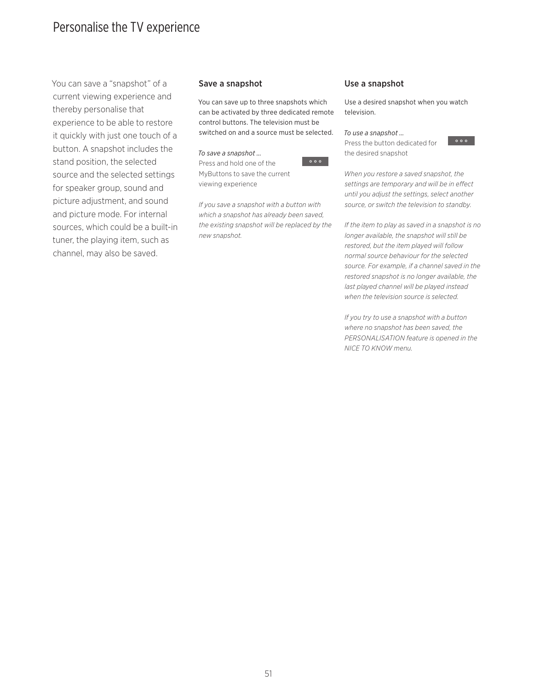### <span id="page-50-0"></span>Personalise the TV experience

You can save a "snapshot" of a current viewing experience and thereby personalise that experience to be able to restore it quickly with just one touch of a button. A snapshot includes the stand position, the selected source and the selected settings for speaker group, sound and picture adjustment, and sound and picture mode. For internal sources, which could be a built-in tuner, the playing item, such as channel, may also be saved.

### Save a snapshot

You can save up to three snapshots which can be activated by three dedicated remote control buttons. The television must be switched on and a source must be selected.

*To save a snapshot …*  Press and hold one of the MyButtons to save the current viewing experience



### Use a snapshot

Use a desired snapshot when you watch television.

#### *To use a snapshot …*

Press the button dedicated for the desired snapshot



*When you restore a saved snapshot, the settings are temporary and will be in effect until you adjust the settings, select another source, or switch the television to standby.* 

*If the item to play as saved in a snapshot is no longer available, the snapshot will still be restored, but the item played will follow normal source behaviour for the selected source. For example, if a channel saved in the restored snapshot is no longer available, the last played channel will be played instead when the television source is selected.* 

*If you try to use a snapshot with a button where no snapshot has been saved, the PERSONALISATION feature is opened in the NICE TO KNOW menu.*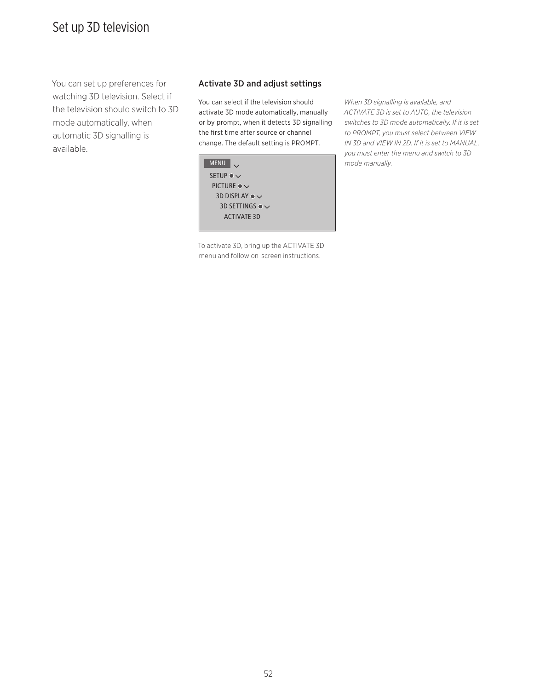### Set up 3D television

You can set up preferences for watching 3D television. Select if the television should switch to 3D mode automatically, when automatic 3D signalling is available.

### Activate 3D and adjust settings

You can select if the television should activate 3D mode automatically, manually or by prompt, when it detects 3D signalling the first time after source or channel change. The default setting is PROMPT.

MENU SETUP  $\bullet \checkmark$ PICTURE  $\bullet \checkmark$ 3D DISPLAY  $\bullet \checkmark$  3D SETTINGS ACTIVATE 3D

To activate 3D, bring up the ACTIVATE 3D menu and follow on-screen instructions.

*When 3D signalling is available, and ACTIVATE 3D is set to AUTO, the television switches to 3D mode automatically. If it is set to PROMPT, you must select between VIEW IN 3D and VIEW IN 2D. If it is set to MANUAL, you must enter the menu and switch to 3D mode manually.*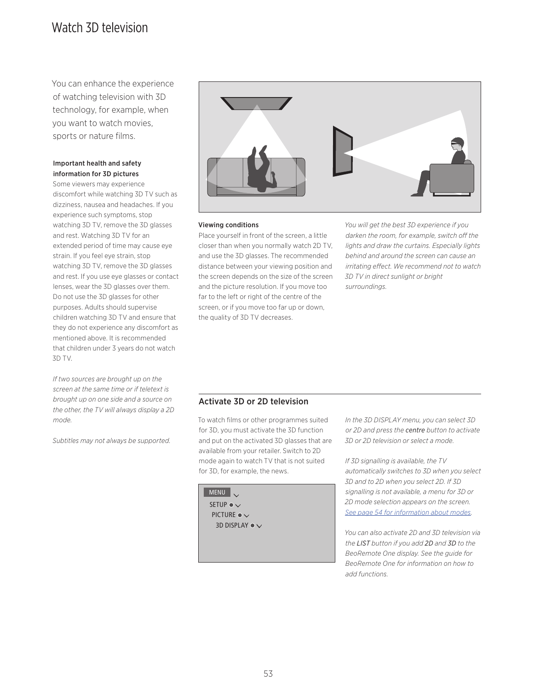### Watch 3D television

You can enhance the experience of watching television with 3D technology, for example, when you want to watch movies, sports or nature films.

### Important health and safety information for 3D pictures

Some viewers may experience discomfort while watching 3D TV such as dizziness, nausea and headaches. If you experience such symptoms, stop watching 3D TV, remove the 3D glasses and rest. Watching 3D TV for an extended period of time may cause eye strain. If you feel eye strain, stop watching 3D TV, remove the 3D glasses and rest. If you use eye glasses or contact lenses, wear the 3D glasses over them. Do not use the 3D glasses for other purposes. Adults should supervise children watching 3D TV and ensure that they do not experience any discomfort as mentioned above. It is recommended that children under 3 years do not watch 3D TV.

*If two sources are brought up on the screen at the same time or if teletext is brought up on one side and a source on the other, the TV will always display a 2D mode.* 

*Subtitles may not always be supported.* 



### Viewing conditions

Place yourself in front of the screen, a little closer than when you normally watch 2D TV, and use the 3D glasses. The recommended distance between your viewing position and the screen depends on the size of the screen and the picture resolution. If you move too far to the left or right of the centre of the screen, or if you move too far up or down, the quality of 3D TV decreases.

*You will get the best 3D experience if you darken the room, for example, switch off the lights and draw the curtains. Especially lights behind and around the screen can cause an irritating effect. We recommend not to watch 3D TV in direct sunlight or bright surroundings.*

### Activate 3D or 2D television

To watch films or other programmes suited for 3D, you must activate the 3D function and put on the activated 3D glasses that are available from your retailer. Switch to 2D mode again to watch TV that is not suited for 3D, for example, the news.



*In the 3D DISPLAY menu, you can select 3D or 2D and press the centre button to activate 3D or 2D television or select a mode.* 

*If 3D signalling is available, the TV automatically switches to 3D when you select 3D and to 2D when you select 2D. If 3D signalling is not available, a menu for 3D or 2D mode selection appears on the screen. [See page 54 for information about modes](#page-53-0).* 

*You can also activate 2D and 3D television via the LIST button if you add 2D and 3D to the BeoRemote One display. See the guide for BeoRemote One for information on how to add functions.*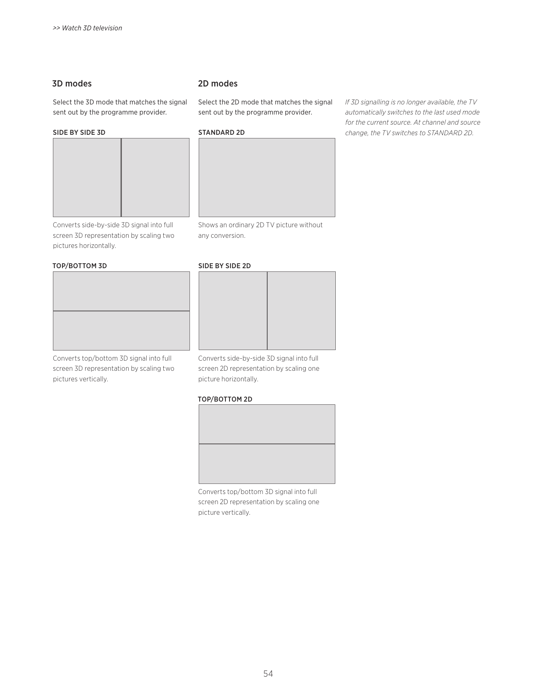### <span id="page-53-0"></span>3D modes

Select the 3D mode that matches the signal sent out by the programme provider.

### SIDE BY SIDE 3D



Converts side-by-side 3D signal into full screen 3D representation by scaling two pictures horizontally.

#### TOP/BOTTOM 3D

Converts top/bottom 3D signal into full screen 3D representation by scaling two pictures vertically.

### 2D modes

Select the 2D mode that matches the signal sent out by the programme provider.

### STANDARD 2D



Shows an ordinary 2D TV picture without any conversion.

### SIDE BY SIDE 2D



Converts side-by-side 3D signal into full screen 2D representation by scaling one picture horizontally.

### TOP/BOTTOM 2D



Converts top/bottom 3D signal into full screen 2D representation by scaling one picture vertically.

*If 3D signalling is no longer available, the TV automatically switches to the last used mode for the current source. At channel and source change, the TV switches to STANDARD 2D.*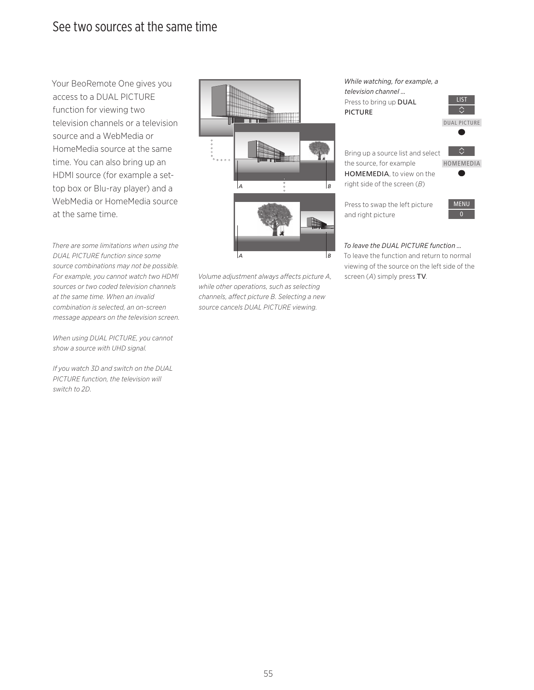### See two sources at the same time

Your BeoRemote One gives you access to a DUAL PICTURE function for viewing two television channels or a television source and a WebMedia or HomeMedia source at the same time. You can also bring up an HDMI source (for example a settop box or Blu-ray player) and a WebMedia or HomeMedia source at the same time.

*There are some limitations when using the DUAL PICTURE function since some source combinations may not be possible. For example, you cannot watch two HDMI sources or two coded television channels at the same time. When an invalid combination is selected, an on-screen message appears on the television screen.* 

*When using DUAL PICTURE, you cannot show a source with UHD signal.* 

*If you watch 3D and switch on the DUAL PICTURE function, the television will switch to 2D.* 



*Volume adjustment always affects picture A, while other operations, such as selecting channels, affect picture B. Selecting a new source cancels DUAL PICTURE viewing.* 

*While watching, for example, a television channel …*  Press to bring up DUAL PICTURE



Bring up a source list and select the source, for example HOMEMEDIA, to view on the right side of the screen (*B*)

HOMEMEDIA  $\bullet$ 

Press to swap the left picture and right picture



*To leave the DUAL PICTURE function …*  To leave the function and return to normal viewing of the source on the left side of the screen (*A*) simply press TV.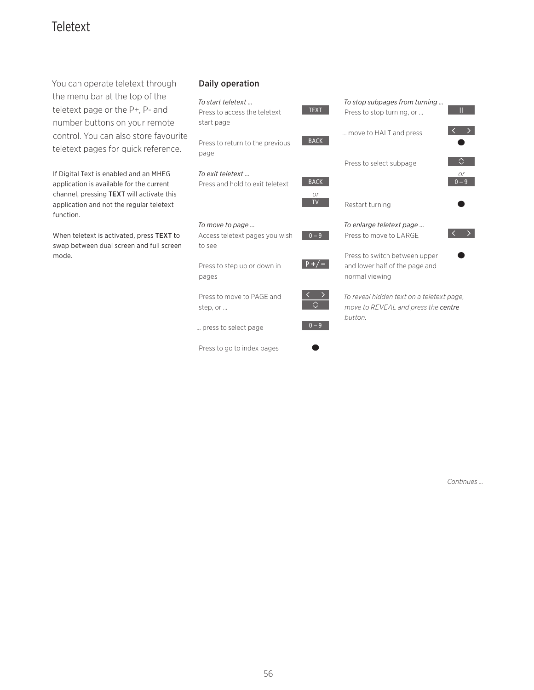# Teletext

You can operate teletext through the menu bar at the top of the teletext page or the P+, P- and number buttons on your remote control. You can also store favourite teletext pages for quick reference.

If Digital Text is enabled and an MHEG application is available for the current channel, pressing TEXT will activate this application and not the regular teletext function.

When teletext is activated, press TEXT to swap between dual screen and full screen mode.

### Daily operation

### *To start teletext …*



Press to return to the previous page

*To exit teletext …*  Press and hold to exit teletext

Access teletext pages you wish

Press to step up or down in

# **BACK**  $0 - 9$ *or*

TEXT



*To enlarge teletext page …*  Press to move to LARGE



Press to switch between upper and lower half of the page and normal viewing

*To reveal hidden text on a teletext page, move to REVEAL and press the centre button.*

Press to move to PAGE and

… press to select page

*To move to page …* 

to see

pages

step, or …

Press to go to index pages





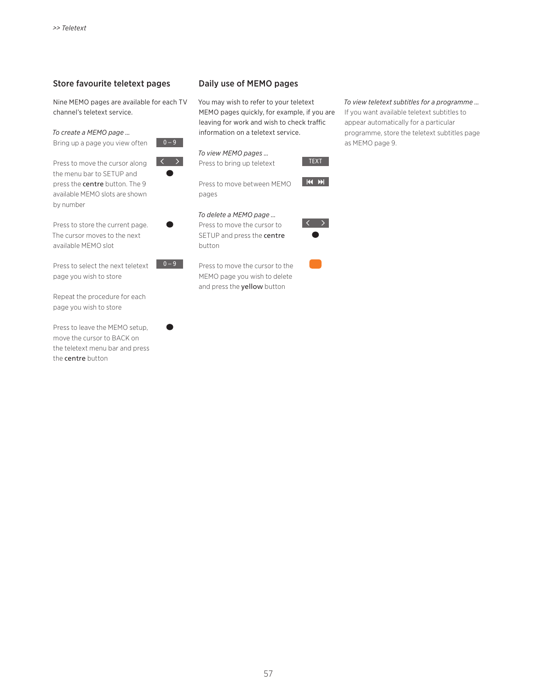### Store favourite teletext pages

Nine MEMO pages are available for each TV channel's teletext service.

*To create a MEMO page …* 





 $\bullet$ 

 $0 - 9$ 

Press to move the cursor along the menu bar to SETUP and press the centre button. The 9 available MEMO slots are shown by number

Press to store the current page. The cursor moves to the next available MEMO slot

Press to select the next teletext page you wish to store

Repeat the procedure for each page you wish to store

Press to leave the MEMO setup, move the cursor to BACK on the teletext menu bar and press the centre button

### Daily use of MEMO pages

You may wish to refer to your teletext MEMO pages quickly, for example, if you are leaving for work and wish to check traffic information on a teletext service.



Press to move between MEMO pages

### *To delete a MEMO page …*

Press to move the cursor to SETUP and press the centre button

Press to move the cursor to the MEMO page you wish to delete and press the yellow button



TEXT

 $M$ 

### *To view teletext subtitles for a programme …*

If you want available teletext subtitles to appear automatically for a particular programme, store the teletext subtitles page as MEMO page 9.



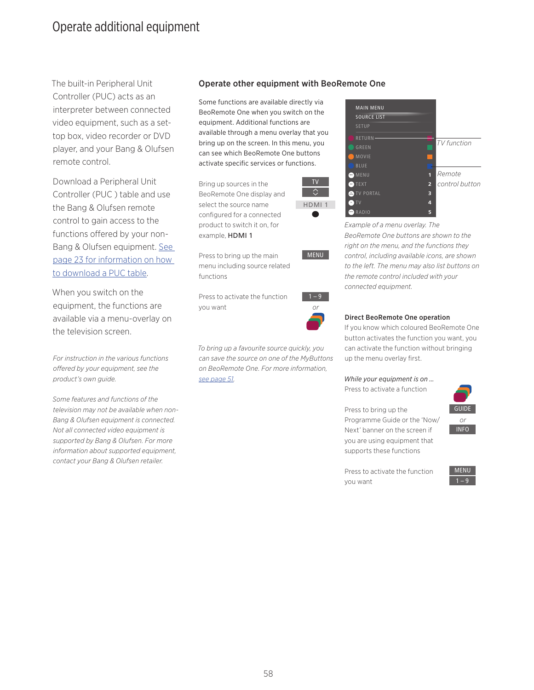### Operate additional equipment

The built-in Peripheral Unit Controller (PUC) acts as an interpreter between connected video equipment, such as a settop box, video recorder or DVD player, and your Bang & Olufsen remote control.

Download a Peripheral Unit Controller (PUC ) table and use the Bang & Olufsen remote control to gain access to the functions offered by your non-Bang & Olufsen equipment. [See](#page-22-0)  [page 23 for information on how](#page-22-0)  [to download a PUC table](#page-22-0).

When you switch on the equipment, the functions are available via a menu-overlay on the television screen.

*For instruction in the various functions offered by your equipment, see the product's own guide.* 

*Some features and functions of the television may not be available when non-Bang & Olufsen equipment is connected. Not all connected video equipment is supported by Bang & Olufsen. For more information about supported equipment, contact your Bang & Olufsen retailer.* 

### Operate other equipment with BeoRemote One

Some functions are available directly via BeoRemote One when you switch on the equipment. Additional functions are available through a menu overlay that you bring up on the screen. In this menu, you can see which BeoRemote One buttons activate specific services or functions.

Bring up sources in the BeoRemote One display and select the source name configured for a connected product to switch it on, for example, HDMI 1



Press to bring up the main menu including source related functions

Press to activate the function you want

 $1 - 9$ *or*

MENU

*To bring up a favourite source quickly, you can save the source on one of the MyButtons on BeoRemote One. For more information, [see page 51.](#page-50-0)*



*Example of a menu overlay. The BeoRemote One buttons are shown to the right on the menu, and the functions they control, including available icons, are shown to the left. The menu may also list buttons on the remote control included with your connected equipment.* 



### Direct BeoRemote One operation

If you know which coloured BeoRemote One button activates the function you want, you can activate the function without bringing up the menu overlay first.

### *While your equipment is on …*

Press to activate a function



Press to bring up the Programme Guide or the 'Now/ Next' banner on the screen if you are using equipment that supports these functions



Press to activate the function you want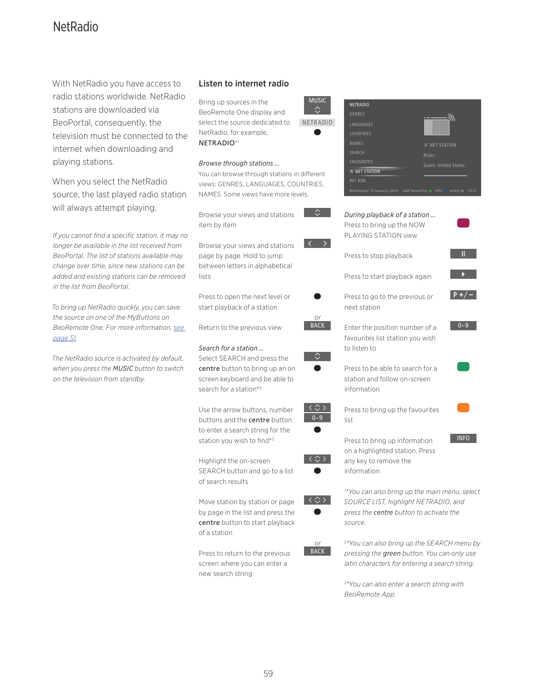### **NetRadio**

With NetRadio you have access to radio stations worldwide. NetRadio stations are downloaded via BeoPortal, consequently, the television must be connected to the internet when downloading and playing stations.

When you select the NetRadio source, the last played radio station will always attempt playing.

*If you cannot find a specific station, it may no longer be available in the list received from BeoPortal. The list of stations available may change over time, since new stations can be added and existing stations can be removed in the list from BeoPortal.* 

*To bring up NetRadio quickly, you can save the source on one of the MyButtons on BeoRemote One. For more information, [see](#page-50-0)  [page 51](#page-50-0).*

*The NetRadio source is activated by default, when you press the MUSIC button to switch on the television from standby.*

### Listen to internet radio

Bring up sources in the BeoRemote One display and select the source dedicated to NetRadio, for example, NETRADIO\*1

### *Browse through stations …*

You can browse through stations in different views: GENRES, LANGUAGES, COUNTRIES, NAMES. Some views have more levels.

MUSIC

NETRADIO

**NETRAD** 

Browse your views and stations item by item

Browse your views and stations page by page. Hold to jump between letters in alphabetical lists

Press to open the next level or start playback of a station

Return to the previous view

### *Search for a station …*

Select SEARCH and press the centre button to bring up an on screen keyboard and be able to search for a station\*2

Use the arrow buttons, number buttons and the centre button to enter a search string for the station you wish to find\*3

Highlight the on-screen SEARCH button and go to a list of search results

Move station by station or page by page in the list and press the centre button to start playback of a station

Press to return to the previous screen where you can enter a new search string

| <b>GENRES</b>                                           |                             |
|---------------------------------------------------------|-----------------------------|
| <b>I ANGUAGES</b>                                       |                             |
| <b>COUNTRIES</b>                                        |                             |
| <b>NAMES</b>                                            | 'A' NET STATION             |
| <b>SFARCH</b>                                           | <b>Blues</b>                |
| <b>FAVOURITES</b>                                       | <b>Grant, United States</b> |
| 'A' NET STATION                                         |                             |
| 901 ROX                                                 |                             |
| Wednesday 15 January, 2014 add favourites info select O | 13:27                       |
|                                                         |                             |
|                                                         |                             |
| During playback of a station                            |                             |
| Press to bring up the NOW                               |                             |
| PLAYING STATION view                                    |                             |
|                                                         |                             |
| Press to stop playback                                  | П                           |

Press to start playback again

- Press to go to the previous or next station
- Enter the position number of a favourites list station you wish to listen to

 $0 - 9$ 

 $P + / -$ 

 $\mathbf{E}^{(1)}$ 

**INFO** 

Press to be able to search for a station and follow on-screen information



Press to bring up information on a highlighted station. Press any key to remove the information



 $0-9$ 

 $\langle \diamondsuit \rangle$ 

 $\langle \stackrel{\wedge}{\leftrightarrow} \rangle$ 

*or* BACK

> *1 \*You can also bring up the main menu, select SOURCE LIST, highlight NETRADIO, and press the centre button to activate the source.*



*2 \*You can also bring up the SEARCH menu by pressing the green button. You can only use latin characters for entering a search string.* 

*3 \*You can also enter a search string with BeoRemote App.*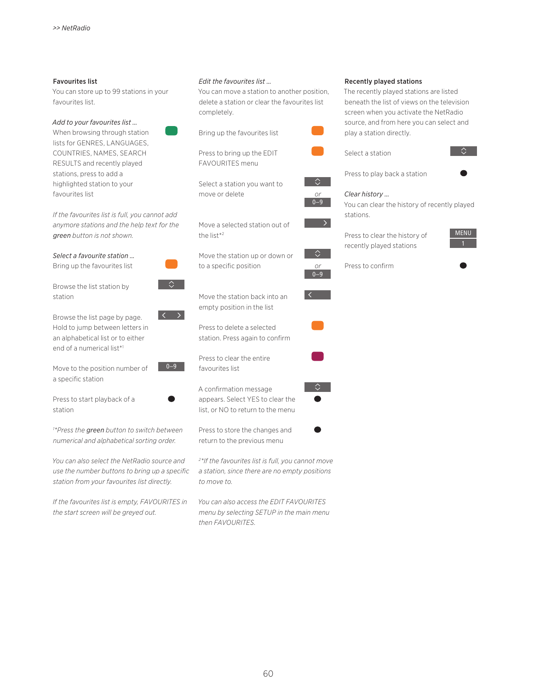#### Favourites list

You can store up to 99 stations in your favourites list.

#### *Add to your favourites list …*  When browsing through station

lists for GENRES, LANGUAGES. COUNTRIES, NAMES, SEARCH RESULTS and recently played stations, press to add a highlighted station to your favourites list

*If the favourites list is full, you cannot add anymore stations and the help text for the green button is not shown.* 

*Select a favourite station …* 

Bring up the favourites list

Browse the list station by station

Browse the list page by page. Hold to jump between letters in an alphabetical list or to either end of a numerical list\*1

Move to the position number of a specific station

Press to start playback of a station

*1 \*Press the green button to switch between numerical and alphabetical sorting order.* 

*You can also select the NetRadio source and use the number buttons to bring up a specific station from your favourites list directly.* 

*If the favourites list is empty, FAVOURITES in the start screen will be greyed out.* 

### *Edit the favourites list …*

You can move a station to another position, delete a station or clear the favourites list completely.



Move the station back into an empty position in the list

Press to delete a selected station. Press again to confirm

Press to clear the entire favourites list

 $0 - 9$ 

 $\hat{z}$ 

A confirmation message appears. Select YES to clear the list, or NO to return to the menu

Press to store the changes and return to the previous menu

*2 \*If the favourites list is full, you cannot move a station, since there are no empty positions to move to.* 

*You can also access the EDIT FAVOURITES menu by selecting SETUP in the main menu then FAVOURITES.* 

#### Recently played stations

The recently played stations are listed beneath the list of views on the television screen when you activate the NetRadio source, and from here you can select and play a station directly.





Press to play back a station



*or* 0–9

 $\Diamond$ 

*or*  $0 - 9$ 

△

 $\overline{\mathcal{L}}$ 

You can clear the history of recently played stations.

Press to clear the history of recently played stations



Press to confirm

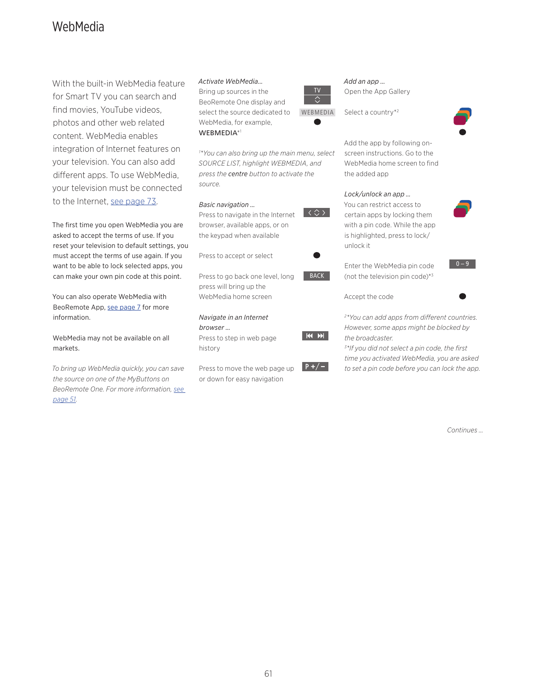### WebMedia

With the built-in WebMedia feature for Smart TV you can search and find movies, YouTube videos, photos and other web related content. WebMedia enables integration of Internet features on your television. You can also add different apps. To use WebMedia, your television must be connected to the Internet, [see page 73.](#page-72-0)

The first time you open WebMedia you are asked to accept the terms of use. If you reset your television to default settings, you must accept the terms of use again. If you want to be able to lock selected apps, you can make your own pin code at this point.

You can also operate WebMedia with BeoRemote App, [see page 7](#page-6-0) for more information.

WebMedia may not be available on all markets.

*To bring up WebMedia quickly, you can save the source on one of the MyButtons on BeoRemote One. For more information, [see](#page-50-0)  [page 51](#page-50-0).*

### *Activate WebMedia…*

*source.* 

*Basic navigation …*

Bring up sources in the BeoRemote One display and select the source dedicated to WebMedia, for example, WEBMEDIA\*1

Press to navigate in the Internet browser, available apps, or on the keypad when available

Press to go back one level, long press will bring up the WebMedia home screen

Press to accept or select

*Navigate in an Internet* 

Press to step in web page

Press to move the web page up or down for easy navigation

*browser …*

history

*1 \*You can also bring up the main menu, select SOURCE LIST, highlight WEBMEDIA, and press the centre button to activate the* 



BACK

 $|44 \rangle$ 

 $P+/-$ 

 $|\langle \diamondsuit \rangle|$ 

*Add an app …* Open the App Gallery





Add the app by following onscreen instructions. Go to the WebMedia home screen to find the added app

### *Lock/unlock an app …*

You can restrict access to certain apps by locking them with a pin code. While the app is highlighted, press to lock/ unlock it

Enter the WebMedia pin code (not the television pin code)\*3

Accept the code



 $0 - 9$ 

*2 \*You can add apps from different countries. However, some apps might be blocked by the broadcaster.*

*3 \*If you did not select a pin code, the first time you activated WebMedia, you are asked to set a pin code before you can lock the app.*

*Continues …*

61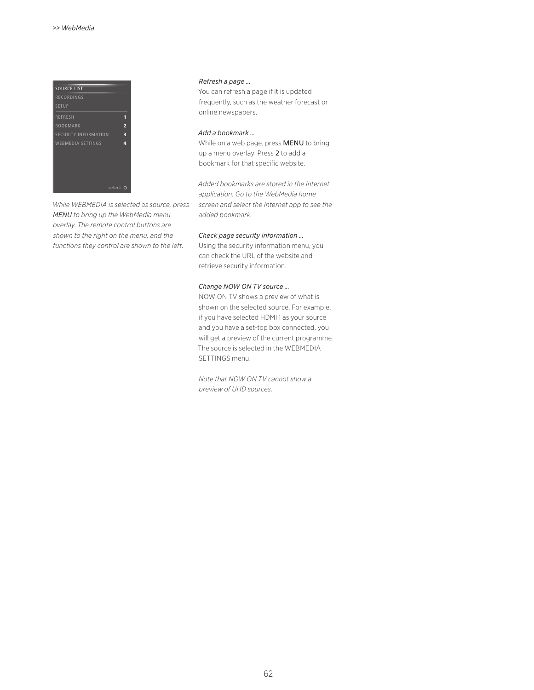

*While WEBMEDIA is selected as source, press MENU to bring up the WebMedia menu overlay. The remote control buttons are shown to the right on the menu, and the functions they control are shown to the left.* 

### *Refresh a page …*

You can refresh a page if it is updated frequently, such as the weather forecast or online newspapers.

### *Add a bookmark …*

While on a web page, press MENU to bring up a menu overlay. Press 2 to add a bookmark for that specific website.

*Added bookmarks are stored in the Internet application. Go to the WebMedia home screen and select the Internet app to see the added bookmark.*

#### *Check page security information …*

Using the security information menu, you can check the URL of the website and retrieve security information.

#### *Change NOW ON TV source …*

NOW ON TV shows a preview of what is shown on the selected source. For example, if you have selected HDMI 1 as your source and you have a set-top box connected, you will get a preview of the current programme. The source is selected in the WEBMEDIA SETTINGS menu.

*Note that NOW ON TV cannot show a preview of UHD sources.*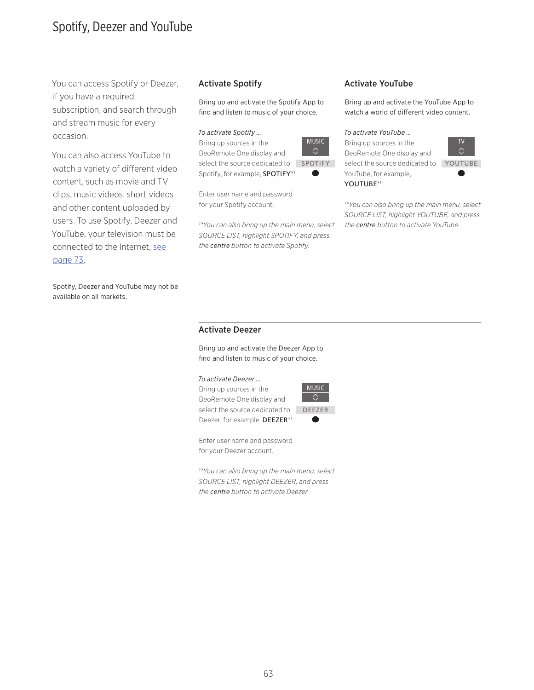### Spotify, Deezer and YouTube

You can access Spotify or Deezer, if you have a required subscription, and search through and stream music for every occasion.

You can also access YouTube to watch a variety of different video content, such as movie and TV clips, music videos, short videos and other content uploaded by users. To use Spotify, Deezer and YouTube, your television must be connected to the Internet, [see](#page-72-0)  [page 73.](#page-72-0)

Spotify, Deezer and YouTube may not be available on all markets.

Bring up and activate the Spotify App to find and listen to music of your choice.

### *To activate Spotify …*

Bring up sources in the BeoRemote One display and select the source dedicated to SPOTIFY Spotify, for example, SPOTIFY\*1

Enter user name and password for your Spotify account.

*1 \*You can also bring up the main menu, select SOURCE LIST, highlight SPOTIFY, and press the centre button to activate Spotify.* 



### Activate Spotify **Activate YouTube**

Bring up and activate the YouTube App to watch a world of different video content.

### *To activate YouTube …*

Bring up sources in the BeoRemote One display and select the source dedicated to YouTube, for example, YOUTUBE\*1



*1 \*You can also bring up the main menu, select SOURCE LIST, highlight YOUTUBE, and press the centre button to activate YouTube.* 

### Activate Deezer

Bring up and activate the Deezer App to find and listen to music of your choice.

### *To activate Deezer …*

Bring up sources in the BeoRemote One display and select the source dedicated to DEEZERDeezer, for example, DEEZER\*1



Enter user name and password for your Deezer account.

*1 \*You can also bring up the main menu, select SOURCE LIST, highlight DEEZER, and press the centre button to activate Deezer.*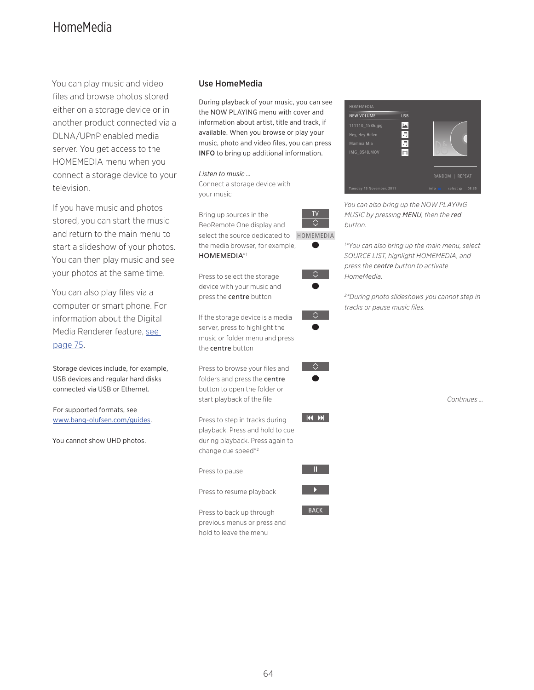# HomeMedia

You can play music and video files and browse photos stored either on a storage device or in another product connected via a DLNA/UPnP enabled media server. You get access to the HOMEMEDIA menu when you connect a storage device to your television.

If you have music and photos stored, you can start the music and return to the main menu to start a slideshow of your photos. You can then play music and see your photos at the same time.

You can also play files via a computer or smart phone. For information about the Digital Media Renderer feature, [see](#page-74-0)  [page 75](#page-74-0).

Storage devices include, for example, USB devices and regular hard disks connected via USB or Ethernet.

For supported formats, see [www.bang-olufsen.com/guides](http://www.bang-olufsen.com/guides).

You cannot show UHD photos.

### Use HomeMedia

During playback of your music, you can see the NOW PLAYING menu with cover and information about artist, title and track, if available. When you browse or play your music, photo and video files, you can press INFO to bring up additional information.

*Listen to music …*  Connect a storage device with your music

TV Bring up sources in the  $\Diamond$ BeoRemote One display and select the source dedicated to HOMEMEDIA the media browser, for example, HOMEMEDIA\*1

Press to select the storage device with your music and press the centre button

If the storage device is a media server, press to highlight the music or folder menu and press the centre button

Press to browse your files and folders and press the centre button to open the folder or start playback of the file

Press to step in tracks during playback. Press and hold to cue during playback. Press again to change cue speed\*2

Press to pause

Press to resume playback

Press to back up through previous menus or press and hold to leave the menu

BACK

 $\Diamond$ 

 $\Diamond$ 

**KOM** 



*You can also bring up the NOW PLAYING MUSIC by pressing MENU, then the red button.* 

*1 \*You can also bring up the main menu, select SOURCE LIST, highlight HOMEMEDIA, and press the centre button to activate HomeMedia.* 

*2 \*During photo slideshows you cannot step in tracks or pause music files.*

*Continues …*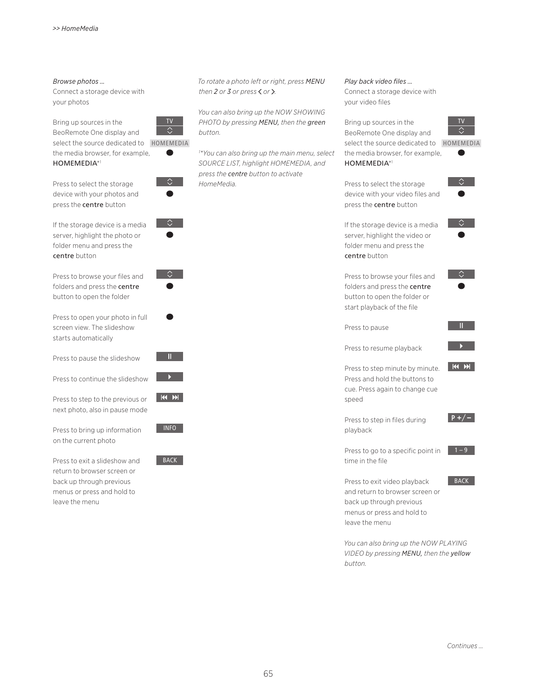### *Browse photos …*

Connect a storage device with your photos

Bring up sources in the BeoRemote One display and select the source dedicated to HOMEMEDIA the media browser, for example,



centre button

Press to select the storage device with your photos and press the centre button



TV

 $\hat{\phantom{a}}$ 

 $\bullet$ 

 $\Diamond$ 



Press to browse your files and folders and press the centre button to open the folder

Press to open your photo in full screen view. The slideshow starts automatically

Press to pause the slideshow

Press to continue the slideshow

Press to step to the previous or next photo, also in pause mode

Press to bring up information on the current photo

Press to exit a slideshow and return to browser screen or back up through previous menus or press and hold to leave the menu













*To rotate a photo left or right, press MENU then* 2 or 3 or press  $\langle$  or  $\rangle$ .

*You can also bring up the NOW SHOWING PHOTO by pressing MENU, then the green button.* 

*1 \*You can also bring up the main menu, select SOURCE LIST, highlight HOMEMEDIA, and press the centre button to activate HomeMedia.* 

*Play back video files …*  Connect a storage device with

your video files

Bring up sources in the BeoRemote One display and select the source dedicated to HOMEMEDIA the media browser, for example, HOMEMEDIA\*1



Press to select the storage device with your video files and press the centre button

 $\Diamond$ 

 $\Diamond$  .

If the storage device is a media server, highlight the video or folder menu and press the centre button

Press to browse your files and folders and press the centre button to open the folder or start playback of the file



**START START** 

 $M$ 

Press to resume playback

Press to pause

Press to step minute by minute. Press and hold the buttons to cue. Press again to change cue speed

Press to step in files during playback



BACK

Press to go to a specific point in time in the file

Press to exit video playback and return to browser screen or back up through previous menus or press and hold to leave the menu

*You can also bring up the NOW PLAYING VIDEO by pressing MENU, then the yellow button.*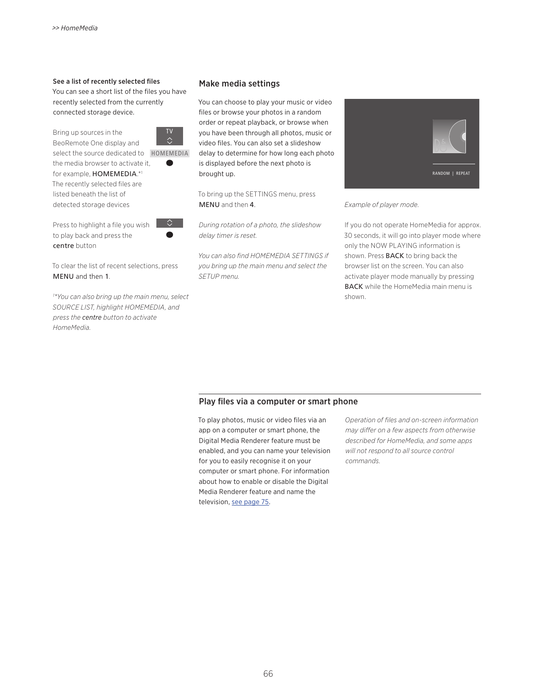### See a list of recently selected files Make media settings

You can see a short list of the files you have recently selected from the currently connected storage device.

Bring up sources in the



 $\Diamond$ 

BeoRemote One display and select the source dedicated to HOMEMEDIA the media browser to activate it, for example, HOMEMEDIA.\*1

The recently selected files are listed beneath the list of detected storage devices

Press to highlight a file you wish to play back and press the centre button



*1 \*You can also bring up the main menu, select SOURCE LIST, highlight HOMEMEDIA, and press the centre button to activate HomeMedia.* 

You can choose to play your music or video files or browse your photos in a random order or repeat playback, or browse when you have been through all photos, music or video files. You can also set a slideshow delay to determine for how long each photo is displayed before the next photo is brought up.

To bring up the SETTINGS menu, press MENU and then 4.

*During rotation of a photo, the slideshow delay timer is reset.* 

*You can also find HOMEMEDIA SETTINGS if you bring up the main menu and select the SETUP menu.* 



*Example of player mode.*

If you do not operate HomeMedia for approx. 30 seconds, it will go into player mode where only the NOW PLAYING information is shown. Press **BACK** to bring back the browser list on the screen. You can also activate player mode manually by pressing **BACK** while the HomeMedia main menu is shown.

### Play files via a computer or smart phone

To play photos, music or video files via an app on a computer or smart phone, the Digital Media Renderer feature must be enabled, and you can name your television for you to easily recognise it on your computer or smart phone. For information about how to enable or disable the Digital Media Renderer feature and name the television, [see page 75](#page-74-0).

*Operation of files and on-screen information may differ on a few aspects from otherwise described for HomeMedia, and some apps will not respond to all source control commands.*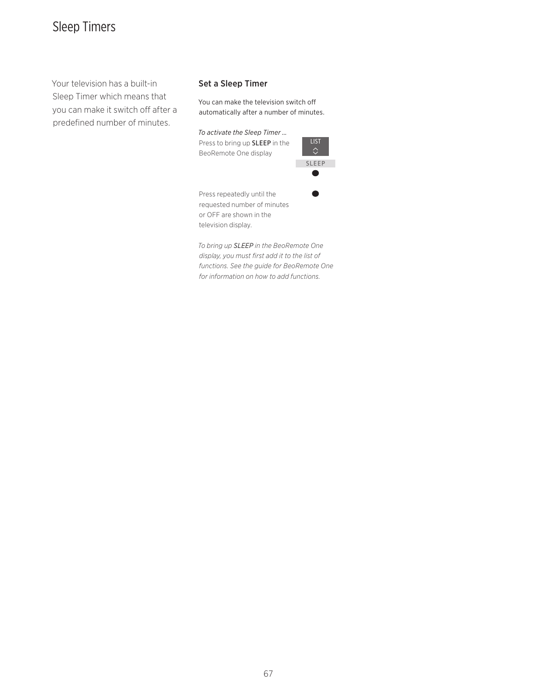# Sleep Timers

Your television has a built-in Sleep Timer which means that you can make it switch off after a predefined number of minutes.

### Set a Sleep Timer

You can make the television switch off automatically after a number of minutes.

*To activate the Sleep Timer …*  Press to bring up SLEEP in the BeoRemote One display



Press repeatedly until the requested number of minutes or OFF are shown in the television display.

*To bring up SLEEP in the BeoRemote One display, you must first add it to the list of functions. See the guide for BeoRemote One for information on how to add functions.*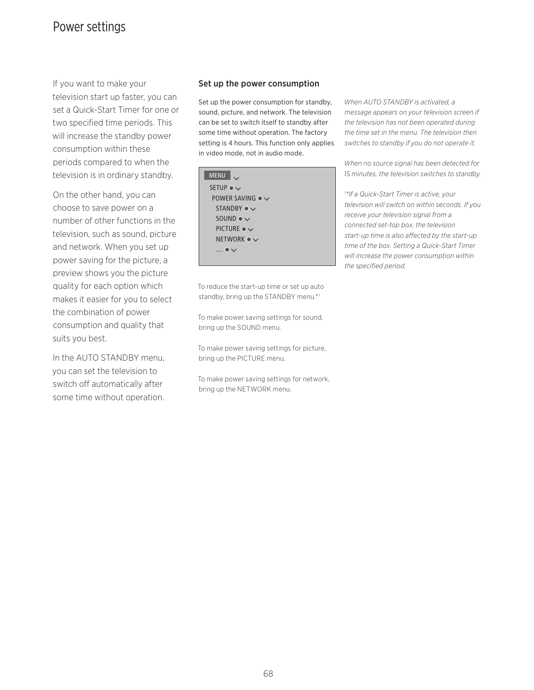### Power settings

If you want to make your television start up faster, you can set a Quick-Start Timer for one or two specified time periods. This will increase the standby power consumption within these periods compared to when the television is in ordinary standby.

On the other hand, you can choose to save power on a number of other functions in the television, such as sound, picture and network. When you set up power saving for the picture, a preview shows you the picture quality for each option which makes it easier for you to select the combination of power consumption and quality that suits you best.

In the AUTO STANDBY menu, you can set the television to switch off automatically after some time without operation.

### Set up the power consumption

Set up the power consumption for standby, sound, picture, and network. The television can be set to switch itself to standby after some time without operation. The factory setting is 4 hours. This function only applies in video mode, not in audio mode.

| <b>MENU</b>                     |
|---------------------------------|
| SETUP $\bullet \vee$            |
| POWER SAVING $\bullet \vee$     |
| STANDBY $\bullet \vee$          |
| SOUND $\bullet \vee$            |
| PICTURE $\bullet \vee$          |
| NETWORK $\bullet$ $\smallsmile$ |
| $\ldots \bullet \vee$           |
|                                 |

To reduce the start-up time or set up auto

To make power saving settings for sound, bring up the SOUND menu.

standby, bring up the STANDBY menu.\*1

To make power saving settings for picture, bring up the PICTURE menu.

To make power saving settings for network, bring up the NETWORK menu.

*When AUTO STANDBY is activated, a message appears on your television screen if the television has not been operated during the time set in the menu. The television then switches to standby if you do not operate it.* 

*When no source signal has been detected for 15 minutes, the television switches to standby.* 

*1 \*If a Quick-Start Timer is active, your television will switch on within seconds. If you receive your television signal from a connected set-top box, the television start-up time is also affected by the start-up time of the box. Setting a Quick-Start Timer will increase the power consumption within the specified period.*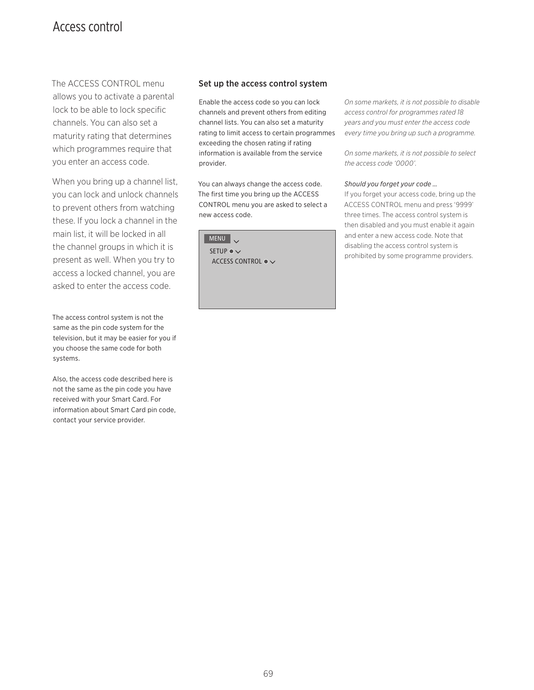### <span id="page-68-0"></span>Access control

The ACCESS CONTROL menu allows you to activate a parental lock to be able to lock specific channels. You can also set a maturity rating that determines which programmes require that you enter an access code.

When you bring up a channel list, you can lock and unlock channels to prevent others from watching these. If you lock a channel in the main list, it will be locked in all the channel groups in which it is present as well. When you try to access a locked channel, you are asked to enter the access code.

The access control system is not the same as the pin code system for the television, but it may be easier for you if you choose the same code for both systems.

Also, the access code described here is not the same as the pin code you have received with your Smart Card. For information about Smart Card pin code, contact your service provider.

### Set up the access control system

Enable the access code so you can lock channels and prevent others from editing channel lists. You can also set a maturity rating to limit access to certain programmes exceeding the chosen rating if rating information is available from the service provider.

You can always change the access code. The first time you bring up the ACCESS CONTROL menu you are asked to select a new access code.

MENU V SETUP  $\bullet \checkmark$  ACCESS CONTROL *On some markets, it is not possible to disable access control for programmes rated 18 years and you must enter the access code every time you bring up such a programme.* 

*On some markets, it is not possible to select the access code '0000'.* 

### *Should you forget your code …*

If you forget your access code, bring up the ACCESS CONTROL menu and press '9999' three times. The access control system is then disabled and you must enable it again and enter a new access code. Note that disabling the access control system is prohibited by some programme providers.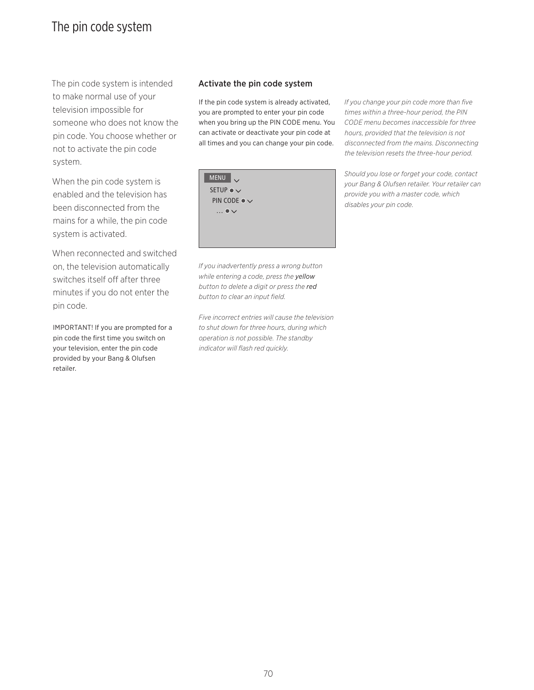### The pin code system

The pin code system is intended to make normal use of your television impossible for someone who does not know the pin code. You choose whether or not to activate the pin code system.

When the pin code system is enabled and the television has been disconnected from the mains for a while, the pin code system is activated.

When reconnected and switched on, the television automatically switches itself off after three minutes if you do not enter the pin code.

IMPORTANT! If you are prompted for a pin code the first time you switch on your television, enter the pin code provided by your Bang & Olufsen retailer.

### Activate the pin code system

If the pin code system is already activated, you are prompted to enter your pin code when you bring up the PIN CODE menu. You can activate or deactivate your pin code at all times and you can change your pin code.



*If you inadvertently press a wrong button while entering a code, press the yellow button to delete a digit or press the red button to clear an input field.* 

*Five incorrect entries will cause the television to shut down for three hours, during which operation is not possible. The standby indicator will flash red quickly.*

*If you change your pin code more than five times within a three-hour period, the PIN CODE menu becomes inaccessible for three hours, provided that the television is not disconnected from the mains. Disconnecting the television resets the three-hour period.* 

*Should you lose or forget your code, contact your Bang & Olufsen retailer. Your retailer can provide you with a master code, which disables your pin code.*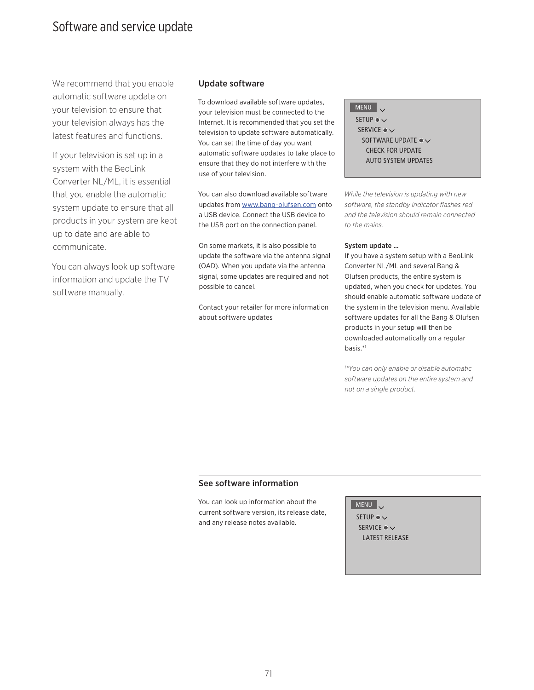### Software and service update

We recommend that you enable automatic software update on your television to ensure that your television always has the latest features and functions.

If your television is set up in a system with the BeoLink Converter NL/ML, it is essential that you enable the automatic system update to ensure that all products in your system are kept up to date and are able to communicate.

You can always look up software information and update the TV software manually.

### Update software

To download available software updates, your television must be connected to the Internet. It is recommended that you set the television to update software automatically. You can set the time of day you want automatic software updates to take place to ensure that they do not interfere with the use of your television.

You can also download available software updates from [www.bang-olufsen.com](http://www.bang-olufsen.com) onto a USB device. Connect the USB device to the USB port on the connection panel.

On some markets, it is also possible to update the software via the antenna signal (OAD). When you update via the antenna signal, some updates are required and not possible to cancel.

Contact your retailer for more information about software updates

 $MENU$ SETUP ●  $\checkmark$ SERVICE  $\bullet \checkmark$ SOFTWARE UPDATE  $\bullet \checkmark$  CHECK FOR UPDATE AUTO SYSTEM UPDATES

*While the television is updating with new software, the standby indicator flashes red and the television should remain connected to the mains.* 

### System update …

If you have a system setup with a BeoLink Converter NL/ML and several Bang & Olufsen products, the entire system is updated, when you check for updates. You should enable automatic software update of the system in the television menu. Available software updates for all the Bang & Olufsen products in your setup will then be downloaded automatically on a regular basis.\*1

*1 \*You can only enable or disable automatic software updates on the entire system and not on a single product.* 

### See software information

You can look up information about the current software version, its release date, and any release notes available.

MENU

SETUP  $\bullet \checkmark$ SERVICE ●  $\vee$ LATEST RELEASE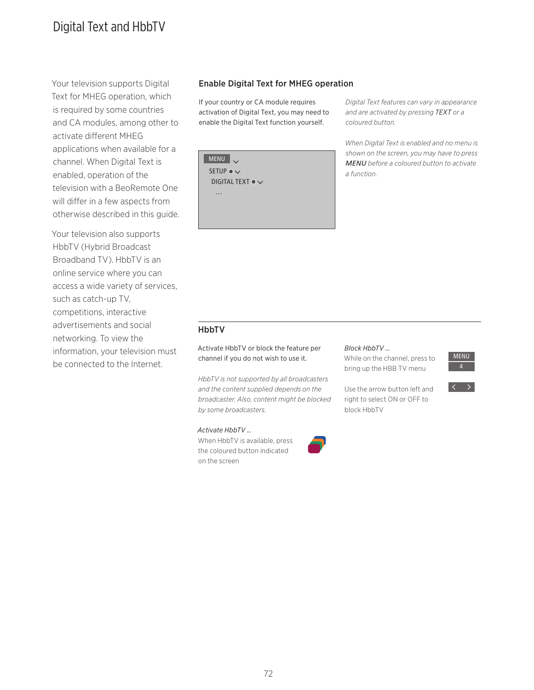# Digital Text and HbbTV

Your television supports Digital Text for MHEG operation, which is required by some countries and CA modules, among other to activate different MHEG applications when available for a channel. When Digital Text is enabled, operation of the television with a BeoRemote One will differ in a few aspects from otherwise described in this guide.

Your television also supports HbbTV (Hybrid Broadcast Broadband TV). HbbTV is an online service where you can access a wide variety of services, such as catch-up TV, competitions, interactive advertisements and social networking. To view the information, your television must be connected to the Internet.

### Enable Digital Text for MHEG operation

If your country or CA module requires activation of Digital Text, you may need to enable the Digital Text function yourself.

MENU SETUP  $\bullet \checkmark$ DIGITAL TEXT ●  $\checkmark$ …

*Digital Text features can vary in appearance and are activated by pressing TEXT or a coloured button.* 

*When Digital Text is enabled and no menu is shown on the screen, you may have to press MENU before a coloured button to activate a function.*

### HbbTV

Activate HbbTV or block the feature per channel if you do not wish to use it.

*HbbTV is not supported by all broadcasters and the content supplied depends on the broadcaster. Also, content might be blocked by some broadcasters.*

### *Activate HbbTV …*

When HbbTV is available, press the coloured button indicated on the screen



### *Block HbbTV …*

block HbbTV

While on the channel, press to bring up the HBB TV menu

Use the arrow button left and right to select ON or OFF to

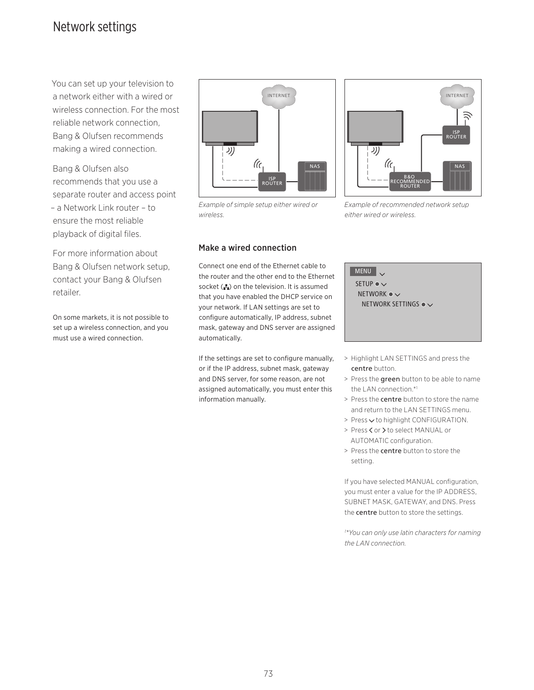# <span id="page-72-0"></span>Network settings

You can set up your television to a network either with a wired or wireless connection. For the most reliable network connection, Bang & Olufsen recommends making a wired connection.

Bang & Olufsen also recommends that you use a separate router and access point – a Network Link router – to ensure the most reliable playback of digital files.

For more information about Bang & Olufsen network setup, contact your Bang & Olufsen retailer.

On some markets, it is not possible to set up a wireless connection, and you must use a wired connection.



*Example of simple setup either wired or wireless.*

## Make a wired connection

Connect one end of the Ethernet cable to the router and the other end to the Ethernet socket  $\left( \frac{1}{k} \right)$  on the television. It is assumed that you have enabled the DHCP service on your network. If LAN settings are set to configure automatically, IP address, subnet mask, gateway and DNS server are assigned automatically.

If the settings are set to configure manually, or if the IP address, subnet mask, gateway and DNS server, for some reason, are not assigned automatically, you must enter this information manually.

INTERNET <sup>/</sup> ISP<br>ROUTER J)) ((c NAS B&O<br>RECOMMENDED<br>ROUTER

*Example of recommended network setup either wired or wireless.*

MENU SETUP  $\bullet \vee$ NETWORK  $\bullet \checkmark$ NETWORK SETTINGS  $\bullet \checkmark$ 

- > Highlight LAN SETTINGS and press the centre button.
- > Press the green button to be able to name the LAN connection.\*1
- > Press the centre button to store the name and return to the LAN SETTINGS menu.
- $>$  Press  $\vee$  to highlight CONFIGURATION.
- > Press < or > to select MANUAL or AUTOMATIC configuration.
- > Press the centre button to store the setting.

If you have selected MANUAL configuration, you must enter a value for the IP ADDRESS, SUBNET MASK, GATEWAY, and DNS. Press the centre button to store the settings.

*1 \*You can only use latin characters for naming the LAN connection.*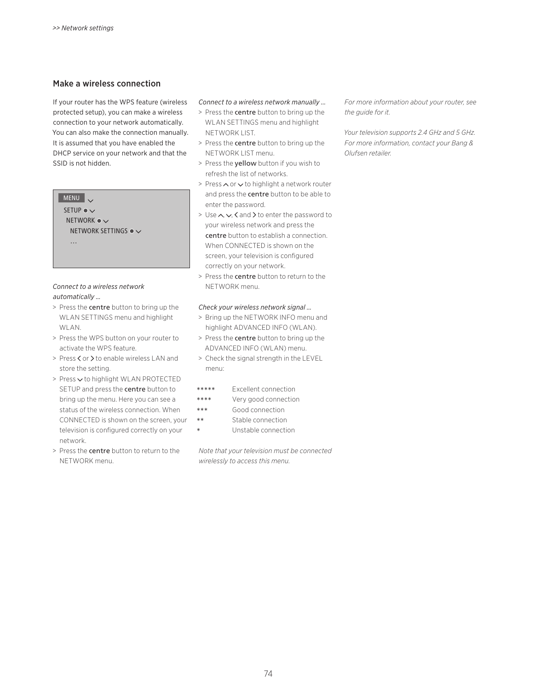## Make a wireless connection

If your router has the WPS feature (wireless protected setup), you can make a wireless connection to your network automatically. You can also make the connection manually. It is assumed that you have enabled the DHCP service on your network and that the SSID is not hidden.

## MENU

SETUP  $\bullet \checkmark$ NETWORK  $\bullet \checkmark$ NETWORK SETTINGS  $\bullet \checkmark$ …

#### *Connect to a wireless network automatically …*

- > Press the centre button to bring up the WLAN SETTINGS menu and highlight WLAN.
- > Press the WPS button on your router to activate the WPS feature.
- > Press < or > to enable wireless LAN and store the setting.
- > Press < to highlight WLAN PROTECTED SETUP and press the centre button to bring up the menu. Here you can see a status of the wireless connection. When CONNECTED is shown on the screen, your television is configured correctly on your network.
- > Press the centre button to return to the NETWORK menu.

## *Connect to a wireless network manually …*

- > Press the centre button to bring up the WLAN SETTINGS menu and highlight NETWORK LIST.
- > Press the centre button to bring up the NETWORK LIST menu.
- > Press the yellow button if you wish to refresh the list of networks.
- > Press  $\land$  or  $\lor$  to highlight a network router and press the **centre** button to be able to enter the password.
- > Use  $\wedge$ ,  $\vee$ ,  $\wedge$  and  $\geq$  to enter the password to your wireless network and press the centre button to establish a connection. When CONNECTED is shown on the screen, your television is configured correctly on your network.
- > Press the centre button to return to the NETWORK menu.

#### *Check your wireless network signal …*

- > Bring up the NETWORK INFO menu and highlight ADVANCED INFO (WLAN).
- > Press the centre button to bring up the ADVANCED INFO (WLAN) menu.
- > Check the signal strength in the LEVEL menu:

- \*\*\*\*\* Excellent connection<br>\*\*\*\* Very good connection
- \*\*\*\* Very good connection<br>\*\*\* Good connection
- \*\*\* Good connection<br>\*\* Stable connection
- \*\* Stable connection<br>
\* Unstable connecti Unstable connection

*Note that your television must be connected wirelessly to access this menu.*

*For more information about your router, see the guide for it.* 

*Your television supports 2.4 GHz and 5 GHz. For more information, contact your Bang & Olufsen retailer.*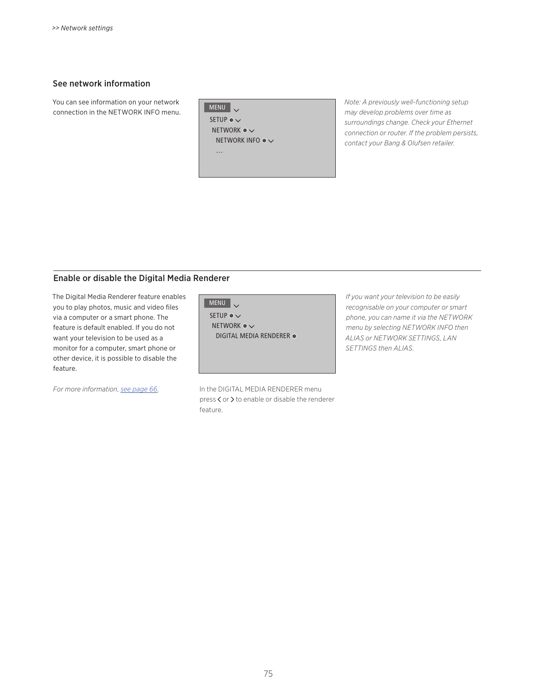## See network information

You can see information on your network connection in the NETWORK INFO menu.

MENU . SETUP  $\bullet \checkmark$ NETWORK  $\bullet \checkmark$ NETWORK INFO  $\bullet \checkmark$ …

*Note: A previously well-functioning setup may develop problems over time as surroundings change. Check your Ethernet connection or router. If the problem persists, contact your Bang & Olufsen retailer.*

## Enable or disable the Digital Media Renderer

The Digital Media Renderer feature enables you to play photos, music and video files via a computer or a smart phone. The feature is default enabled. If you do not want your television to be used as a monitor for a computer, smart phone or other device, it is possible to disable the feature.

MENU V SETUP  $\bullet \checkmark$ NETWORK  $\bullet \checkmark$  DIGITAL MEDIA RENDERER

*For more information, [see page 66.](#page-65-0)* In the DIGITAL MEDIA RENDERER menu press < or > to enable or disable the renderer feature.

*If you want your television to be easily recognisable on your computer or smart phone, you can name it via the NETWORK menu by selecting NETWORK INFO then ALIAS or NETWORK SETTINGS, LAN SETTINGS then ALIAS.*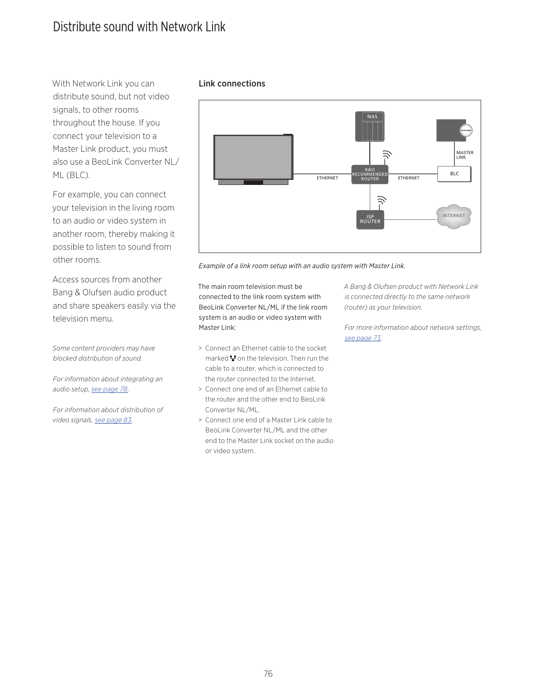# <span id="page-75-0"></span>Distribute sound with Network Link

With Network Link you can **Link connections** distribute sound, but not video signals, to other rooms throughout the house. If you connect your television to a Master Link product, you must also use a BeoLink Converter NL/ ML (BLC).

For example, you can connect your television in the living room to an audio or video system in another room, thereby making it possible to listen to sound from other rooms.

Access sources from another Bang & Olufsen audio product and share speakers easily via the television menu.

*Some content providers may have blocked distribution of sound.* 

*For information about integrating an audio setup, [see page 78](#page-77-0).* 

*For information about distribution of video signals, [see page 83](#page-82-0).* 



*Example of a link room setup with an audio system with Master Link.* 

The main room television must be connected to the link room system with BeoLink Converter NL/ML if the link room system is an audio or video system with Master Link:

- > Connect an Ethernet cable to the socket marked  $\mathbf{F}$  on the television. Then run the cable to a router, which is connected to the router connected to the Internet.
- > Connect one end of an Ethernet cable to the router and the other end to BeoLink Converter NL/ML.
- > Connect one end of a Master Link cable to BeoLink Converter NL/ML and the other end to the Master Link socket on the audio or video system.

*A Bang & Olufsen product with Network Link is connected directly to the same network (router) as your television.* 

*For more information about network settings, [see page 73](#page-72-0).*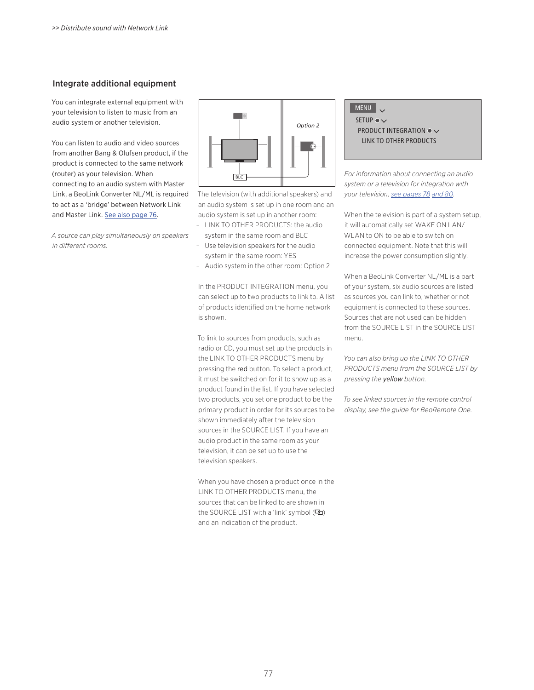## <span id="page-76-0"></span>Integrate additional equipment

You can integrate external equipment with your television to listen to music from an audio system or another television.

You can listen to audio and video sources from another Bang & Olufsen product, if the product is connected to the same network (router) as your television. When connecting to an audio system with Master Link, a BeoLink Converter NL/ML is required to act as a 'bridge' between Network Link and Master Link. [See also page 76](#page-75-0).

*A source can play simultaneously on speakers in different rooms.* 



The television (with additional speakers) and an audio system is set up in one room and an audio system is set up in another room:

- LINK TO OTHER PRODUCTS: the audio system in the same room and BLC
- Use television speakers for the audio system in the same room: YES
- Audio system in the other room: Option 2

In the PRODUCT INTEGRATION menu, you can select up to two products to link to. A list of products identified on the home network is shown.

To link to sources from products, such as radio or CD, you must set up the products in the LINK TO OTHER PRODUCTS menu by pressing the red button. To select a product, it must be switched on for it to show up as a product found in the list. If you have selected two products, you set one product to be the primary product in order for its sources to be shown immediately after the television sources in the SOURCE LIST. If you have an audio product in the same room as your television, it can be set up to use the television speakers.

When you have chosen a product once in the LINK TO OTHER PRODUCTS menu, the sources that can be linked to are shown in the SOURCE LIST with a 'link' symbol (中) and an indication of the product.

## MENU .

SETUP  $\bullet \checkmark$ PRODUCT INTEGRATION  $\bullet \checkmark$  LINK TO OTHER PRODUCTS

*For information about connecting an audio system or a television for integration with your television, [see pages 78](#page-77-0) [and 80](#page-79-0).* 

When the television is part of a system setup, it will automatically set WAKE ON LAN/ WLAN to ON to be able to switch on connected equipment. Note that this will increase the power consumption slightly.

When a BeoLink Converter NL/ML is a part of your system, six audio sources are listed as sources you can link to, whether or not equipment is connected to these sources. Sources that are not used can be hidden from the SOURCE LIST in the SOURCE LIST menu.

*You can also bring up the LINK TO OTHER PRODUCTS menu from the SOURCE LIST by pressing the yellow button.* 

*To see linked sources in the remote control display, see the guide for BeoRemote One.*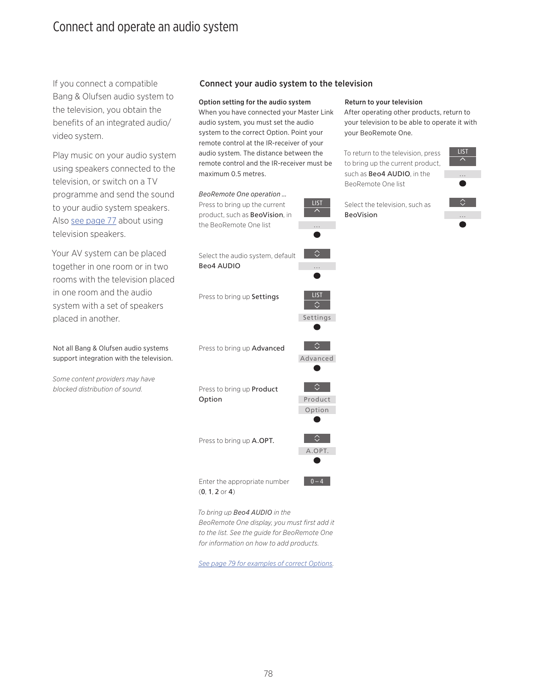# <span id="page-77-0"></span>Connect and operate an audio system

If you connect a compatible Bang & Olufsen audio system to the television, you obtain the benefits of an integrated audio/ video system.

Play music on your audio system using speakers connected to the television, or switch on a TV programme and send the sound to your audio system speakers. Also [see page 77](#page-76-0) about using television speakers.

Your AV system can be placed together in one room or in two rooms with the television placed in one room and the audio system with a set of speakers placed in another.

Not all Bang & Olufsen audio systems support integration with the television.

*Some content providers may have blocked distribution of sound.* 

## Connect your audio system to the television

#### Option setting for the audio system

When you have connected your Master Link audio system, you must set the audio system to the correct Option. Point your remote control at the IR-receiver of your audio system. The distance between the remote control and the IR-receiver must be maximum 0.5 metres.

## *BeoRemote One operation …* Press to bring up the current product, such as BeoVision, in the BeoRemote One list

 $\Diamond$ Select the audio system, default Beo4 AUDIO ... LIST Press to bring up Settings  $\Diamond$ Settings  $\infty$ 

Press to bring up Advanced

Press to bring up Product Option



A.OPT.

 $\Diamond$ 

 $0 - A$ 

Advanced

LIST

...

Press to bring up A.OPT.

Enter the appropriate number (0, 1, 2 or 4)

*To bring up Beo4 AUDIO in the* 

*BeoRemote One display, you must first add it to the list. See the guide for BeoRemote One for information on how to add products.* 

*[See page 79 for examples of correct Options.](#page-78-0)* 

78

### Return to your television

After operating other products, return to your television to be able to operate it with your BeoRemote One.

To return to the television, press to bring up the current product, such as Beo4 AUDIO, in the BeoRemote One list

Select the television, such as

BeoVision

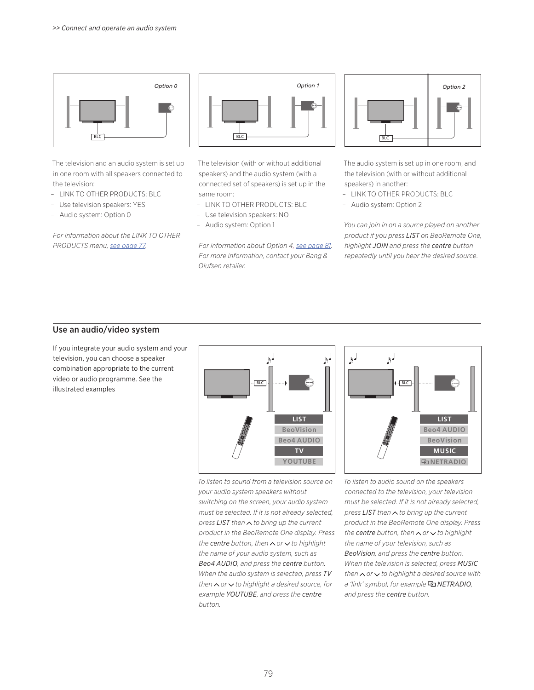

The television and an audio system is set up in one room with all speakers connected to the television:

- LINK TO OTHER PRODUCTS: BLC
- Use television speakers: YES
- Audio system: Option 0

*For information about the LINK TO OTHER PRODUCTS menu, [see page 77](#page-76-0).* 



The television (with or without additional speakers) and the audio system (with a connected set of speakers) is set up in the same room:

- LINK TO OTHER PRODUCTS: BLC
- Use television speakers: NO
- Audio system: Option 1

*For information about Option 4, [see page 81](#page-80-0). For more information, contact your Bang & Olufsen retailer.*



The audio system is set up in one room, and the television (with or without additional speakers) in another:

- LINK TO OTHER PRODUCTS: BLC
- Audio system: Option 2

*You can join in on a source played on another product if you press LIST on BeoRemote One, highlight JOIN and press the centre button repeatedly until you hear the desired source.* 

## <span id="page-78-0"></span>Use an audio/video system

If you integrate your audio system and your television, you can choose a speaker combination appropriate to the current video or audio programme. See the illustrated examples



*To listen to sound from a television source on your audio system speakers without switching on the screen, your audio system must be selected. If it is not already selected, press LIST then ∧ to bring up the current product in the BeoRemote One display. Press the centre button, then or to highlight the name of your audio system, such as Beo4 AUDIO, and press the centre button. When the audio system is selected, press TV then or to highlight a desired source, for example YOUTUBE, and press the centre button.* 



*To listen to audio sound on the speakers connected to the television, your television must be selected. If it is not already selected, press LIST then* ∧ *to bring up the current product in the BeoRemote One display. Press the centre button, then*  $\land$  *or*  $\lor$  *to highlight the name of your television, such as BeoVision, and press the centre button. When the television is selected, press MUSIC then or to highlight a desired source with a 'link' symbol, for example NETRADIO, and press the centre button.*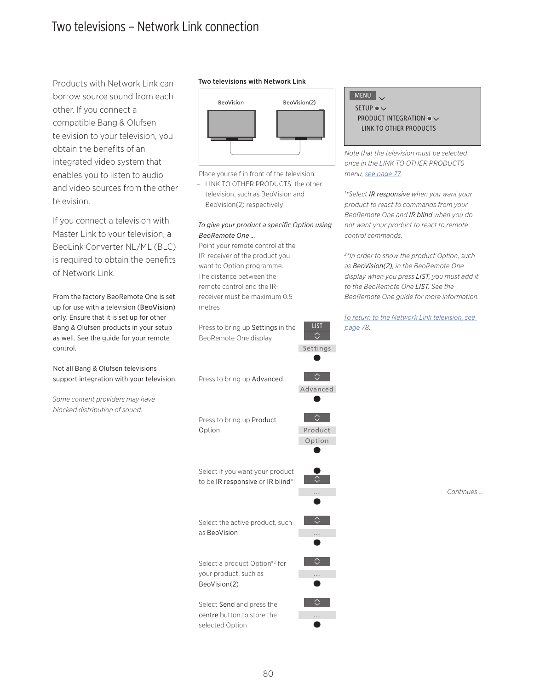# <span id="page-79-0"></span>Two televisions – Network Link connection

Products with Network Link can borrow source sound from each other. If you connect a compatible Bang & Olufsen television to your television, you obtain the benefits of an integrated video system that enables you to listen to audio and video sources from the other television.

If you connect a television with Master Link to your television, a BeoLink Converter NL/ML (BLC) is required to obtain the benefits of Network Link.

From the factory BeoRemote One is set up for use with a television (BeoVision) only. Ensure that it is set up for other Bang & Olufsen products in your setup as well. See the guide for your remote control.

Not all Bang & Olufsen televisions support integration with your television.

*Some content providers may have blocked distribution of sound.* 

## Two televisions with Network Link



Place yourself in front of the television:

– LINK TO OTHER PRODUCTS: the other television, such as BeoVision and BeoVision(2) respectively

## *To give your product a specific Option using BeoRemote One …*

LIST

交

Settings

Advanced

 $\overline{C}$ 

Product Option

 $\Diamond$ 

…

⇔

…

△

…

♦

…

◇

Point your remote control at the IR-receiver of the product you want to Option programme. The distance between the remote control and the IRreceiver must be maximum 0.5 metres

Press to bring up Settings in the BeoRemote One display

Press to bring up Advanced

Press to bring up Product Option

Select if you want your product to be IR responsive or IR blind\*1

Select the active product, such as BeoVision

Select a product Option\*2 for your product, such as BeoVision(2)

Select Send and press the centre button to store the selected Option

# MENU

SETUP  $\bullet \checkmark$ PRODUCT INTEGRATION  $\bullet \vee$  LINK TO OTHER PRODUCTS

*Note that the television must be selected once in the LINK TO OTHER PRODUCTS menu, [see page 77](#page-76-0).* 

*1 \*Select IR responsive when you want your product to react to commands from your BeoRemote One and IR blind when you do not want your product to react to remote control commands.* 

*2 \*In order to show the product Option, such as BeoVision(2), in the BeoRemote One display when you press LIST, you must add it to the BeoRemote One LIST. See the BeoRemote One guide for more information.*

*[To return to the Network Link television, see](#page-77-0)  [page 78.](#page-77-0)* 

*Continues …*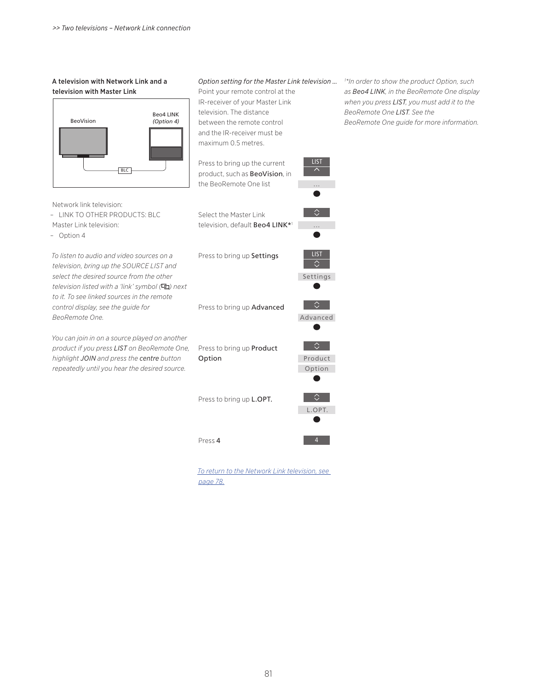#### <span id="page-80-0"></span>A television with Network Link and a television with Master Link

Network link television:

Master Link television:

– Option 4

*BeoRemote One.* 

– LINK TO OTHER PRODUCTS: BLC

*To listen to audio and video sources on a television, bring up the SOURCE LIST and select the desired source from the other television listed with a 'link' symbol ( ) next to it. To see linked sources in the remote control display, see the guide for* 



*Option setting for the Master Link television … 1 \*In order to show the product Option, such* 

Point your remote control at the IR-receiver of your Master Link television. The distance between the remote control and the IR-receiver must be maximum 0.5 metres.

- *as Beo4 LINK, in the BeoRemote One display when you press LIST, you must add it to the BeoRemote One LIST. See the BeoRemote One guide for more information.*
- Press to bring up the current product, such as BeoVision, in the BeoRemote One list

Select the Master Link television, default Beo4 LINK\*1

Press to bring up Settings



 $\Diamond$ 

 $\bullet$ 

 $\hat{z}$ 

LIST

 $\overline{\phantom{a}}$ 

...

...

Press to bring up Advanced

Advanced



4

Press 4

*[To return to the Network Link television, see](#page-77-0)  [page 78](#page-77-0).*

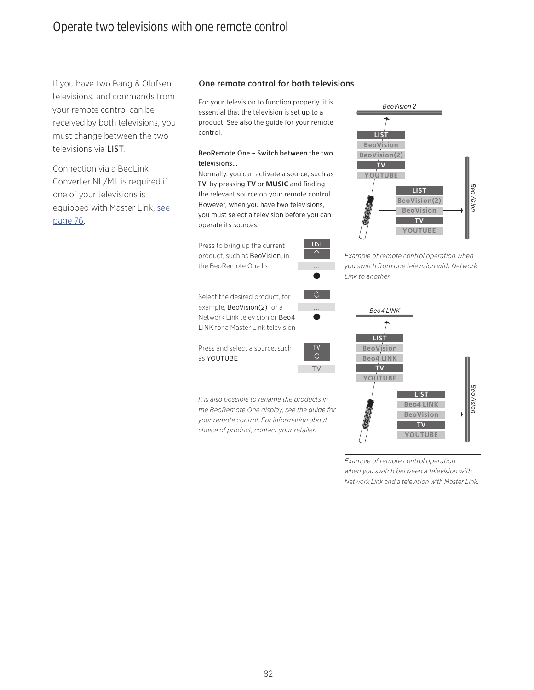If you have two Bang & Olufsen televisions, and commands from your remote control can be received by both televisions, you must change between the two televisions via LIST.

Connection via a BeoLink Converter NL/ML is required if one of your televisions is equipped with Master Link, [see](#page-75-0)  [page 76.](#page-75-0)

## One remote control for both televisions

For your television to function properly, it is essential that the television is set up to a product. See also the guide for your remote control.

## BeoRemote One – Switch between the two televisions…

Normally, you can activate a source, such as TV, by pressing **TV** or **MUSIC** and finding the relevant source on your remote control. However, when you have two televisions, you must select a television before you can operate its sources:

Press to bring up the current product, such as BeoVision, in the BeoRemote One list

Select the desired product, for example, BeoVision(2) for a Network Link television or Beo4 LINK for a Master Link television

Press and select a source, such as YOUTUBE

*It is also possible to rename the products in the BeoRemote One display, see the guide for your remote control. For information about choice of product, contact your retailer.*



*Example of remote control operation when you switch from one television with Network Link to another.* 



*Example of remote control operation when you switch between a television with Network Link and a television with Master Link.* 



...

 $\Diamond$ 

TV

82